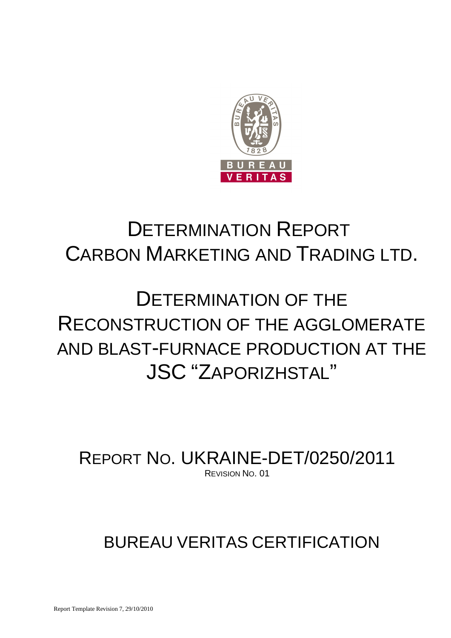

## DETERMINATION REPORT CARBON MARKETING AND TRADING LTD.

# DETERMINATION OF THE RECONSTRUCTION OF THE AGGLOMERATE AND BLAST-FURNACE PRODUCTION AT THE JSC "ZAPORIZHSTAL"

REPORT NO. UKRAINE-DET/0250/2011 REVISION NO. 01

## BUREAU VERITAS CERTIFICATION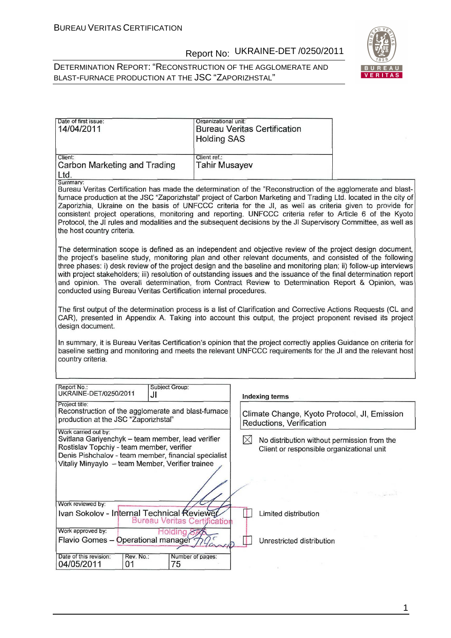#### DETERMINATION REPORT: "RECONSTRUCTION OF THE AGGLOMERATE AND BLAST-FURNACE PRODUCTION AT THE JSC "ZAPORIZHSTAL"



| Date of first issue:<br>14/04/2011      | Organizational unit:<br><b>Bureau Veritas Certification</b><br><b>Holding SAS</b> |
|-----------------------------------------|-----------------------------------------------------------------------------------|
| Client:<br>Carbon Marketing and Trading | Client ref.:<br><b>Tahir Musayev</b>                                              |
| Ltd.<br>Summary:                        |                                                                                   |

Bureau Veritas Certification has made the determination of the "Reconstruction of the agglomerate and blastfurnace production at the JSC "Zaporizhstal" project of Carbon Marketing and Trading Ltd. located in the city of Zaporizhia, Ukraine on the basis of UNFCCC criteria for the JI, as well as criteria given to provide for consistent project operations, monitoring and reporting. UNFCCC criteria refer to Article 6 of the Kyoto Protocol, the JI rules and modalities and the subsequent decisions by the JI Supervisory Committee, as well as the host country criteria.

The determination scope is defined as an independent and objective review of the project design document. the project's baseline study, monitoring plan and other relevant documents, and consisted of the following three phases: i) desk review of the project design and the baseline and monitoring plan; ii) follow-up interviews with project stakeholders; iii) resolution of outstanding issues and the issuance of the final determination report and opinion. The overall determination, from Contract Review to Determination Report & Opinion, was conducted using Bureau Veritas Certification internal procedures.

The first output of the determination process is a list of Clarification and Corrective Actions Requests (CL and CAR), presented in Appendix A. Taking into account this output, the project proponent revised its project design document.

In summary, it is Bureau Veritas Certification's opinion that the project correctly applies Guidance on criteria for baseline setting and monitoring and meets the relevant UNFCCC requirements for the JI and the relevant host country criteria.

| Report No.:<br>UKRAINE-DET/0250/2011                                                                                                                                       | JI              | Subject Group:                                       | Indexing terms                                                                                                                                                                                                                                                                                                                                                                                                                                                                                                 |
|----------------------------------------------------------------------------------------------------------------------------------------------------------------------------|-----------------|------------------------------------------------------|----------------------------------------------------------------------------------------------------------------------------------------------------------------------------------------------------------------------------------------------------------------------------------------------------------------------------------------------------------------------------------------------------------------------------------------------------------------------------------------------------------------|
| Project title:<br>production at the JSC "Zaporizhstal"                                                                                                                     |                 | Reconstruction of the agglomerate and blast-furnace  | Climate Change, Kyoto Protocol, JI, Emission<br>Reductions, Verification                                                                                                                                                                                                                                                                                                                                                                                                                                       |
| Work carried out by:<br>Svitlana Gariyenchyk - team member, lead verifier<br>Rostislav Topchiy - team member, verifier<br>Vitaliy Minyaylo - team Member, Verifier trainee |                 | Denis Pishchalov - team member, financial specialist | No distribution without permission from the<br>Client or responsible organizational unit<br>$\label{eq:12} \begin{array}{ll} \displaystyle \frac{1}{\sqrt{2}}\, \frac{1}{\sqrt{2}}\, \frac{1}{\sqrt{2}}\, \frac{1}{\sqrt{2}}\, \frac{1}{\sqrt{2}}\, \frac{1}{\sqrt{2}}\, \frac{1}{\sqrt{2}}\, \frac{1}{\sqrt{2}}\, \frac{1}{\sqrt{2}}\, \frac{1}{\sqrt{2}}\, \frac{1}{\sqrt{2}}\, \frac{1}{\sqrt{2}}\, \frac{1}{\sqrt{2}}\, \frac{1}{\sqrt{2}}\, \frac{1}{\sqrt{2}}\, \frac{1}{\sqrt{2}}\, \frac{1}{\sqrt{2}}$ |
| Work reviewed by:<br>Ivan Sokolov - Internal Technical Reviewer                                                                                                            |                 | <b>Bureau Veritas Certification</b>                  | Limited distribution                                                                                                                                                                                                                                                                                                                                                                                                                                                                                           |
| Work approved by:<br>Flavio Gomes - Operational managers                                                                                                                   |                 |                                                      | Unrestricted distribution                                                                                                                                                                                                                                                                                                                                                                                                                                                                                      |
| Date of this revision:<br>04/05/2011                                                                                                                                       | Rev. No.:<br>01 | Number of pages:<br>75                               |                                                                                                                                                                                                                                                                                                                                                                                                                                                                                                                |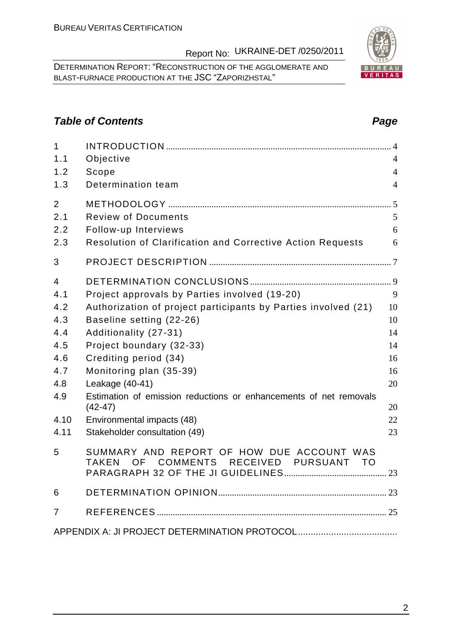DETERMINATION REPORT: "RECONSTRUCTION OF THE AGGLOMERATE AND BLAST-FURNACE PRODUCTION AT THE JSC "ZAPORIZHSTAL"

### **Table of Contents Page 2014**

| $\mathbf{1}$<br>1.1 | Objective                                                                                                                 | $\overline{4}$ |
|---------------------|---------------------------------------------------------------------------------------------------------------------------|----------------|
| 1.2                 | Scope                                                                                                                     | $\overline{4}$ |
| 1.3                 | Determination team                                                                                                        | $\overline{4}$ |
| $\overline{2}$      |                                                                                                                           |                |
| 2.1                 | <b>Review of Documents</b>                                                                                                | 5              |
| 2.2                 | Follow-up Interviews                                                                                                      | 6              |
| 2.3                 | <b>Resolution of Clarification and Corrective Action Requests</b>                                                         | 6              |
| 3                   |                                                                                                                           |                |
| 4                   |                                                                                                                           |                |
| 4.1                 | Project approvals by Parties involved (19-20)                                                                             | 9              |
| 4.2                 | Authorization of project participants by Parties involved (21)                                                            | 10             |
| 4.3                 | Baseline setting (22-26)                                                                                                  | 10             |
| 4.4                 | Additionality (27-31)                                                                                                     | 14             |
| 4.5                 | Project boundary (32-33)                                                                                                  | 14             |
| 4.6                 | Crediting period (34)                                                                                                     | 16             |
| 4.7                 | Monitoring plan (35-39)                                                                                                   | 16             |
| 4.8                 | Leakage (40-41)                                                                                                           | 20             |
| 4.9                 | Estimation of emission reductions or enhancements of net removals<br>$(42-47)$                                            | 20             |
| 4.10                | Environmental impacts (48)                                                                                                | 22             |
| 4.11                | Stakeholder consultation (49)                                                                                             | 23             |
| 5                   | SUMMARY AND REPORT OF HOW DUE ACCOUNT WAS<br><b>COMMENTS</b><br>RECEIVED<br><b>PURSUANT</b><br><b>TAKEN</b><br>OF<br>- TO |                |
| 6                   |                                                                                                                           |                |
| 7                   |                                                                                                                           |                |
|                     |                                                                                                                           |                |

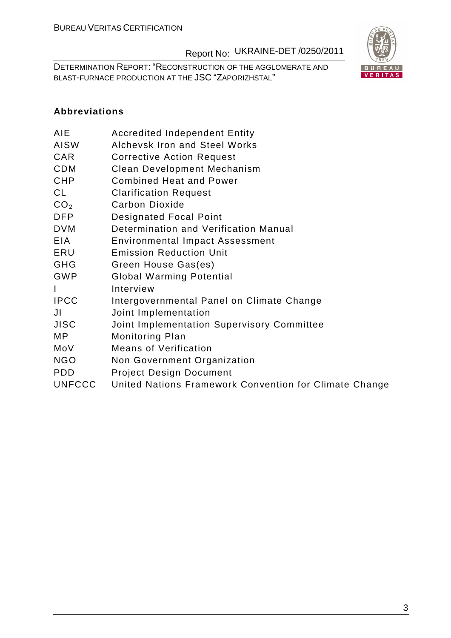DETERMINATION REPORT: "RECONSTRUCTION OF THE AGGLOMERATE AND BLAST-FURNACE PRODUCTION AT THE JSC "ZAPORIZHSTAL"



### **Abbreviations**

| AIE             | <b>Accredited Independent Entity</b>       |
|-----------------|--------------------------------------------|
| AISW            | <b>Alchevsk Iron and Steel Works</b>       |
| CAR             | <b>Corrective Action Request</b>           |
| <b>CDM</b>      | <b>Clean Development Mechanism</b>         |
| CHP             | <b>Combined Heat and Power</b>             |
| CL              | <b>Clarification Request</b>               |
| CO <sub>2</sub> | Carbon Dioxide                             |
| DFP             | <b>Designated Focal Point</b>              |
| <b>DVM</b>      | Determination and Verification Manual      |
| EIA             | <b>Environmental Impact Assessment</b>     |
| ERU             | <b>Emission Reduction Unit</b>             |
| GHG             | Green House Gas(es)                        |
| <b>GWP</b>      | <b>Global Warming Potential</b>            |
| L               | Interview                                  |
| <b>IPCC</b>     | Intergovernmental Panel on Climate Change  |
| JI              | Joint Implementation                       |
| JISC            | Joint Implementation Supervisory Committee |
| МP              | <b>Monitoring Plan</b>                     |
| MoV             | <b>Means of Verification</b>               |
| <b>NGO</b>      | Non Government Organization                |
| <b>PDD</b>      | <b>Project Design Document</b>             |

UNFCCC United Nations Framework Convention for Climate Change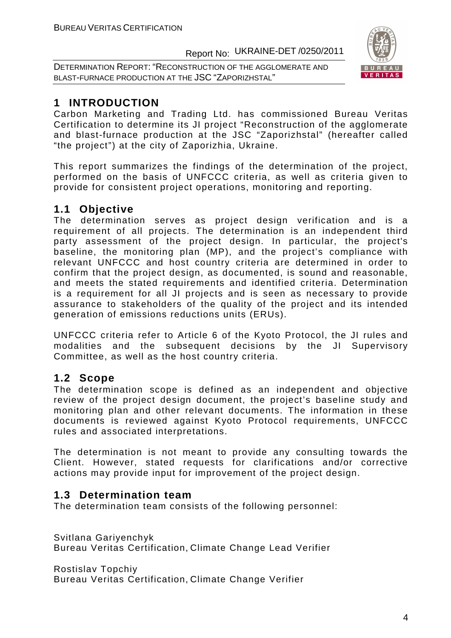DETERMINATION REPORT: "RECONSTRUCTION OF THE AGGLOMERATE AND BLAST-FURNACE PRODUCTION AT THE JSC "ZAPORIZHSTAL"



### **1 INTRODUCTION**

Carbon Marketing and Trading Ltd. has commissioned Bureau Veritas Certification to determine its JI project "Reconstruction of the agglomerate and blast-furnace production at the JSC "Zaporizhstal" (hereafter called "the project") at the city of Zaporizhia, Ukraine.

This report summarizes the findings of the determination of the project, performed on the basis of UNFCCC criteria, as well as criteria given to provide for consistent project operations, monitoring and reporting.

### **1.1 Objective**

The determination serves as project design verification and is a requirement of all projects. The determination is an independent third party assessment of the project design. In particular, the project's baseline, the monitoring plan (MP), and the project's compliance with relevant UNFCCC and host country criteria are determined in order to confirm that the project design, as documented, is sound and reasonable, and meets the stated requirements and identified criteria. Determination is a requirement for all JI projects and is seen as necessary to provide assurance to stakeholders of the quality of the project and its intended generation of emissions reductions units (ERUs).

UNFCCC criteria refer to Article 6 of the Kyoto Protocol, the JI rules and modalities and the subsequent decisions by the JI Supervisory Committee, as well as the host country criteria.

### **1.2 Scope**

The determination scope is defined as an independent and objective review of the project design document, the project's baseline study and monitoring plan and other relevant documents. The information in these documents is reviewed against Kyoto Protocol requirements, UNFCCC rules and associated interpretations.

The determination is not meant to provide any consulting towards the Client. However, stated requests for clarifications and/or corrective actions may provide input for improvement of the project design.

### **1.3 Determination team**

The determination team consists of the following personnel:

Svitlana Gariyenchyk Bureau Veritas Certification, Climate Change Lead Verifier

Rostislav Topchiy

Bureau Veritas Certification, Climate Change Verifier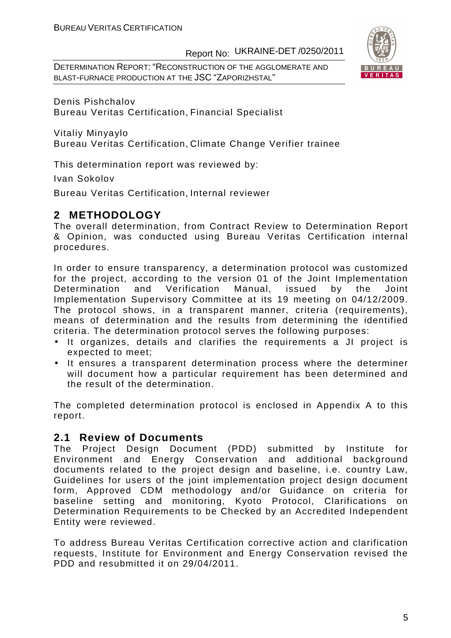DETERMINATION REPORT: "RECONSTRUCTION OF THE AGGLOMERATE AND BLAST-FURNACE PRODUCTION AT THE JSC "ZAPORIZHSTAL"



Denis Pishchalov Bureau Veritas Certification, Financial Specialist

Vitaliy Minyaylo

Bureau Veritas Certification, Climate Change Verifier trainee

This determination report was reviewed by:

Ivan Sokolov

Bureau Veritas Certification, Internal reviewer

### **2 METHODOLOGY**

The overall determination, from Contract Review to Determination Report & Opinion, was conducted using Bureau Veritas Certification internal procedures.

In order to ensure transparency, a determination protocol was customized for the project, according to the version 01 of the Joint Implementation Determination and Verification Manual, issued by the Joint Implementation Supervisory Committee at its 19 meeting on 04/12/2009. The protocol shows, in a transparent manner, criteria (requirements), means of determination and the results from determining the identified criteria. The determination protocol serves the following purposes:

- It organizes, details and clarifies the requirements a JI project is expected to meet;
- It ensures a transparent determination process where the determiner will document how a particular requirement has been determined and the result of the determination.

The completed determination protocol is enclosed in Appendix A to this report.

#### **2.1 Review of Documents**

The Project Design Document (PDD) submitted by Institute for Environment and Energy Conservation and additional background documents related to the project design and baseline, i.e. country Law, Guidelines for users of the joint implementation project design document form, Approved CDM methodology and/or Guidance on criteria for baseline setting and monitoring, Kyoto Protocol, Clarifications on Determination Requirements to be Checked by an Accredited Independent Entity were reviewed.

To address Bureau Veritas Certification corrective action and clarification requests, Institute for Environment and Energy Conservation revised the PDD and resubmitted it on 29/04/2011.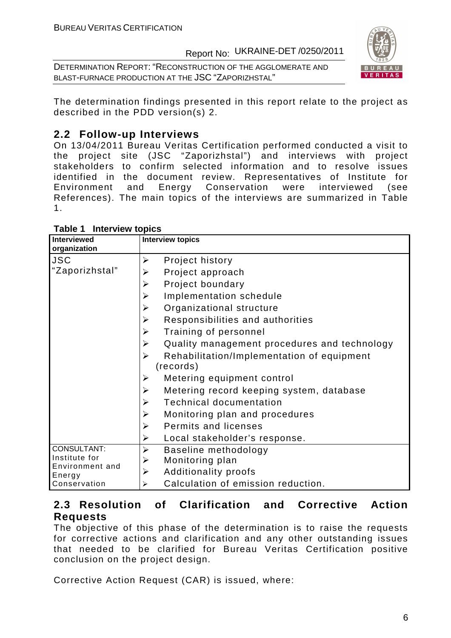DETERMINATION REPORT: "RECONSTRUCTION OF THE AGGLOMERATE AND BLAST-FURNACE PRODUCTION AT THE JSC "ZAPORIZHSTAL"



The determination findings presented in this report relate to the project as described in the PDD version(s) 2.

### **2.2 Follow-up Interviews**

On 13/04/2011 Bureau Veritas Certification performed conducted a visit to the project site (JSC "Zaporizhstal") and interviews with project stakeholders to confirm selected information and to resolve issues identified in the document review. Representatives of Institute for Environment and Energy Conservation were interviewed (see References). The main topics of the interviews are summarized in Table 1.

| <b>Interviewed</b><br>organization | <b>Interview topics</b>                           |
|------------------------------------|---------------------------------------------------|
| <b>JSC</b>                         | Project history<br>➤                              |
| "Zaporizhstal"                     | Project approach<br>➤                             |
|                                    | Project boundary<br>➤                             |
|                                    | Implementation schedule<br>➤                      |
|                                    | Organizational structure<br>➤                     |
|                                    | Responsibilities and authorities<br>➤             |
|                                    | Training of personnel<br>➤                        |
|                                    | ➤<br>Quality management procedures and technology |
|                                    | ➤<br>Rehabilitation/Implementation of equipment   |
|                                    | (records)                                         |
|                                    | Metering equipment control<br>➤                   |
|                                    | Metering record keeping system, database<br>➤     |
|                                    | <b>Technical documentation</b><br>➤               |
|                                    | Monitoring plan and procedures<br>➤               |
|                                    | Permits and licenses<br>$\blacktriangleright$     |
|                                    | Local stakeholder's response.<br>➤                |
| CONSULTANT:                        | ➤<br>Baseline methodology                         |
| Institute for<br>Environment and   | Monitoring plan<br>➤                              |
| Energy                             | <b>Additionality proofs</b><br>➤                  |
| Conservation                       | Calculation of emission reduction.<br>➤           |

**Table 1 Interview topics** 

### **2.3 Resolution of Clarification and Corrective Action Requests**

The objective of this phase of the determination is to raise the requests for corrective actions and clarification and any other outstanding issues that needed to be clarified for Bureau Veritas Certification positive conclusion on the project design.

Corrective Action Request (CAR) is issued, where: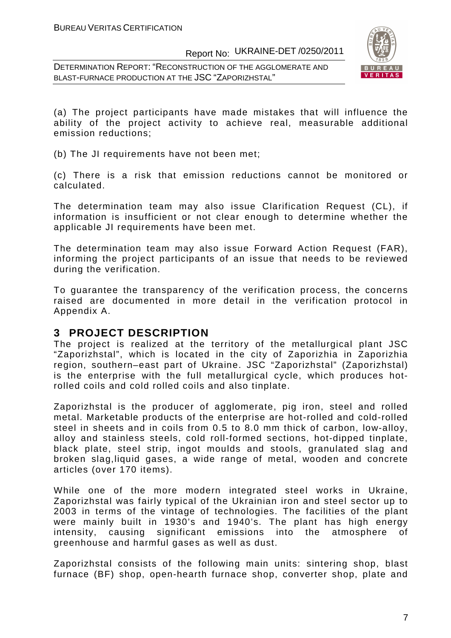DETERMINATION REPORT: "RECONSTRUCTION OF THE AGGLOMERATE AND BLAST-FURNACE PRODUCTION AT THE JSC "ZAPORIZHSTAL"



(a) The project participants have made mistakes that will influence the ability of the project activity to achieve real, measurable additional emission reductions;

(b) The JI requirements have not been met;

(c) There is a risk that emission reductions cannot be monitored or calculated.

The determination team may also issue Clarification Request (CL), if information is insufficient or not clear enough to determine whether the applicable JI requirements have been met.

The determination team may also issue Forward Action Request (FAR), informing the project participants of an issue that needs to be reviewed during the verification.

To guarantee the transparency of the verification process, the concerns raised are documented in more detail in the verification protocol in Appendix A.

#### **3 PROJECT DESCRIPTION**

The project is realized at the territory of the metallurgical plant JSC "Zaporizhstal", which is located in the city of Zaporizhia in Zaporizhia region, southern–east part of Ukraine. JSC "Zaporizhstal" (Zaporizhstal) is the enterprise with the full metallurgical cycle, which produces hotrolled coils and cold rolled coils and also tinplate.

Zaporizhstal is the producer of agglomerate, pig iron, steel and rolled metal. Marketable products of the enterprise are hot-rolled and cold-rolled steel in sheets and in coils from 0.5 to 8.0 mm thick of carbon, low-alloy, alloy and stainless steels, cold roll-formed sections, hot-dipped tinplate, black plate, steel strip, ingot moulds and stools, granulated slag and broken slag,liquid gases, a wide range of metal, wooden and concrete articles (over 170 items).

While one of the more modern integrated steel works in Ukraine, Zaporizhstal was fairly typical of the Ukrainian iron and steel sector up to 2003 in terms of the vintage of technologies. The facilities of the plant were mainly built in 1930's and 1940's. The plant has high energy intensity, causing significant emissions into the atmosphere of greenhouse and harmful gases as well as dust.

Zaporizhstal consists of the following main units: sintering shop, blast furnace (BF) shop, open-hearth furnace shop, converter shop, plate and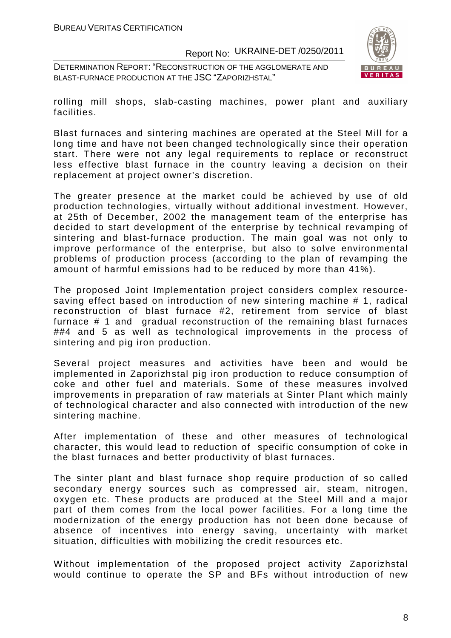DETERMINATION REPORT: "RECONSTRUCTION OF THE AGGLOMERATE AND BLAST-FURNACE PRODUCTION AT THE JSC "ZAPORIZHSTAL"



rolling mill shops, slab-casting machines, power plant and auxiliary facilities.

Blast furnaces and sintering machines are operated at the Steel Mill for a long time and have not been changed technologically since their operation start. There were not any legal requirements to replace or reconstruct less effective blast furnace in the country leaving a decision on their replacement at project owner's discretion.

The greater presence at the market could be achieved by use of old production technologies, virtually without additional investment. However, at 25th of December, 2002 the management team of the enterprise has decided to start development of the enterprise by technical revamping of sintering and blast-furnace production. The main goal was not only to improve performance of the enterprise, but also to solve environmental problems of production process (according to the plan of revamping the amount of harmful emissions had to be reduced by more than 41%).

The proposed Joint Implementation project considers complex resourcesaving effect based on introduction of new sintering machine # 1, radical reconstruction of blast furnace #2, retirement from service of blast furnace # 1 and gradual reconstruction of the remaining blast furnaces ##4 and 5 as well as technological improvements in the process of sintering and pig iron production.

Several project measures and activities have been and would be implemented in Zaporizhstal pig iron production to reduce consumption of coke and other fuel and materials. Some of these measures involved improvements in preparation of raw materials at Sinter Plant which mainly of technological character and also connected with introduction of the new sintering machine.

After implementation of these and other measures of technological character, this would lead to reduction of specific consumption of coke in the blast furnaces and better productivity of blast furnaces.

The sinter plant and blast furnace shop require production of so called secondary energy sources such as compressed air, steam, nitrogen, oxygen etc. These products are produced at the Steel Mill and a major part of them comes from the local power facilities. For a long time the modernization of the energy production has not been done because of absence of incentives into energy saving, uncertainty with market situation, difficulties with mobilizing the credit resources etc.

Without implementation of the proposed project activity Zaporizhstal would continue to operate the SP and BFs without introduction of new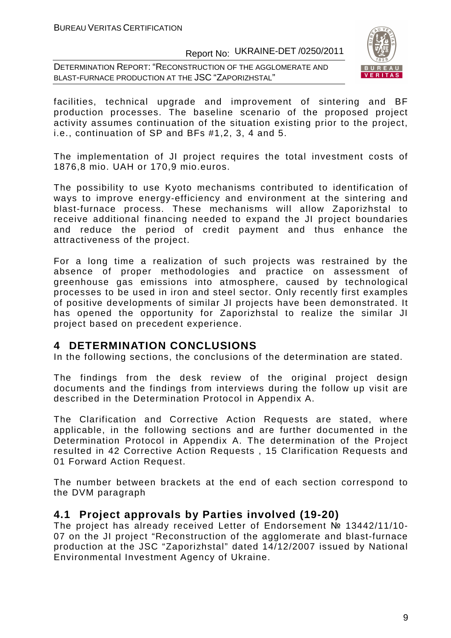DETERMINATION REPORT: "RECONSTRUCTION OF THE AGGLOMERATE AND BLAST-FURNACE PRODUCTION AT THE JSC "ZAPORIZHSTAL"



facilities, technical upgrade and improvement of sintering and BF production processes. The baseline scenario of the proposed project activity assumes continuation of the situation existing prior to the project, i.e., continuation of SP and BFs #1,2, 3, 4 and 5.

The implementation of JI project requires the total investment costs of 1876,8 mio. UAH or 170,9 mio.euros.

The possibility to use Kyoto mechanisms contributed to identification of ways to improve energy-efficiency and environment at the sintering and blast-furnace process. These mechanisms will allow Zaporizhstal to receive additional financing needed to expand the JI project boundaries and reduce the period of credit payment and thus enhance the attractiveness of the project.

For a long time a realization of such projects was restrained by the absence of proper methodologies and practice on assessment of greenhouse gas emissions into atmosphere, caused by technological processes to be used in iron and steel sector. Only recently first examples of positive developments of similar JI projects have been demonstrated. It has opened the opportunity for Zaporizhstal to realize the similar JI project based on precedent experience.

### **4 DETERMINATION CONCLUSIONS**

In the following sections, the conclusions of the determination are stated.

The findings from the desk review of the original project design documents and the findings from interviews during the follow up visit are described in the Determination Protocol in Appendix A.

The Clarification and Corrective Action Requests are stated, where applicable, in the following sections and are further documented in the Determination Protocol in Appendix A. The determination of the Project resulted in 42 Corrective Action Requests , 15 Clarification Requests and 01 Forward Action Request.

The number between brackets at the end of each section correspond to the DVM paragraph

#### **4.1 Project approvals by Parties involved (19-20)**

The project has already received Letter of Endorsement № 13442/11/10- 07 on the JI project "Reconstruction of the agglomerate and blast-furnace production at the JSC "Zaporizhstal" dated 14/12/2007 issued by National Environmental Investment Agency of Ukraine.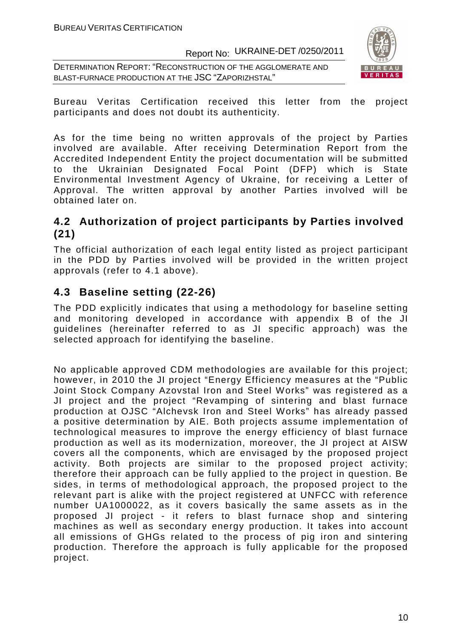DETERMINATION REPORT: "RECONSTRUCTION OF THE AGGLOMERATE AND BLAST-FURNACE PRODUCTION AT THE JSC "ZAPORIZHSTAL"



Bureau Veritas Certification received this letter from the project participants and does not doubt its authenticity.

As for the time being no written approvals of the project by Parties involved are available. After receiving Determination Report from the Accredited Independent Entity the project documentation will be submitted to the Ukrainian Designated Focal Point (DFP) which is State Environmental Investment Agency of Ukraine, for receiving a Letter of Approval. The written approval by another Parties involved will be obtained later on.

### **4.2 Authorization of project participants by Parties involved (21)**

The official authorization of each legal entity listed as project participant in the PDD by Parties involved will be provided in the written project approvals (refer to 4.1 above).

### **4.3 Baseline setting (22-26)**

The PDD explicitly indicates that using a methodology for baseline setting and monitoring developed in accordance with appendix B of the JI guidelines (hereinafter referred to as JI specific approach) was the selected approach for identifying the baseline.

No applicable approved CDM methodologies are available for this project; however, in 2010 the JI project "Energy Efficiency measures at the "Public Joint Stock Company Azovstal Iron and Steel Works" was registered as a JI project and the project "Revamping of sintering and blast furnace production at OJSC "Alchevsk Iron and Steel Works" has already passed a positive determination by AIE. Both projects assume implementation of technological measures to improve the energy efficiency of blast furnace production as well as its modernization, moreover, the JI project at AISW covers all the components, which are envisaged by the proposed project activity. Both projects are similar to the proposed project activity; therefore their approach can be fully applied to the project in question. Be sides, in terms of methodological approach, the proposed project to the relevant part is alike with the project registered at UNFCC with reference number UA1000022, as it covers basically the same assets as in the proposed JI project - it refers to blast furnace shop and sintering machines as well as secondary energy production. It takes into account all emissions of GHGs related to the process of pig iron and sintering production. Therefore the approach is fully applicable for the proposed project.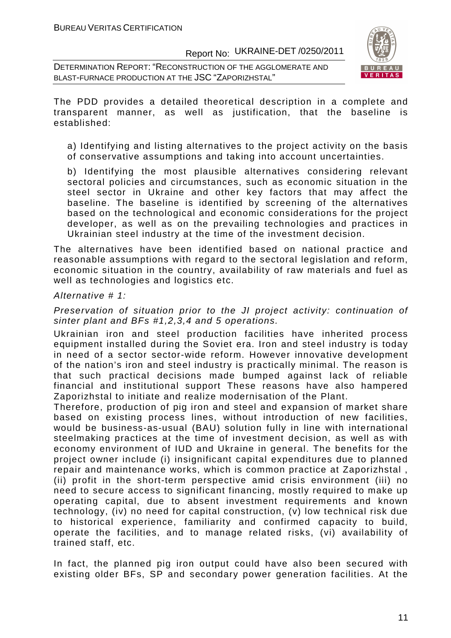DETERMINATION REPORT: "RECONSTRUCTION OF THE AGGLOMERATE AND BLAST-FURNACE PRODUCTION AT THE JSC "ZAPORIZHSTAL"



The PDD provides a detailed theoretical description in a complete and transparent manner, as well as justification, that the baseline is established:

a) Identifying and listing alternatives to the project activity on the basis of conservative assumptions and taking into account uncertainties.

b) Identifying the most plausible alternatives considering relevant sectoral policies and circumstances, such as economic situation in the steel sector in Ukraine and other key factors that may affect the baseline. The baseline is identified by screening of the alternatives based on the technological and economic considerations for the project developer, as well as on the prevailing technologies and practices in Ukrainian steel industry at the time of the investment decision.

The alternatives have been identified based on national practice and reasonable assumptions with regard to the sectoral legislation and reform, economic situation in the country, availability of raw materials and fuel as well as technologies and logistics etc.

#### Alternative # 1:

Preservation of situation prior to the JI project activity: continuation of sinter plant and BFs #1,2,3,4 and 5 operations.

Ukrainian iron and steel production facilities have inherited process equipment installed during the Soviet era. Iron and steel industry is today in need of a sector sector-wide reform. However innovative development of the nation's iron and steel industry is practically minimal. The reason is that such practical decisions made bumped against lack of reliable financial and institutional support These reasons have also hampered Zaporizhstal to initiate and realize modernisation of the Plant.

Therefore, production of pig iron and steel and expansion of market share based on existing process lines, without introduction of new facilities, would be business-as-usual (BAU) solution fully in line with international steelmaking practices at the time of investment decision, as well as with economy environment of IUD and Ukraine in general. The benefits for the project owner include (i) insignificant capital expenditures due to planned repair and maintenance works, which is common practice at Zaporizhstal , (ii) profit in the short-term perspective amid crisis environment (ііі) no need to secure access to significant financing, mostly required to make up operating capital, due to absent investment requirements and known technology, (iv) no need for capital construction, (v) low technical risk due to historical experience, familiarity and confirmed capacity to build, operate the facilities, and to manage related risks, (vі) availability of trained staff, etc.

In fact, the planned pig iron output could have also been secured with existing older BFs, SP and secondary power generation facilities. At the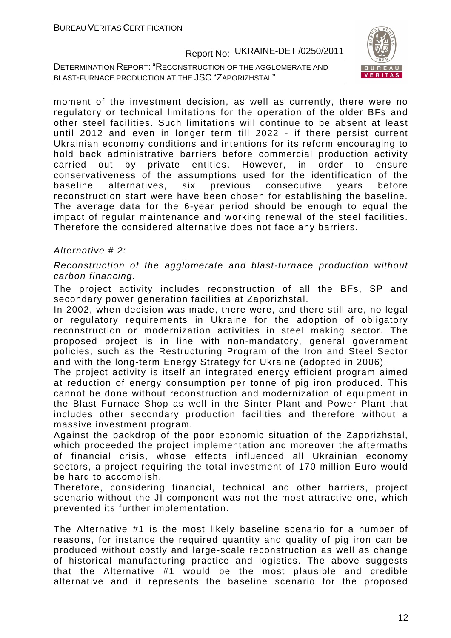DETERMINATION REPORT: "RECONSTRUCTION OF THE AGGLOMERATE AND BLAST-FURNACE PRODUCTION AT THE JSC "ZAPORIZHSTAL"



moment of the investment decision, as well as currently, there were no regulatory or technical limitations for the operation of the older BFs and other steel facilities. Such limitations will continue to be absent at least until 2012 and even in longer term till 2022 - if there persist current Ukrainian economy conditions and intentions for its reform encouraging to hold back administrative barriers before commercial production activity carried out by private entities. However, in order to ensure conservativeness of the assumptions used for the identification of the baseline alternatives, six previous consecutive years before reconstruction start were have been chosen for establishing the baseline. The average data for the 6-year period should be enough to equal the impact of regular maintenance and working renewal of the steel facilities. Therefore the considered alternative does not face any barriers.

#### Alternative # 2:

Reconstruction of the agglomerate and blast-furnace production without carbon financing.

The project activity includes reconstruction of all the BFs, SP and secondary power generation facilities at Zaporizhstal.

In 2002, when decision was made, there were, and there still are, no legal or regulatory requirements in Ukraine for the adoption of obligatory reconstruction or modernization activities in steel making sector. The proposed project is in line with non-mandatory, general government policies, such as the Restructuring Program of the Iron and Steel Sector and with the long-term Energy Strategy for Ukraine (adopted in 2006).

The project activity is itself an integrated energy efficient program aimed at reduction of energy consumption per tonne of pig iron produced. This cannot be done without reconstruction and modernization of equipment in the Blast Furnace Shop as well in the Sinter Plant and Power Plant that includes other secondary production facilities and therefore without a massive investment program.

Against the backdrop of the poor economic situation of the Zaporizhstal, which proceeded the project implementation and moreover the aftermaths of financial crisis, whose effects influenced all Ukrainian economy sectors, a project requiring the total investment of 170 million Euro would be hard to accomplish.

Therefore, considering financial, technical and other barriers, project scenario without the JI component was not the most attractive one, which prevented its further implementation.

The Alternative #1 is the most likely baseline scenario for a number of reasons, for instance the required quantity and quality of pig iron can be produced without costly and large-scale reconstruction as well as change of historical manufacturing practice and logistics. The above suggests that the Alternative #1 would be the most plausible and credible alternative and it represents the baseline scenario for the proposed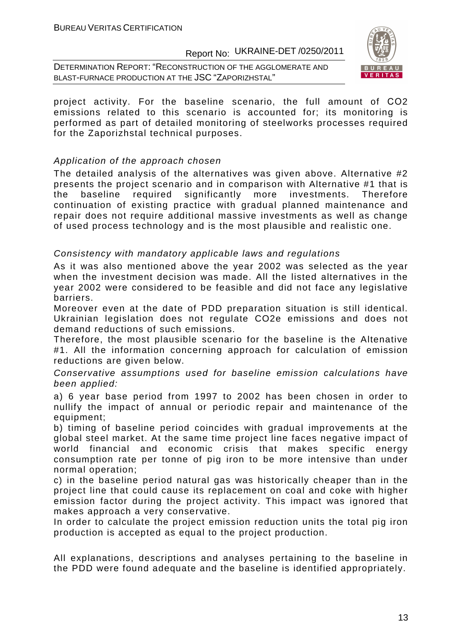DETERMINATION REPORT: "RECONSTRUCTION OF THE AGGLOMERATE AND BLAST-FURNACE PRODUCTION AT THE JSC "ZAPORIZHSTAL"



project activity. For the baseline scenario, the full amount of СО2 emissions related to this scenario is accounted for; its monitoring is performed as part of detailed monitoring of steelworks processes required for the Zaporizhstal technical purposes.

#### Application of the approach chosen

The detailed analysis of the alternatives was given above. Alternative #2 presents the project scenario and in comparison with Alternative #1 that is the baseline required significantly more investments. Therefore continuation of existing practice with gradual planned maintenance and repair does not require additional massive investments as well as change of used process technology and is the most plausible and realistic one.

#### Consistency with mandatory applicable laws and regulations

As it was also mentioned above the year 2002 was selected as the year when the investment decision was made. All the listed alternatives in the year 2002 were considered to be feasible and did not face any legislative barriers.

Moreover even at the date of PDD preparation situation is still identical. Ukrainian legislation does not regulate CO2e emissions and does not demand reductions of such emissions.

Therefore, the most plausible scenario for the baseline is the Altenative #1. All the information concerning approach for calculation of emission reductions are given below.

Conservative assumptions used for baseline emission calculations have been applied:

a) 6 year base period from 1997 to 2002 has been chosen in order to nullify the impact of annual or periodic repair and maintenance of the equipment;

b) timing of baseline period coincides with gradual improvements at the global steel market. At the same time project line faces negative impact of world financial and economic crisis that makes specific energy consumption rate per tonne of pig iron to be more intensive than under normal operation;

c) in the baseline period natural gas was historically cheaper than in the project line that could cause its replacement on coal and coke with higher emission factor during the project activity. This impact was ignored that makes approach a very conservative.

In order to calculate the project emission reduction units the total pig iron production is accepted as equal to the project production.

All explanations, descriptions and analyses pertaining to the baseline in the PDD were found adequate and the baseline is identified appropriately.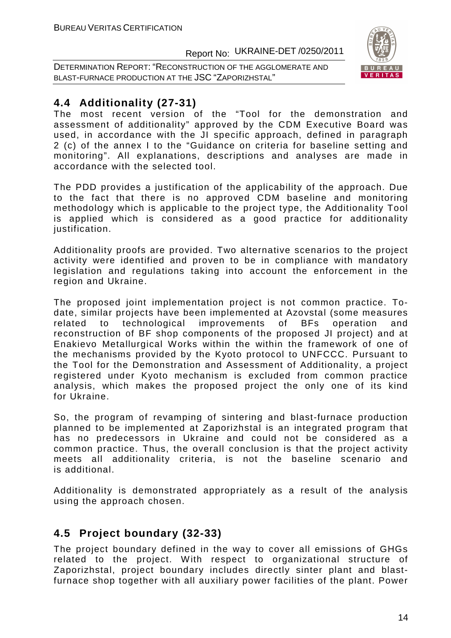DETERMINATION REPORT: "RECONSTRUCTION OF THE AGGLOMERATE AND BLAST-FURNACE PRODUCTION AT THE JSC "ZAPORIZHSTAL"



### **4.4 Additionality (27-31)**

The most recent version of the "Tool for the demonstration and assessment of additionality" approved by the CDM Executive Board was used, in accordance with the JI specific approach, defined in paragraph 2 (c) of the annex I to the "Guidance on criteria for baseline setting and monitoring". All explanations, descriptions and analyses are made in accordance with the selected tool.

The PDD provides a justification of the applicability of the approach. Due to the fact that there is no approved CDM baseline and monitoring methodology which is applicable to the project type, the Additionality Tool is applied which is considered as a good practice for additionality justification.

Additionality proofs are provided. Two alternative scenarios to the project activity were identified and proven to be in compliance with mandatory legislation and regulations taking into account the enforcement in the region and Ukraine.

The proposed joint implementation project is not common practice. Todate, similar projects have been implemented at Azovstal (some measures related to technological improvements of BFs operation and reconstruction of BF shop components of the proposed JI project) and at Enakievo Metallurgical Works within the within the framework of one of the mechanisms provided by the Kyoto protocol to UNFCCC. Pursuant to the Tool for the Demonstration and Assessment of Additionality, a project registered under Kyoto mechanism is excluded from common practice analysis, which makes the proposed project the only one of its kind for Ukraine.

So, the program of revamping of sintering and blast-furnace production planned to be implemented at Zaporizhstal is an integrated program that has no predecessors in Ukraine and could not be considered as a common practice. Thus, the overall conclusion is that the project activity meets all additionality criteria, is not the baseline scenario and is additional.

Additionality is demonstrated appropriately as a result of the analysis using the approach chosen.

### **4.5 Project boundary (32-33)**

The project boundary defined in the way to cover all emissions of GHGs related to the project. With respect to organizational structure of Zaporizhstal, project boundary includes directly sinter plant and blastfurnace shop together with all auxiliary power facilities of the plant. Power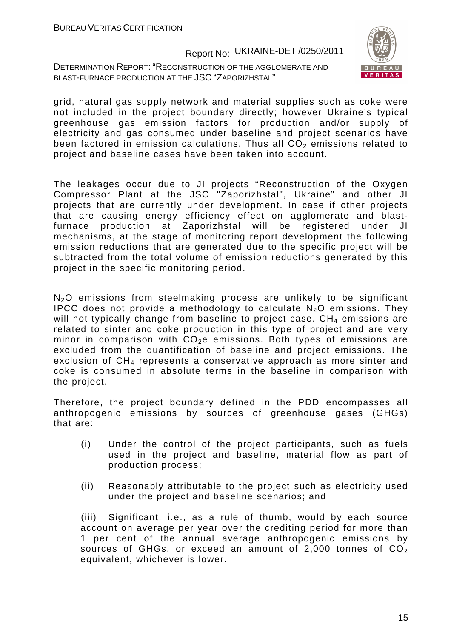DETERMINATION REPORT: "RECONSTRUCTION OF THE AGGLOMERATE AND BLAST-FURNACE PRODUCTION AT THE JSC "ZAPORIZHSTAL"



grid, natural gas supply network and material supplies such as coke were not included in the project boundary directly; however Ukraine's typical greenhouse gas emission factors for production and/or supply of electricity and gas consumed under baseline and project scenarios have been factored in emission calculations. Thus all  $CO<sub>2</sub>$  emissions related to project and baseline cases have been taken into account.

The leakages occur due to JI projects "Reconstruction of the Oxygen Compressor Plant at the JSC "Zaporizhstal", Ukraine" and other JI projects that are currently under development. In case if other projects that are causing energy efficiency effect on agglomerate and blastfurnace production at Zaporizhstal will be registered under JI mechanisms, at the stage of monitoring report development the following emission reductions that are generated due to the specific project will be subtracted from the total volume of emission reductions generated by this project in the specific monitoring period.

N<sub>2</sub>O emissions from steelmaking process are unlikely to be significant IPCC does not provide a methodology to calculate  $N_2O$  emissions. They will not typically change from baseline to project case.  $CH<sub>4</sub>$  emissions are related to sinter and coke production in this type of project and are very minor in comparison with  $CO<sub>2</sub>e$  emissions. Both types of emissions are excluded from the quantification of baseline and project emissions. The exclusion of  $CH<sub>4</sub>$  represents a conservative approach as more sinter and coke is consumed in absolute terms in the baseline in comparison with the project.

Therefore, the project boundary defined in the PDD encompasses all anthropogenic emissions by sources of greenhouse gases (GHGs) that are:

- (i) Under the control of the project participants, such as fuels used in the project and baseline, material flow as part of production process;
- (ii) Reasonably attributable to the project such as electricity used under the project and baseline scenarios; and

(iii) Significant, i.e., as a rule of thumb, would by each source account on average per year over the crediting period for more than 1 per cent of the annual average anthropogenic emissions by sources of GHGs, or exceed an amount of 2,000 tonnes of  $CO<sub>2</sub>$ equivalent, whichever is lower.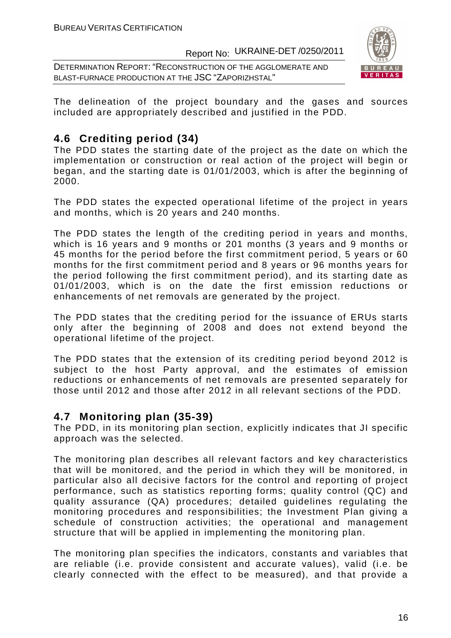DETERMINATION REPORT: "RECONSTRUCTION OF THE AGGLOMERATE AND BLAST-FURNACE PRODUCTION AT THE JSC "ZAPORIZHSTAL"



The delineation of the project boundary and the gases and sources included are appropriately described and justified in the PDD.

### **4.6 Crediting period (34)**

The PDD states the starting date of the project as the date on which the implementation or construction or real action of the project will begin or began, and the starting date is 01/01/2003, which is after the beginning of 2000.

The PDD states the expected operational lifetime of the project in years and months, which is 20 years and 240 months.

The PDD states the length of the crediting period in years and months, which is 16 years and 9 months or 201 months (3 years and 9 months or 45 months for the period before the first commitment period, 5 years or 60 months for the first commitment period and 8 years or 96 months years for the period following the first commitment period), and its starting date as 01/01/2003, which is on the date the first emission reductions or enhancements of net removals are generated by the project.

The PDD states that the crediting period for the issuance of ERUs starts only after the beginning of 2008 and does not extend beyond the operational lifetime of the project.

The PDD states that the extension of its crediting period beyond 2012 is subject to the host Party approval, and the estimates of emission reductions or enhancements of net removals are presented separately for those until 2012 and those after 2012 in all relevant sections of the PDD.

### **4.7 Monitoring plan (35-39)**

The PDD, in its monitoring plan section, explicitly indicates that JI specific approach was the selected.

The monitoring plan describes all relevant factors and key characteristics that will be monitored, and the period in which they will be monitored, in particular also all decisive factors for the control and reporting of project performance, such as statistics reporting forms; quality control (QC) and quality assurance (QA) procedures; detailed guidelines regulating the monitoring procedures and responsibilities; the Investment Plan giving a schedule of construction activities; the operational and management structure that will be applied in implementing the monitoring plan.

The monitoring plan specifies the indicators, constants and variables that are reliable (i.e. provide consistent and accurate values), valid (i.e. be clearly connected with the effect to be measured), and that provide a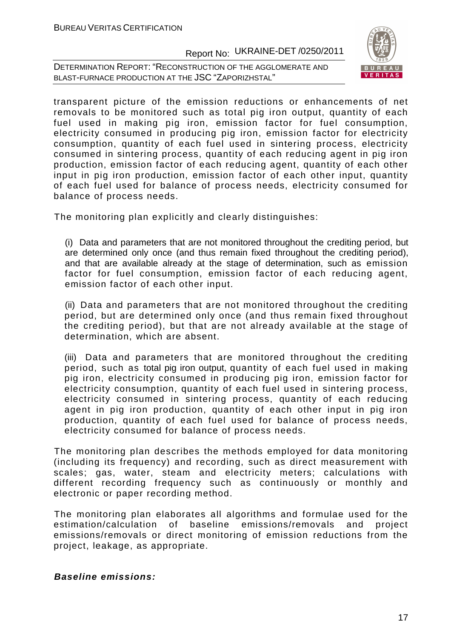DETERMINATION REPORT: "RECONSTRUCTION OF THE AGGLOMERATE AND BLAST-FURNACE PRODUCTION AT THE JSC "ZAPORIZHSTAL"



transparent picture of the emission reductions or enhancements of net removals to be monitored such as total pig iron output, quantity of each fuel used in making pig iron, emission factor for fuel consumption, electricity consumed in producing pig iron, emission factor for electricity consumption, quantity of each fuel used in sintering process, electricity consumed in sintering process, quantity of each reducing agent in pig iron production, emission factor of each reducing agent, quantity of each other input in pig iron production, emission factor of each other input, quantity of each fuel used for balance of process needs, electricity consumed for balance of process needs.

The monitoring plan explicitly and clearly distinguishes:

(i) Data and parameters that are not monitored throughout the crediting period, but are determined only once (and thus remain fixed throughout the crediting period), and that are available already at the stage of determination, such as emission factor for fuel consumption, emission factor of each reducing agent, emission factor of each other input.

(ii) Data and parameters that are not monitored throughout the crediting period, but are determined only once (and thus remain fixed throughout the crediting period), but that are not already available at the stage of determination, which are absent.

(iii) Data and parameters that are monitored throughout the crediting period, such as total pig iron output, quantity of each fuel used in making pig iron, electricity consumed in producing pig iron, emission factor for electricity consumption, quantity of each fuel used in sintering process, electricity consumed in sintering process, quantity of each reducing agent in pig iron production, quantity of each other input in pig iron production, quantity of each fuel used for balance of process needs, electricity consumed for balance of process needs.

The monitoring plan describes the methods employed for data monitoring (including its frequency) and recording, such as direct measurement with scales; gas, water, steam and electricity meters; calculations with different recording frequency such as continuously or monthly and electronic or paper recording method.

The monitoring plan elaborates all algorithms and formulae used for the estimation/calculation of baseline emissions/removals and project emissions/removals or direct monitoring of emission reductions from the project, leakage, as appropriate.

#### **Baseline emissions:**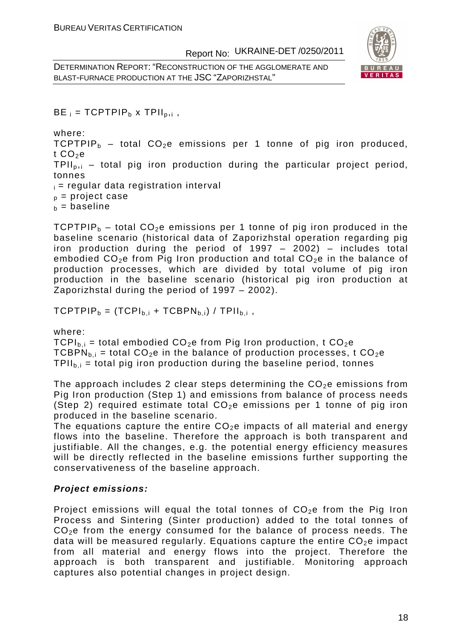DETERMINATION REPORT: "RECONSTRUCTION OF THE AGGLOMERATE AND BLAST-FURNACE PRODUCTION AT THE JSC "ZAPORIZHSTAL"



 $BE_i = TCPTPIP_b \times TPII_{b,i}$ 

where:

TCPTPIP<sub>b</sub> – total CO<sub>2</sub>e emissions per 1 tonne of pig iron produced, t  $CO<sub>2</sub>e$ 

 $TPI<sub>b,i</sub>$  – total pig iron production during the particular project period, tonnes

 $i =$  regular data registration interval

 $p_p$  = project case

 $b =$  baseline

TCPTPIP<sub>b</sub> – total CO<sub>2</sub>e emissions per 1 tonne of pig iron produced in the baseline scenario (historical data of Zaporizhstal operation regarding pig iron production during the period of 1997 – 2002) – includes total embodied  $CO<sub>2</sub>e$  from Pig Iron production and total  $CO<sub>2</sub>e$  in the balance of production processes, which are divided by total volume of pig iron production in the baseline scenario (historical pig iron production at Zaporizhstal during the period of 1997 – 2002).

 $TCPTPIP_b = (TCPI_{b,i} + TCPIN_{b,i}) / TPII_{b,i}$ ,

where:

 $TCPI_{b,i}$  = total embodied  $CO<sub>2</sub>e$  from Pig Iron production, t  $CO<sub>2</sub>e$ TCBPN<sub>b,i</sub> = total CO<sub>2</sub>e in the balance of production processes, t CO<sub>2</sub>e  $TPII<sub>b.i</sub> = total pig iron production during the baseline period, tonnes$ 

The approach includes 2 clear steps determining the  $CO<sub>2</sub>e$  emissions from Pig Iron production (Step 1) and emissions from balance of process needs (Step 2) required estimate total  $CO<sub>2</sub>e$  emissions per 1 tonne of pig iron produced in the baseline scenario.

The equations capture the entire  $CO<sub>2</sub>e$  impacts of all material and energy flows into the baseline. Therefore the approach is both transparent and justifiable. All the changes, e.g. the potential energy efficiency measures will be directly reflected in the baseline emissions further supporting the conservativeness of the baseline approach.

#### **Project emissions:**

Project emissions will equal the total tonnes of  $CO<sub>2</sub>e$  from the Pig Iron Process and Sintering (Sinter production) added to the total tonnes of  $CO<sub>2</sub>e$  from the energy consumed for the balance of process needs. The data will be measured regularly. Equations capture the entire  $CO<sub>2</sub>e$  impact from all material and energy flows into the project. Therefore the approach is both transparent and justifiable. Monitoring approach captures also potential changes in project design.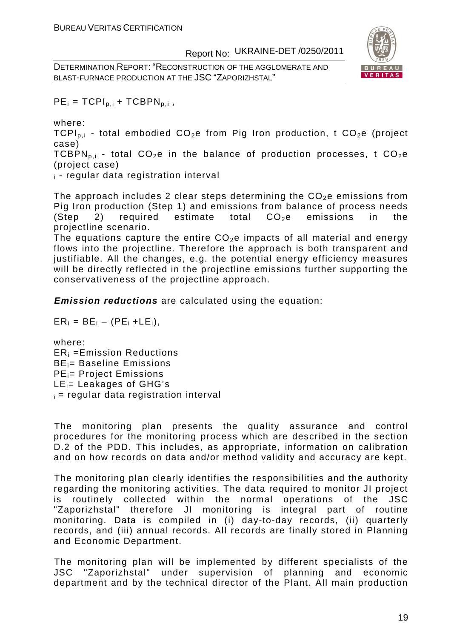DETERMINATION REPORT: "RECONSTRUCTION OF THE AGGLOMERATE AND BLAST-FURNACE PRODUCTION AT THE JSC "ZAPORIZHSTAL"



 $PE_i = TCPI_{p,i} + TCBPN_{p,i}$ ,

where:

TCPI<sub>p.i</sub> - total embodied  $CO<sub>2</sub>e$  from Pig Iron production, t  $CO<sub>2</sub>e$  (project case)

TCBPN<sub>pi</sub> - total CO<sub>2</sub>e in the balance of production processes, t CO<sub>2</sub>e (project case)

 $\epsilon$  - regular data registration interval

The approach includes 2 clear steps determining the  $CO<sub>2</sub>e$  emissions from Pig Iron production (Step 1) and emissions from balance of process needs (Step 2) required estimate total  $CO<sub>2</sub>e$  emissions in the projectline scenario.

The equations capture the entire  $CO<sub>2</sub>e$  impacts of all material and energy flows into the projectline. Therefore the approach is both transparent and justifiable. All the changes, e.g. the potential energy efficiency measures will be directly reflected in the projectline emissions further supporting the conservativeness of the projectline approach.

**Emission reductions** are calculated using the equation:

 $ER_i = BE_i - (PE_i + LE_i),$ 

where: ERi =Emission Reductions BEi= Baseline Emissions PEi= Project Emissions LEi= Leakages of GHG's  $i =$  regular data registration interval

The monitoring plan presents the quality assurance and control procedures for the monitoring process which are described in the section D.2 of the PDD. This includes, as appropriate, information on calibration and on how records on data and/or method validity and accuracy are kept.

The monitoring plan clearly identifies the responsibilities and the authority regarding the monitoring activities. The data required to monitor JI project is routinely collected within the normal operations of the JSC "Zaporizhstal" therefore JI monitoring is integral part of routine monitoring. Data is compiled in (i) day-to-day records, (ii) quarterly records, and (iii) annual records. All records are finally stored in Planning and Economic Department.

The monitoring plan will be implemented by different specialists of the JSC "Zaporizhstal" under supervision of planning and economic department and by the technical director of the Plant. All main production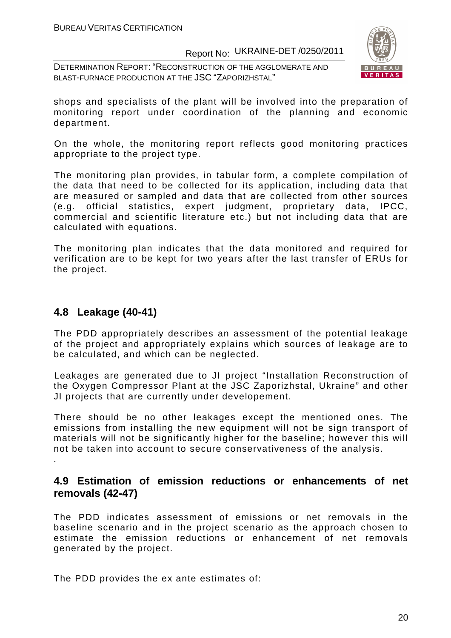DETERMINATION REPORT: "RECONSTRUCTION OF THE AGGLOMERATE AND BLAST-FURNACE PRODUCTION AT THE JSC "ZAPORIZHSTAL"



shops and specialists of the plant will be involved into the preparation of monitoring report under coordination of the planning and economic department.

On the whole, the monitoring report reflects good monitoring practices appropriate to the project type.

The monitoring plan provides, in tabular form, a complete compilation of the data that need to be collected for its application, including data that are measured or sampled and data that are collected from other sources (e.g. official statistics, expert judgment, proprietary data, IPCC, commercial and scientific literature etc.) but not including data that are calculated with equations.

The monitoring plan indicates that the data monitored and required for verification are to be kept for two years after the last transfer of ERUs for the project.

#### **4.8 Leakage (40-41)**

The PDD appropriately describes an assessment of the potential leakage of the project and appropriately explains which sources of leakage are to be calculated, and which can be neglected.

Leakages are generated due to JI project "Installation Reconstruction of the Oxygen Compressor Plant at the JSC Zaporizhstal, Ukraine" and other JI projects that are currently under developement.

There should be no other leakages except the mentioned ones. The emissions from installing the new equipment will not be sign transport of materials will not be significantly higher for the baseline; however this will not be taken into account to secure conservativeness of the analysis. .

### **4.9 Estimation of emission reductions or enhancements of net removals (42-47)**

The PDD indicates assessment of emissions or net removals in the baseline scenario and in the project scenario as the approach chosen to estimate the emission reductions or enhancement of net removals generated by the project.

The PDD provides the ex ante estimates of: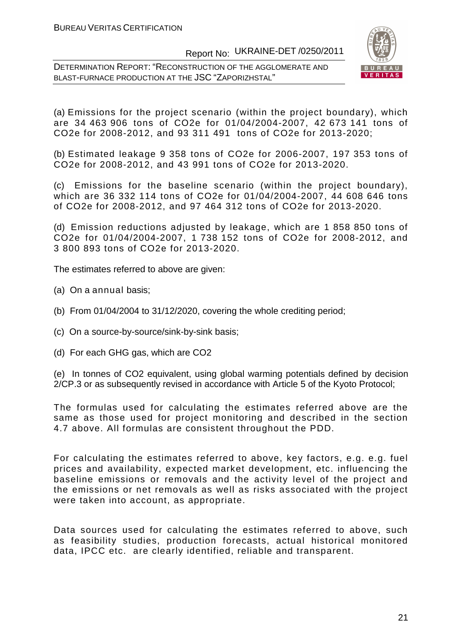DETERMINATION REPORT: "RECONSTRUCTION OF THE AGGLOMERATE AND BLAST-FURNACE PRODUCTION AT THE JSC "ZAPORIZHSTAL"



(a) Emissions for the project scenario (within the project boundary), which are 34 463 906 tons of CO2e for 01/04/2004-2007, 42 673 141 tons of CO2e for 2008-2012, and 93 311 491 tons of CO2e for 2013-2020;

(b) Estimated leakage 9 358 tons of CO2e for 2006-2007, 197 353 tons of CO2e for 2008-2012, and 43 991 tons of CO2e for 2013-2020.

(c) Emissions for the baseline scenario (within the project boundary), which are 36 332 114 tons of CO2e for 01/04/2004-2007, 44 608 646 tons of CO2e for 2008-2012, and 97 464 312 tons of CO2e for 2013-2020.

(d) Emission reductions adjusted by leakage, which are 1 858 850 tons of CO2e for 01/04/2004-2007, 1 738 152 tons of CO2e for 2008-2012, and 3 800 893 tons of CO2e for 2013-2020.

The estimates referred to above are given:

- (a) On a annual basis;
- (b) From 01/04/2004 to 31/12/2020, covering the whole crediting period;
- (c) On a source-by-source/sink-by-sink basis;
- (d) For each GHG gas, which are CO2

(e) In tonnes of CO2 equivalent, using global warming potentials defined by decision 2/CP.3 or as subsequently revised in accordance with Article 5 of the Kyoto Protocol;

The formulas used for calculating the estimates referred above are the same as those used for project monitoring and described in the section 4.7 above. All formulas are consistent throughout the PDD.

For calculating the estimates referred to above, key factors, e.g. e.g. fuel prices and availability, expected market development, etc. influencing the baseline emissions or removals and the activity level of the project and the emissions or net removals as well as risks associated with the project were taken into account, as appropriate.

Data sources used for calculating the estimates referred to above, such as feasibility studies, production forecasts, actual historical monitored data, IPCC etc. are clearly identified, reliable and transparent.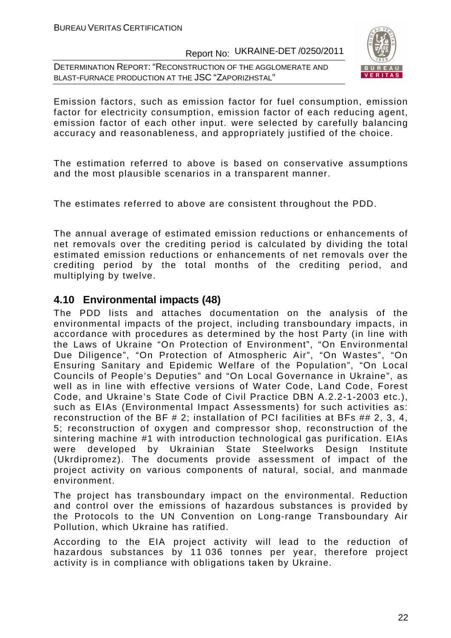DETERMINATION REPORT: "RECONSTRUCTION OF THE AGGLOMERATE AND BLAST-FURNACE PRODUCTION AT THE JSC "ZAPORIZHSTAL"



Emission factors, such as emission factor for fuel consumption, emission factor for electricity consumption, emission factor of each reducing agent, emission factor of each other input. were selected by carefully balancing accuracy and reasonableness, and appropriately justified of the choice.

The estimation referred to above is based on conservative assumptions and the most plausible scenarios in a transparent manner.

The estimates referred to above are consistent throughout the PDD.

The annual average of estimated emission reductions or enhancements of net removals over the crediting period is calculated by dividing the total estimated emission reductions or enhancements of net removals over the crediting period by the total months of the crediting period, and multiplying by twelve.

### **4.10 Environmental impacts (48)**

The PDD lists and attaches documentation on the analysis of the environmental impacts of the project, including transboundary impacts, in accordance with procedures as determined by the host Party (in line with the Laws of Ukraine "On Protection of Environment", "On Environmental Due Diligence", "On Protection of Atmospheric Air", "On Wastes", "On Ensuring Sanitary and Epidemic Welfare of the Population", "On Local Councils of People's Deputies" and "On Local Governance in Ukraine", as well as in line with effective versions of Water Code, Land Code, Forest Code, and Ukraine's State Code of Civil Practice DBN А.2.2-1-2003 etc.), such as EIAs (Environmental Impact Assessments) for such activities as: reconstruction of the BF # 2; installation of PCI facilities at BFs ## 2, 3, 4, 5; reconstruction of oxygen and compressor shop, reconstruction of the sintering machine #1 with introduction technological gas purification. EIAs were developed by Ukrainian State Steelworks Design Institute (Ukrdipromez). The documents provide assessment of impact of the project activity on various components of natural, social, and manmade environment.

The project has transboundary impact on the environmental. Reduction and control over the emissions of hazardous substances is provided by the Protocols to the UN Convention on Long-range Transboundary Air Pollution, which Ukraine has ratified.

According to the EIA project activity will lead to the reduction of hazardous substances by 11 036 tonnes per year, therefore project activity is in compliance with obligations taken by Ukraine.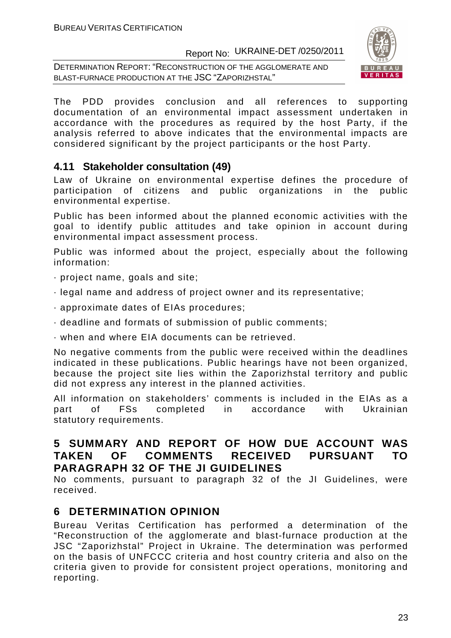DETERMINATION REPORT: "RECONSTRUCTION OF THE AGGLOMERATE AND BLAST-FURNACE PRODUCTION AT THE JSC "ZAPORIZHSTAL"



The PDD provides conclusion and all references to supporting documentation of an environmental impact assessment undertaken in accordance with the procedures as required by the host Party, if the analysis referred to above indicates that the environmental impacts are considered significant by the project participants or the host Party.

### **4.11 Stakeholder consultation (49)**

Law of Ukraine on environmental expertise defines the procedure of participation of citizens and public organizations in the public environmental expertise.

Public has been informed about the planned economic activities with the goal to identify public attitudes and take opinion in account during environmental impact assessment process.

Public was informed about the project, especially about the following information:

- · project name, goals and site;
- · legal name and address of project owner and its representative;
- · approximate dates of EIAs procedures;
- · deadline and formats of submission of public comments;
- · when and where EIA documents can be retrieved.

No negative comments from the public were received within the deadlines indicated in these publications. Public hearings have not been organized, because the project site lies within the Zaporizhstal territory and public did not express any interest in the planned activities.

All information on stakeholders' comments is included in the EIAs as a part of FSs completed in accordance with Ukrainian statutory requirements.

### **5 SUMMARY AND REPORT OF HOW DUE ACCOUNT WAS TAKEN OF COMMENTS RECEIVED PURSUANT TO PARAGRAPH 32 OF THE JI GUIDELINES**

No comments, pursuant to paragraph 32 of the JI Guidelines, were received.

### **6 DETERMINATION OPINION**

Bureau Veritas Certification has performed a determination of the "Reconstruction of the agglomerate and blast-furnace production at the JSC "Zaporizhstal" Project in Ukraine. The determination was performed on the basis of UNFCCC criteria and host country criteria and also on the criteria given to provide for consistent project operations, monitoring and reporting.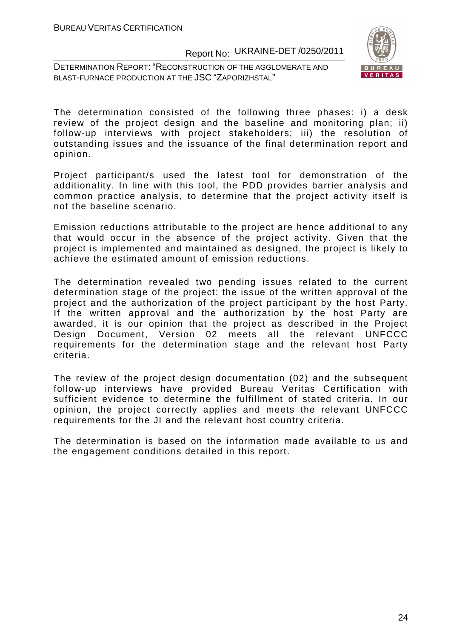DETERMINATION REPORT: "RECONSTRUCTION OF THE AGGLOMERATE AND BLAST-FURNACE PRODUCTION AT THE JSC "ZAPORIZHSTAL"



The determination consisted of the following three phases: i) a desk review of the project design and the baseline and monitoring plan; ii) follow-up interviews with project stakeholders; iii) the resolution of outstanding issues and the issuance of the final determination report and opinion.

Project participant/s used the latest tool for demonstration of the additionality. In line with this tool, the PDD provides barrier analysis and common practice analysis, to determine that the project activity itself is not the baseline scenario.

Emission reductions attributable to the project are hence additional to any that would occur in the absence of the project activity. Given that the project is implemented and maintained as designed, the project is likely to achieve the estimated amount of emission reductions.

The determination revealed two pending issues related to the current determination stage of the project: the issue of the written approval of the project and the authorization of the project participant by the host Party. If the written approval and the authorization by the host Party are awarded, it is our opinion that the project as described in the Project Design Document, Version 02 meets all the relevant UNFCCC requirements for the determination stage and the relevant host Party criteria.

The review of the project design documentation (02) and the subsequent follow-up interviews have provided Bureau Veritas Certification with sufficient evidence to determine the fulfillment of stated criteria. In our opinion, the project correctly applies and meets the relevant UNFCCC requirements for the JI and the relevant host country criteria.

The determination is based on the information made available to us and the engagement conditions detailed in this report.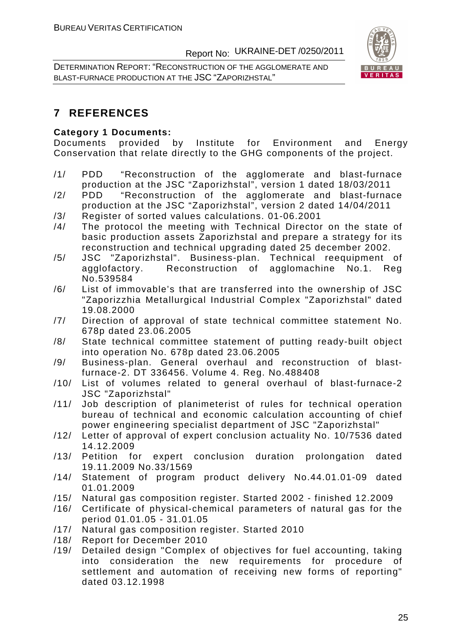DETERMINATION REPORT: "RECONSTRUCTION OF THE AGGLOMERATE AND BLAST-FURNACE PRODUCTION AT THE JSC "ZAPORIZHSTAL"



### **7 REFERENCES**

#### **Category 1 Documents:**

Documents provided by Institute for Environment and Energy Conservation that relate directly to the GHG components of the project.

- /1/ PDD "Reconstruction of the agglomerate and blast-furnace production at the JSC "Zaporizhstal", version 1 dated 18/03/2011
- /2/ PDD "Reconstruction of the agglomerate and blast-furnace production at the JSC "Zaporizhstal", version 2 dated 14/04/2011
- /3/ Register of sorted values calculations. 01-06.2001
- /4/ The protocol the meeting with Technical Director on the state of basic production assets Zaporizhstal and prepare a strategy for its reconstruction and technical upgrading dated 25 december 2002.
- /5/ JSC "Zaporizhstal". Business-plan. Technical reequipment of agglofactory. Reconstruction of agglomachine No.1. Reg No.539584
- /6/ List of immovable's that are transferred into the ownership of JSC "Zaporizzhia Metallurgical Industrial Complex "Zaporizhstal" dated 19.08.2000
- /7/ Direction of approval of state technical committee statement No. 678p dated 23.06.2005
- /8/ State technical committee statement of putting ready-built object into operation No. 678p dated 23.06.2005
- /9/ Business-plan. General overhaul and reconstruction of blastfurnace-2. DT 336456. Volume 4. Reg. No.488408
- /10/ List of volumes related to general overhaul of blast-furnace-2 JSC "Zaporizhstal"
- /11/ Job description of planimeterist of rules for technical operation bureau of technical and economic calculation accounting of chief power engineering specialist department of JSC "Zaporizhstal"
- /12/ Letter of approval of expert conclusion actuality No. 10/7536 dated 14.12.2009
- /13/ Petition for expert conclusion duration prolongation dated 19.11.2009 No.33/1569
- /14/ Statement of program product delivery No.44.01.01-09 dated 01.01.2009
- /15/ Natural gas composition register. Started 2002 finished 12.2009
- /16/ Certificate of physical-chemical parameters of natural gas for the period 01.01.05 - 31.01.05
- /17/ Natural gas composition register. Started 2010
- /18/ Report for December 2010
- /19/ Detailed design "Complex of objectives for fuel accounting, taking into consideration the new requirements for procedure of settlement and automation of receiving new forms of reporting" dated 03.12.1998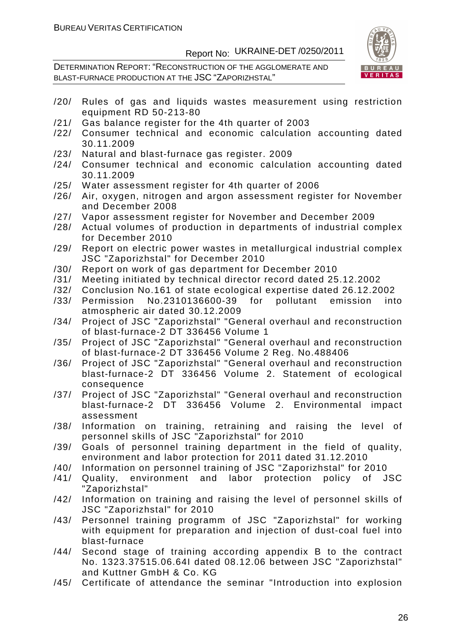DETERMINATION REPORT: "RECONSTRUCTION OF THE AGGLOMERATE AND BLAST-FURNACE PRODUCTION AT THE JSC "ZAPORIZHSTAL"



- /20/ Rules of gas and liquids wastes measurement using restriction equipment RD 50-213-80
- /21/ Gas balance register for the 4th quarter of 2003
- /22/ Consumer technical and economic calculation accounting dated 30.11.2009
- /23/ Natural and blast-furnace gas register. 2009
- /24/ Consumer technical and economic calculation accounting dated 30.11.2009
- /25/ Water assessment register for 4th quarter of 2006
- /26/ Air, oxygen, nitrogen and argon assessment register for November and December 2008
- /27/ Vapor assessment register for November and December 2009
- /28/ Actual volumes of production in departments of industrial complex for December 2010
- /29/ Report on electric power wastes in metallurgical industrial complex JSC "Zaporizhstal" for December 2010
- /30/ Report on work of gas department for December 2010
- /31/ Meeting initiated by technical director record dated 25.12.2002
- /32/ Conclusion No.161 of state ecological expertise dated 26.12.2002
- /33/ Permission No.2310136600-39 for pollutant emission into atmospheric air dated 30.12.2009
- /34/ Project of JSC "Zaporizhstal" "General overhaul and reconstruction of blast-furnace-2 DT 336456 Volume 1
- /35/ Project of JSC "Zaporizhstal" "General overhaul and reconstruction of blast-furnace-2 DT 336456 Volume 2 Reg. No.488406
- /36/ Project of JSC "Zaporizhstal" "General overhaul and reconstruction blast-furnace-2 DT 336456 Volume 2. Statement of ecological consequence
- /37/ Project of JSC "Zaporizhstal" "General overhaul and reconstruction blast-furnace-2 DT 336456 Volume 2. Environmental impact assessment
- /38/ Information on training, retraining and raising the level of personnel skills of JSC "Zaporizhstal" for 2010
- /39/ Goals of personnel training department in the field of quality, environment and labor protection for 2011 dated 31.12.2010
- /40/ Information on personnel training of JSC "Zaporizhstal" for 2010
- /41/ Quality, environment and labor protection policy of JSC "Zaporizhstal"
- /42/ Information on training and raising the level of personnel skills of JSC "Zaporizhstal" for 2010
- /43/ Personnel training programm of JSC "Zaporizhstal" for working with equipment for preparation and injection of dust-coal fuel into blast-furnace
- /44/ Second stage of training according appendix B to the contract No. 1323.37515.06.64I dated 08.12.06 between JSC "Zaporizhstal" and Kuttner GmbH & Co. KG
- /45/ Certificate of attendance the seminar "Introduction into explosion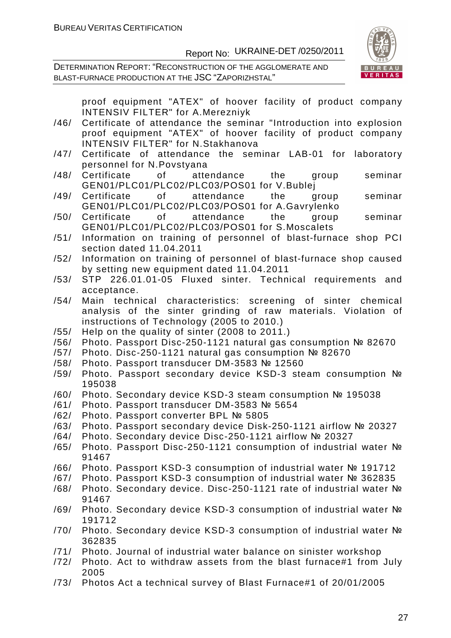DETERMINATION REPORT: "RECONSTRUCTION OF THE AGGLOMERATE AND BLAST-FURNACE PRODUCTION AT THE JSC "ZAPORIZHSTAL"



|      | proof equipment "ATEX" of hoover facility of product company<br><b>INTENSIV FILTER"</b> for A.Merezniyk |
|------|---------------------------------------------------------------------------------------------------------|
| /46/ | Certificate of attendance the seminar "Introduction into explosion                                      |
|      | proof equipment "ATEX" of hoover facility of product company                                            |
|      | <b>INTENSIV FILTER"</b> for N.Stakhanova                                                                |
| /47/ | Certificate of attendance the seminar LAB-01 for laboratory                                             |
|      | personnel for N. Povstyana                                                                              |
| /48/ | attendance the group<br>Certificate<br>0f<br>seminar                                                    |
|      | GEN01/PLC01/PLC02/PLC03/POS01 for V.Bublej                                                              |
| /49/ | of attendance<br>seminar<br>Certificate<br>the<br>group                                                 |
|      | GEN01/PLC01/PLC02/PLC03/POS01 for A.Gavrylenko                                                          |
| /50/ | seminar<br>Certificate<br>of attendance the<br>group                                                    |
|      | GEN01/PLC01/PLC02/PLC03/POS01 for S.Moscalets                                                           |
| /51/ | Information on training of personnel of blast-furnace shop PCI                                          |
|      | section dated 11.04.2011                                                                                |
| /52/ | Information on training of personnel of blast-furnace shop caused                                       |
|      | by setting new equipment dated 11.04.2011                                                               |
| /53/ | STP 226.01.01-05 Fluxed sinter. Technical requirements and                                              |
|      | acceptance.                                                                                             |
| /54/ | Main technical characteristics: screening of sinter chemical                                            |
|      | analysis of the sinter grinding of raw materials. Violation of                                          |
|      | instructions of Technology (2005 to 2010.)                                                              |
| /55/ | Help on the quality of sinter (2008 to 2011.)                                                           |
| /56/ | Photo. Passport Disc-250-1121 natural gas consumption № 82670                                           |
| /57/ | Photo. Disc-250-1121 natural gas consumption № 82670                                                    |
| /58/ | Photo. Passport transducer DM-3583 № 12560                                                              |
| /59/ | Photo. Passport secondary device KSD-3 steam consumption №                                              |
|      | 195038                                                                                                  |
| /60/ | Photo. Secondary device KSD-3 steam consumption № 195038                                                |
| /61/ | Photo. Passport transducer DM-3583 № 5654                                                               |
| /62/ | Photo. Passport converter BPL № 5805                                                                    |
| /63/ | Photo. Passport secondary device Disk-250-1121 airflow № 20327                                          |
| /64/ | Photo. Secondary device Disc-250-1121 airflow № 20327                                                   |
| /65/ | Photo. Passport Disc-250-1121 consumption of industrial water Nº                                        |
|      | 91467                                                                                                   |
| /66/ | Photo. Passport KSD-3 consumption of industrial water № 191712                                          |
| /67/ | Photo. Passport KSD-3 consumption of industrial water № 362835                                          |
| /68/ | Photo. Secondary device. Disc-250-1121 rate of industrial water Nº                                      |
|      | 91467                                                                                                   |
| /69/ | Photo. Secondary device KSD-3 consumption of industrial water No.                                       |
|      | 191712                                                                                                  |
| /70/ | Photo. Secondary device KSD-3 consumption of industrial water Nº                                        |
|      | 362835                                                                                                  |
| /71/ | Photo. Journal of industrial water balance on sinister workshop                                         |
| /72/ | Photo. Act to withdraw assets from the blast furnace#1 from July<br>2005                                |

/73/ Photos Act a technical survey of Blast Furnace#1 of 20/01/2005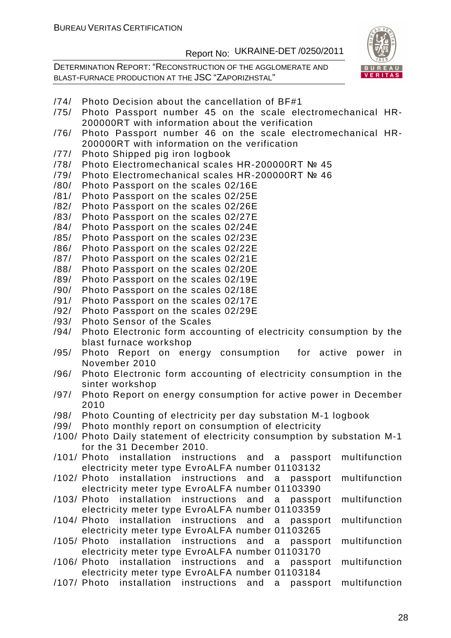DETERMINATION REPORT: "RECONSTRUCTION OF THE AGGLOMERATE AND BLAST-FURNACE PRODUCTION AT THE JSC "ZAPORIZHSTAL"



- /74/ Photo Decision about the cancellation of BF#1
- /75/ Photo Passport number 45 on the scale electromechanical HR-200000RT with information about the verification
- /76/ Photo Passport number 46 on the scale electromechanical HR-200000RT with information on the verification
- /77/ Photo Shipped pig iron logbook
- /78/ Photo Electromechanical scales HR-200000RT № 45
- /79/ Photo Electromechanical scales HR-200000RT № 46
- /80/ Photo Passport on the scales 02/16E
- /81/ Photo Passport on the scales 02/25E
- /82/ Photo Passport on the scales 02/26E
- /83/ Photo Passport on the scales 02/27E
- /84/ Photo Passport on the scales 02/24E
- /85/ Photo Passport on the scales 02/23E
- /86/ Photo Passport on the scales 02/22E
- /87/ Photo Passport on the scales 02/21E
- /88/ Photo Passport on the scales 02/20E
- /89/ Photo Passport on the scales 02/19E
- /90/ Photo Passport on the scales 02/18E
- /91/ Photo Passport on the scales 02/17E
- /92/ Photo Passport on the scales 02/29E
- /93/ Photo Sensor of the Scales
- /94/ Photo Electronic form accounting of electricity consumption by the blast furnace workshop
- /95/ Photo Report on energy consumption for active power in November 2010
- /96/ Photo Electronic form accounting of electricity consumption in the sinter workshop
- /97/ Photo Report on energy consumption for active power in December 2010
- /98/ Photo Counting of electricity per day substation M-1 logbook
- /99/ Photo monthly report on consumption of electricity
- /100/ Photo Daily statement of electricity consumption by substation M-1 for the 31 December 2010.
- /101/ Photo installation instructions and a passport multifunction electricity meter type EvroALFA number 01103132
- /102/ Photo installation instructions and a passport multifunction electricity meter type EvroALFA number 01103390
- /103/ Photo installation instructions and a passport multifunction electricity meter type EvroALFA number 01103359
- /104/ Photo installation instructions and a passport multifunction electricity meter type EvroALFA number 01103265
- /105/ Photo installation instructions and a passport multifunction electricity meter type EvroALFA number 01103170
- /106/ Photo installation instructions and a passport multifunction electricity meter type EvroALFA number 01103184
- /107/ Photo installation instructions and a passport multifunction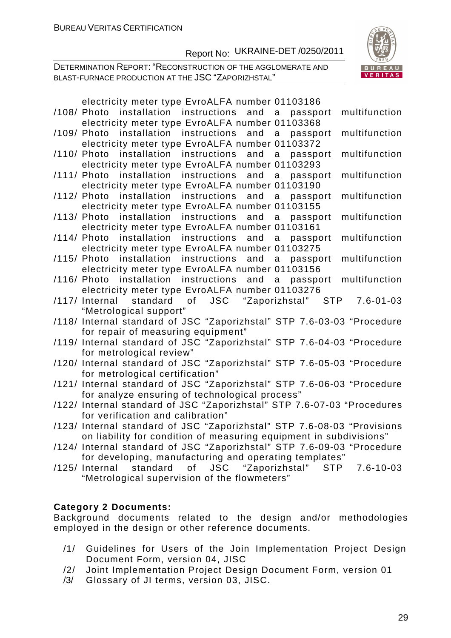DETERMINATION REPORT: "RECONSTRUCTION OF THE AGGLOMERATE AND BLAST-FURNACE PRODUCTION AT THE JSC "ZAPORIZHSTAL"



| electricity meter type EvroALFA number 01103186                                                               |
|---------------------------------------------------------------------------------------------------------------|
| installation instructions and<br>/108/ Photo<br>$\overline{a}$<br>multifunction<br>passport                   |
| electricity meter type EvroALFA number 01103368                                                               |
| installation instructions and<br>multifunction<br>/109/ Photo<br>$\alpha$<br>passport                         |
| electricity meter type EvroALFA number 01103372                                                               |
| installation instructions<br>and<br>multifunction<br>/110/ Photo<br>a<br>passport                             |
| electricity meter type EvroALFA number 01103293                                                               |
| installation instructions<br>and<br>multifunction<br>/111/ Photo<br>a<br>passport                             |
| electricity meter type EvroALFA number 01103190                                                               |
| /112/ Photo installation instructions<br>and<br>multifunction<br>a<br>passport                                |
| electricity meter type EvroALFA number 01103155                                                               |
| /113/ Photo installation instructions and<br>multifunction<br>$\mathsf{a}$<br>passport                        |
| electricity meter type EvroALFA number 01103161                                                               |
| /114/ Photo installation instructions and<br>multifunction<br>a<br>passport                                   |
| electricity meter type EvroALFA number 01103275<br>/115/ Photo installation instructions and<br>multifunction |
| a<br>passport<br>electricity meter type EvroALFA number 01103156                                              |
| /116/ Photo installation instructions and a<br>multifunction<br>passport                                      |
| electricity meter type EvroALFA number 01103276                                                               |
| JSC "Zaporizhstal" STP<br>of<br>/117/ Internal<br>standard<br>$7.6 - 01 - 03$                                 |
| "Metrological support"                                                                                        |
| /118/ Internal standard of JSC "Zaporizhstal" STP 7.6-03-03 "Procedure                                        |
| for repair of measuring equipment"                                                                            |
| /119/ Internal standard of JSC "Zaporizhstal" STP 7.6-04-03 "Procedure                                        |
| for metrological review"                                                                                      |
| /120/ Internal standard of JSC "Zaporizhstal" STP 7.6-05-03 "Procedure                                        |
| for metrological certification"                                                                               |
| /121/ Internal standard of JSC "Zaporizhstal" STP 7.6-06-03 "Procedure                                        |
| for analyze ensuring of technological process"                                                                |
| /122/ Internal standard of JSC "Zaporizhstal" STP 7.6-07-03 "Procedures                                       |
| for verification and calibration"                                                                             |
| /123/ Internal standard of JSC "Zaporizhstal" STP 7.6-08-03 "Provisions                                       |
| on liability for condition of measuring equipment in subdivisions"                                            |
| /124/ Internal standard of JSC "Zaporizhstal" STP 7.6-09-03 "Procedure                                        |
| for developing, manufacturing and operating templates"                                                        |
| JSC "Zaporizhstal"<br>$7.6 - 10 - 03$<br>/125/ Internal<br>standard<br>of<br><b>STP</b>                       |
| "Metrological supervision of the flowmeters"                                                                  |

#### **Category 2 Documents:**

Background documents related to the design and/or methodologies employed in the design or other reference documents.

- /1/ Guidelines for Users of the Join Implementation Project Design Document Form, version 04, JISC
- /2/ Joint Implementation Project Design Document Form, version 01
- /3/ Glossary of JI terms, version 03, JISC.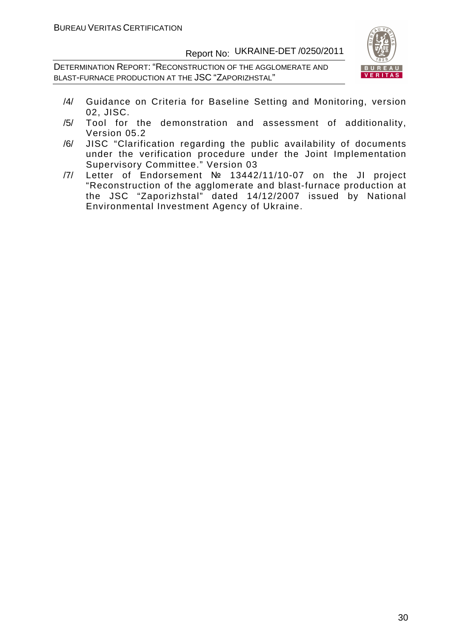DETERMINATION REPORT: "RECONSTRUCTION OF THE AGGLOMERATE AND BLAST-FURNACE PRODUCTION AT THE JSC "ZAPORIZHSTAL"



- /4/ Guidance on Criteria for Baseline Setting and Monitoring, version 02, JISC.
- /5/ Tool for the demonstration and assessment of additionality, Version 05.2
- /6/ JISC "Clarification regarding the public availability of documents under the verification procedure under the Joint Implementation Supervisory Committee." Version 03
- /7/ Letter of Endorsement № 13442/11/10-07 on the JI project "Reconstruction of the agglomerate and blast-furnace production at the JSC "Zaporizhstal" dated 14/12/2007 issued by National Environmental Investment Agency of Ukraine.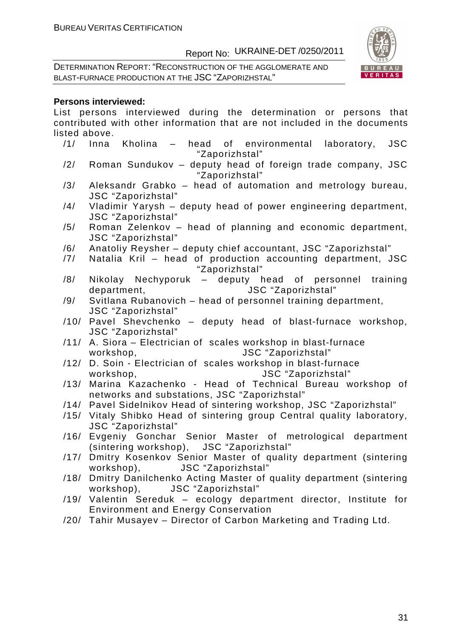DETERMINATION REPORT: "RECONSTRUCTION OF THE AGGLOMERATE AND BLAST-FURNACE PRODUCTION AT THE JSC "ZAPORIZHSTAL"



#### **Persons interviewed:**

List persons interviewed during the determination or persons that contributed with other information that are not included in the documents listed above.

- /1/ Inna Kholina head of environmental laboratory, JSC "Zaporizhstal"
- /2/ Roman Sundukov deputy head of foreign trade company, JSC "Zaporizhstal"
- /3/ Aleksandr Grabko head of automation and metrology bureau, JSC "Zaporizhstal"
- /4/ Vladimir Yarysh deputy head of power engineering department, JSC "Zaporizhstal"
- /5/ Roman Zelenkov head of planning and economic department, JSC "Zaporizhstal"
- /6/ Anatoliy Reysher deputy chief accountant, JSC "Zaporizhstal"
- /7/ Natalia Kril head of production accounting department, JSC "Zaporizhstal"
- /8/ Nikolay Nechyporuk deputy head of personnel training department, JSC "Zaporizhstal"
- /9/ Svitlana Rubanovich head of personnel training department, JSC "Zaporizhstal"
- /10/ Pavel Shevchenko deputy head of blast-furnace workshop, JSC "Zaporizhstal"
- /11/ A. Siora Electrician of scales workshop in blast-furnace workshop, JSC "Zaporizhstal"
- /12/ D. Soin Electrician of scales workshop in blast-furnace workshop, JSC "Zaporizhstal"
- /13/ Marina Kazachenko Head of Technical Bureau workshop of networks and substations, JSC "Zaporizhstal"
- /14/ Pavel Sidelnikov Head of sintering workshop, JSC "Zaporizhstal"
- /15/ Vitaly Shibko Head of sintering group Central quality laboratory, JSC "Zaporizhstal"
- /16/ Evgeniy Gonchar Senior Master of metrological department (sintering workshop), JSC "Zaporizhstal"
- /17/ Dmitry Kosenkov Senior Master of quality department (sintering workshop), JSC "Zaporizhstal"
- /18/ Dmitry Danilchenko Acting Master of quality department (sintering workshop), JSC "Zaporizhstal"
- /19/ Valentin Sereduk ecology department director, Institute for Environment and Energy Conservation
- /20/ Tahir Musayev Director of Carbon Marketing and Trading Ltd.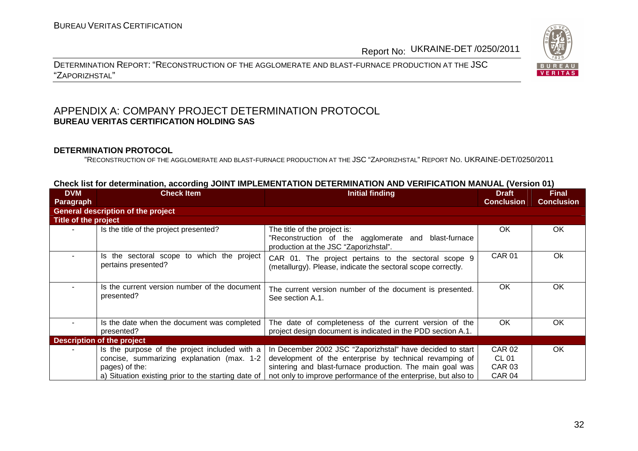DETERMINATION REPORT: "RECONSTRUCTION OF THE AGGLOMERATE AND BLAST-FURNACE PRODUCTION AT THE JSC"ZAPORIZHSTAL"

#### APPENDIX A: COMPANY PROJECT DETERMINATION PROTOCOL **BUREAU VERITAS CERTIFICATION HOLDING SAS**

#### **DETERMINATION PROTOCOL**

"RECONSTRUCTION OF THE AGGLOMERATE AND BLAST-FURNACE PRODUCTION AT THE JSC "ZAPORIZHSTAL" <sup>R</sup>EPORT NO. UKRAINE-DET/0250/2011

| <b>DVM</b>                  | <b>Check Item</b>                                   | Initial finding                                                | <b>Draft</b>      | <b>Final</b>      |
|-----------------------------|-----------------------------------------------------|----------------------------------------------------------------|-------------------|-------------------|
| Paragraph                   |                                                     |                                                                | <b>Conclusion</b> | <b>Conclusion</b> |
|                             |                                                     |                                                                |                   |                   |
|                             | <b>General description of the project</b>           |                                                                |                   |                   |
| <b>Title of the project</b> |                                                     |                                                                |                   |                   |
|                             | Is the title of the project presented?              | The title of the project is:                                   | OK.               | OK                |
|                             |                                                     | Reconstruction of the agglomerate and blast-furnace            |                   |                   |
|                             |                                                     | production at the JSC "Zaporizhstal".                          |                   |                   |
|                             | Is the sectoral scope to which the project          | CAR 01. The project pertains to the sectoral scope 9           | <b>CAR 01</b>     | 0k                |
|                             | pertains presented?                                 | (metallurgy). Please, indicate the sectoral scope correctly.   |                   |                   |
|                             |                                                     |                                                                |                   |                   |
|                             | Is the current version number of the document       |                                                                | <b>OK</b>         | <b>OK</b>         |
|                             | presented?                                          | The current version number of the document is presented.       |                   |                   |
|                             |                                                     | See section A.1.                                               |                   |                   |
|                             |                                                     |                                                                |                   |                   |
|                             | Is the date when the document was completed         | The date of completeness of the current version of the         | OK.               | OK.               |
|                             | presented?                                          | project design document is indicated in the PDD section A.1.   |                   |                   |
|                             | <b>Description of the project</b>                   |                                                                |                   |                   |
|                             | Is the purpose of the project included with a       | In December 2002 JSC "Zaporizhstal" have decided to start      | <b>CAR 02</b>     | OK.               |
|                             | concise, summarizing explanation (max. 1-2          | development of the enterprise by technical revamping of        | <b>CL 01</b>      |                   |
|                             | pages) of the:                                      | sintering and blast-furnace production. The main goal was      | <b>CAR 03</b>     |                   |
|                             | a) Situation existing prior to the starting date of | not only to improve performance of the enterprise, but also to | CAR 04            |                   |

#### **Check list for determination, according JOINT IMPLEMENTATION DETERMINATION AND VERIFICATION MANUAL (Version 01)**

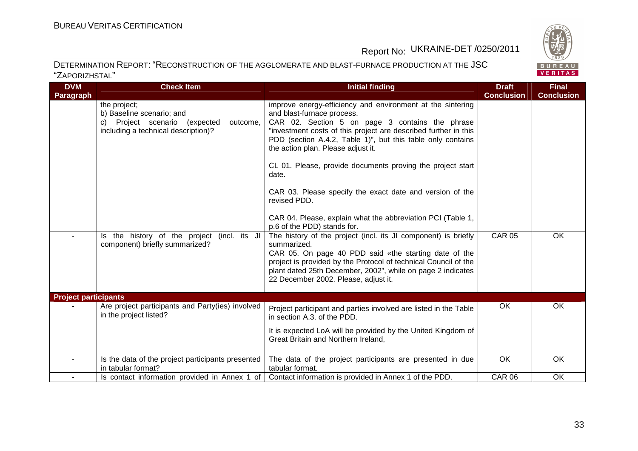

#### DETERMINATION REPORT: "RECONSTRUCTION OF THE AGGLOMERATE AND BLAST-FURNACE PRODUCTION AT THE JSC"ZAPORIZHSTAL"

| <b>DVM</b>                  | <b>Check Item</b>                                                                                                             | <b>Initial finding</b>                                                                                                                                                                                                                                                                                                                                                                                                                                                                                                                                               | <b>Draft</b>      | <b>Final</b>      |
|-----------------------------|-------------------------------------------------------------------------------------------------------------------------------|----------------------------------------------------------------------------------------------------------------------------------------------------------------------------------------------------------------------------------------------------------------------------------------------------------------------------------------------------------------------------------------------------------------------------------------------------------------------------------------------------------------------------------------------------------------------|-------------------|-------------------|
| Paragraph                   |                                                                                                                               |                                                                                                                                                                                                                                                                                                                                                                                                                                                                                                                                                                      | <b>Conclusion</b> | <b>Conclusion</b> |
|                             | the project;<br>b) Baseline scenario; and<br>c) Project scenario (expected<br>outcome,<br>including a technical description)? | improve energy-efficiency and environment at the sintering<br>and blast-furnace process.<br>CAR 02. Section 5 on page 3 contains the phrase<br>"investment costs of this project are described further in this<br>PDD (section A.4.2, Table 1)", but this table only contains<br>the action plan. Please adjust it.<br>CL 01. Please, provide documents proving the project start<br>date.<br>CAR 03. Please specify the exact date and version of the<br>revised PDD.<br>CAR 04. Please, explain what the abbreviation PCI (Table 1,<br>p.6 of the PDD) stands for. |                   |                   |
| $\sim$                      | Is the history of the project (incl. its JI<br>component) briefly summarized?                                                 | The history of the project (incl. its JI component) is briefly<br>summarized.<br>CAR 05. On page 40 PDD said «the starting date of the<br>project is provided by the Protocol of technical Council of the<br>plant dated 25th December, 2002", while on page 2 indicates<br>22 December 2002. Please, adjust it.                                                                                                                                                                                                                                                     | <b>CAR 05</b>     | OK                |
| <b>Project participants</b> |                                                                                                                               |                                                                                                                                                                                                                                                                                                                                                                                                                                                                                                                                                                      |                   |                   |
|                             | Are project participants and Party(ies) involved<br>in the project listed?                                                    | Project participant and parties involved are listed in the Table<br>in section A.3. of the PDD.<br>It is expected LoA will be provided by the United Kingdom of<br>Great Britain and Northern Ireland,                                                                                                                                                                                                                                                                                                                                                               | OK                | OK                |
|                             | Is the data of the project participants presented<br>in tabular format?                                                       | The data of the project participants are presented in due<br>tabular format.                                                                                                                                                                                                                                                                                                                                                                                                                                                                                         | OK                | OK                |
|                             | Is contact information provided in Annex 1 of                                                                                 | Contact information is provided in Annex 1 of the PDD.                                                                                                                                                                                                                                                                                                                                                                                                                                                                                                               | <b>CAR 06</b>     | OK                |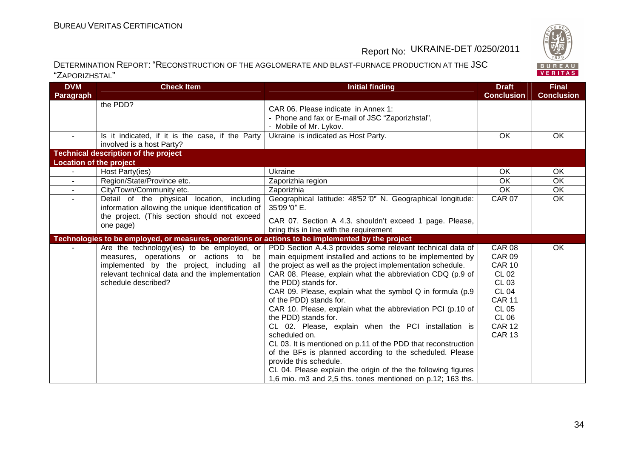

#### DETERMINATION REPORT: "RECONSTRUCTION OF THE AGGLOMERATE AND BLAST-FURNACE PRODUCTION AT THE JSC"ZAPORIZHSTAL"

| <b>DVM</b>                     | <b>Check Item</b>                                                                                                                                                                                         | <b>Initial finding</b>                                                                                                                                                                                                                                                                                                                                                                                                                                                                                                                                                                                                                                                                                                                                                                                                  | <b>Draft</b>                                                                                                                                                                       | <b>Final</b>      |
|--------------------------------|-----------------------------------------------------------------------------------------------------------------------------------------------------------------------------------------------------------|-------------------------------------------------------------------------------------------------------------------------------------------------------------------------------------------------------------------------------------------------------------------------------------------------------------------------------------------------------------------------------------------------------------------------------------------------------------------------------------------------------------------------------------------------------------------------------------------------------------------------------------------------------------------------------------------------------------------------------------------------------------------------------------------------------------------------|------------------------------------------------------------------------------------------------------------------------------------------------------------------------------------|-------------------|
| Paragraph                      |                                                                                                                                                                                                           |                                                                                                                                                                                                                                                                                                                                                                                                                                                                                                                                                                                                                                                                                                                                                                                                                         | <b>Conclusion</b>                                                                                                                                                                  | <b>Conclusion</b> |
|                                | the PDD?                                                                                                                                                                                                  | CAR 06. Please indicate in Annex 1:<br>- Phone and fax or E-mail of JSC "Zaporizhstal",<br>- Mobile of Mr. Lykov.                                                                                                                                                                                                                                                                                                                                                                                                                                                                                                                                                                                                                                                                                                       |                                                                                                                                                                                    |                   |
| $\sim$                         | Is it indicated, if it is the case, if the Party<br>involved is a host Party?                                                                                                                             | Ukraine is indicated as Host Party.                                                                                                                                                                                                                                                                                                                                                                                                                                                                                                                                                                                                                                                                                                                                                                                     | OK                                                                                                                                                                                 | OK                |
|                                | <b>Technical description of the project</b>                                                                                                                                                               |                                                                                                                                                                                                                                                                                                                                                                                                                                                                                                                                                                                                                                                                                                                                                                                                                         |                                                                                                                                                                                    |                   |
| <b>Location of the project</b> |                                                                                                                                                                                                           |                                                                                                                                                                                                                                                                                                                                                                                                                                                                                                                                                                                                                                                                                                                                                                                                                         |                                                                                                                                                                                    |                   |
|                                | Host Party(ies)                                                                                                                                                                                           | Ukraine                                                                                                                                                                                                                                                                                                                                                                                                                                                                                                                                                                                                                                                                                                                                                                                                                 | OK.                                                                                                                                                                                | <b>OK</b>         |
| $\sim$                         | Region/State/Province etc.                                                                                                                                                                                | Zaporizhia region                                                                                                                                                                                                                                                                                                                                                                                                                                                                                                                                                                                                                                                                                                                                                                                                       | <b>OK</b>                                                                                                                                                                          | OK                |
|                                | City/Town/Community etc.                                                                                                                                                                                  | Zaporizhia                                                                                                                                                                                                                                                                                                                                                                                                                                                                                                                                                                                                                                                                                                                                                                                                              | OK                                                                                                                                                                                 | OK                |
|                                | Detail of the physical location, including<br>information allowing the unique identification of                                                                                                           | Geographical latitude: 48'52'0" N. Geographical longitude:<br>35'09'0" E.                                                                                                                                                                                                                                                                                                                                                                                                                                                                                                                                                                                                                                                                                                                                               | <b>CAR 07</b>                                                                                                                                                                      | OK                |
|                                | the project. (This section should not exceed<br>one page)                                                                                                                                                 | CAR 07. Section A 4.3. shouldn't exceed 1 page. Please,<br>bring this in line with the requirement                                                                                                                                                                                                                                                                                                                                                                                                                                                                                                                                                                                                                                                                                                                      |                                                                                                                                                                                    |                   |
|                                | Technologies to be employed, or measures, operations or actions to be implemented by the project                                                                                                          |                                                                                                                                                                                                                                                                                                                                                                                                                                                                                                                                                                                                                                                                                                                                                                                                                         |                                                                                                                                                                                    |                   |
|                                | Are the technology(ies) to be employed, or<br>measures, operations or actions to be<br>implemented by the project, including all<br>relevant technical data and the implementation<br>schedule described? | PDD Section A.4.3 provides some relevant technical data of<br>main equipment installed and actions to be implemented by<br>the project as well as the project implementation schedule.<br>CAR 08. Please, explain what the abbreviation CDQ (p.9 of<br>the PDD) stands for.<br>CAR 09. Please, explain what the symbol Q in formula (p.9<br>of the PDD) stands for.<br>CAR 10. Please, explain what the abbreviation PCI (p.10 of<br>the PDD) stands for.<br>CL 02. Please, explain when the PCI installation is<br>scheduled on.<br>CL 03. It is mentioned on p.11 of the PDD that reconstruction<br>of the BFs is planned according to the scheduled. Please<br>provide this schedule.<br>CL 04. Please explain the origin of the the following figures<br>1,6 mio. m3 and 2,5 ths. tones mentioned on p.12; 163 ths. | <b>CAR 08</b><br><b>CAR 09</b><br><b>CAR 10</b><br><b>CL 02</b><br><b>CL 03</b><br><b>CL 04</b><br><b>CAR 11</b><br><b>CL 05</b><br><b>CL 06</b><br><b>CAR 12</b><br><b>CAR 13</b> | OK                |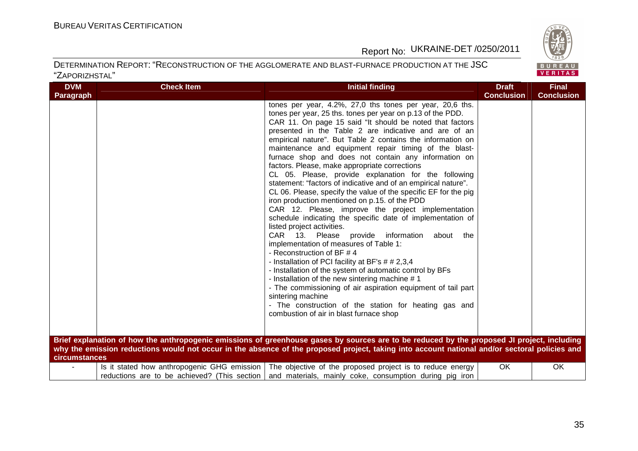

#### DETERMINATION REPORT: "RECONSTRUCTION OF THE AGGLOMERATE AND BLAST-FURNACE PRODUCTION AT THE JSC"ZAPORIZHSTAL"

| <b>DVM</b>       | <b>Check Item</b> | Initial finding                                                                                                                                                                                                                                                                                                                                                                                                                                                                                                                                                                                                                                                                                                                                                                                                                                                                                                                                                                                                                                                                                                                                                                                                                                                                                                                                                                                                                                                                                                                                                                                                                                                        | <b>Draft</b>      | <b>Final</b>      |
|------------------|-------------------|------------------------------------------------------------------------------------------------------------------------------------------------------------------------------------------------------------------------------------------------------------------------------------------------------------------------------------------------------------------------------------------------------------------------------------------------------------------------------------------------------------------------------------------------------------------------------------------------------------------------------------------------------------------------------------------------------------------------------------------------------------------------------------------------------------------------------------------------------------------------------------------------------------------------------------------------------------------------------------------------------------------------------------------------------------------------------------------------------------------------------------------------------------------------------------------------------------------------------------------------------------------------------------------------------------------------------------------------------------------------------------------------------------------------------------------------------------------------------------------------------------------------------------------------------------------------------------------------------------------------------------------------------------------------|-------------------|-------------------|
| <b>Paragraph</b> |                   |                                                                                                                                                                                                                                                                                                                                                                                                                                                                                                                                                                                                                                                                                                                                                                                                                                                                                                                                                                                                                                                                                                                                                                                                                                                                                                                                                                                                                                                                                                                                                                                                                                                                        | <b>Conclusion</b> | <b>Conclusion</b> |
| circumstances    |                   | tones per year, 4.2%, 27,0 ths tones per year, 20,6 ths.<br>tones per year, 25 ths. tones per year on p.13 of the PDD.<br>CAR 11. On page 15 said "It should be noted that factors<br>presented in the Table 2 are indicative and are of an<br>empirical nature". But Table 2 contains the information on<br>maintenance and equipment repair timing of the blast-<br>furnace shop and does not contain any information on<br>factors. Please, make appropriate corrections<br>CL 05. Please, provide explanation for the following<br>statement: "factors of indicative and of an empirical nature".<br>CL 06. Please, specify the value of the specific EF for the pig<br>iron production mentioned on p.15. of the PDD<br>CAR 12. Please, improve the project implementation<br>schedule indicating the specific date of implementation of<br>listed project activities.<br>CAR 13. Please<br>provide information<br>about<br>the<br>implementation of measures of Table 1:<br>- Reconstruction of BF #4<br>- Installation of PCI facility at BF's # # 2,3,4<br>- Installation of the system of automatic control by BFs<br>- Installation of the new sintering machine #1<br>- The commissioning of air aspiration equipment of tail part<br>sintering machine<br>- The construction of the station for heating gas and<br>combustion of air in blast furnace shop<br>Brief explanation of how the anthropogenic emissions of greenhouse gases by sources are to be reduced by the proposed JI project, including<br>why the emission reductions would not occur in the absence of the proposed project, taking into account national and/or sectoral policies and |                   |                   |
|                  |                   | Is it stated how anthropogenic GHG emission   The objective of the proposed project is to reduce energy                                                                                                                                                                                                                                                                                                                                                                                                                                                                                                                                                                                                                                                                                                                                                                                                                                                                                                                                                                                                                                                                                                                                                                                                                                                                                                                                                                                                                                                                                                                                                                | OK                | OK.               |
|                  |                   | reductions are to be achieved? (This section   and materials, mainly coke, consumption during pig iron                                                                                                                                                                                                                                                                                                                                                                                                                                                                                                                                                                                                                                                                                                                                                                                                                                                                                                                                                                                                                                                                                                                                                                                                                                                                                                                                                                                                                                                                                                                                                                 |                   |                   |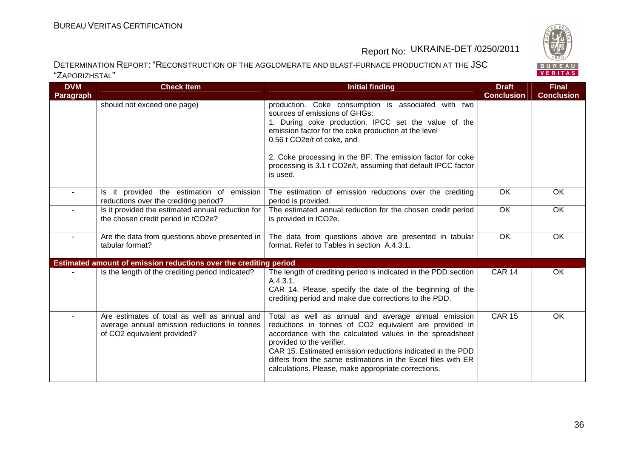



| <b>DVM</b>       | <b>Check Item</b>                                                                                                           | <b>Initial finding</b>                                                                                                                                                                                                                                                                                                                                                                      | <b>Draft</b>      | <b>Final</b>      |
|------------------|-----------------------------------------------------------------------------------------------------------------------------|---------------------------------------------------------------------------------------------------------------------------------------------------------------------------------------------------------------------------------------------------------------------------------------------------------------------------------------------------------------------------------------------|-------------------|-------------------|
| <b>Paragraph</b> |                                                                                                                             |                                                                                                                                                                                                                                                                                                                                                                                             | <b>Conclusion</b> | <b>Conclusion</b> |
|                  | should not exceed one page)                                                                                                 | production. Coke consumption is associated with two<br>sources of emissions of GHGs:<br>1. During coke production. IPCC set the value of the<br>emission factor for the coke production at the level<br>0.56 t CO2e/t of coke, and                                                                                                                                                          |                   |                   |
|                  |                                                                                                                             | 2. Coke processing in the BF. The emission factor for coke<br>processing is 3.1 t CO2e/t, assuming that default IPCC factor<br>is used.                                                                                                                                                                                                                                                     |                   |                   |
| $\sim$           | Is it provided the estimation of emission<br>reductions over the crediting period?                                          | The estimation of emission reductions over the crediting<br>period is provided.                                                                                                                                                                                                                                                                                                             | OK                | <b>OK</b>         |
|                  | Is it provided the estimated annual reduction for<br>the chosen credit period in tCO2e?                                     | The estimated annual reduction for the chosen credit period<br>is provided in tCO2e.                                                                                                                                                                                                                                                                                                        | $\overline{OK}$   | OK                |
| $\blacksquare$   | Are the data from questions above presented in<br>tabular format?                                                           | The data from questions above are presented in tabular<br>format. Refer to Tables in section A.4.3.1.                                                                                                                                                                                                                                                                                       | OK                | OK                |
|                  | Estimated amount of emission reductions over the crediting period                                                           |                                                                                                                                                                                                                                                                                                                                                                                             |                   |                   |
|                  | Is the length of the crediting period Indicated?                                                                            | The length of crediting period is indicated in the PDD section<br>A.4.3.1.<br>CAR 14. Please, specify the date of the beginning of the<br>crediting period and make due corrections to the PDD.                                                                                                                                                                                             | <b>CAR 14</b>     | OK                |
|                  | Are estimates of total as well as annual and<br>average annual emission reductions in tonnes<br>of CO2 equivalent provided? | Total as well as annual and average annual emission<br>reductions in tonnes of CO2 equivalent are provided in<br>accordance with the calculated values in the spreadsheet<br>provided to the verifier.<br>CAR 15. Estimated emission reductions indicated in the PDD<br>differs from the same estimations in the Excel files with ER<br>calculations. Please, make appropriate corrections. | <b>CAR 15</b>     | $\overline{OK}$   |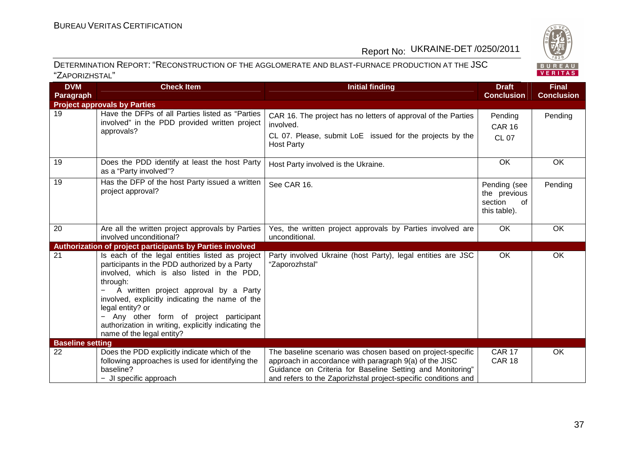

| <b>DVM</b>              | <b>Check Item</b>                                                                                                                                                                                                                                                                                                                                                                                         | <b>Initial finding</b>                                                                                                                                                                                                                              | <b>Draft</b>                                                  | <b>Final</b>      |
|-------------------------|-----------------------------------------------------------------------------------------------------------------------------------------------------------------------------------------------------------------------------------------------------------------------------------------------------------------------------------------------------------------------------------------------------------|-----------------------------------------------------------------------------------------------------------------------------------------------------------------------------------------------------------------------------------------------------|---------------------------------------------------------------|-------------------|
| <b>Paragraph</b>        |                                                                                                                                                                                                                                                                                                                                                                                                           |                                                                                                                                                                                                                                                     | <b>Conclusion</b>                                             | <b>Conclusion</b> |
|                         | <b>Project approvals by Parties</b>                                                                                                                                                                                                                                                                                                                                                                       |                                                                                                                                                                                                                                                     |                                                               |                   |
| 19                      | Have the DFPs of all Parties listed as "Parties<br>involved" in the PDD provided written project<br>approvals?                                                                                                                                                                                                                                                                                            | CAR 16. The project has no letters of approval of the Parties<br>involved.<br>CL 07. Please, submit LoE issued for the projects by the                                                                                                              | Pending<br><b>CAR 16</b>                                      | Pending           |
|                         |                                                                                                                                                                                                                                                                                                                                                                                                           | <b>Host Party</b>                                                                                                                                                                                                                                   | <b>CL 07</b>                                                  |                   |
| 19                      | Does the PDD identify at least the host Party<br>as a "Party involved"?                                                                                                                                                                                                                                                                                                                                   | Host Party involved is the Ukraine.                                                                                                                                                                                                                 | <b>OK</b>                                                     | <b>OK</b>         |
| 19                      | Has the DFP of the host Party issued a written<br>project approval?                                                                                                                                                                                                                                                                                                                                       | See CAR 16.                                                                                                                                                                                                                                         | Pending (see<br>the previous<br>section<br>0f<br>this table). | Pending           |
| 20                      | Are all the written project approvals by Parties<br>involved unconditional?                                                                                                                                                                                                                                                                                                                               | Yes, the written project approvals by Parties involved are<br>unconditional.                                                                                                                                                                        | OK                                                            | OK                |
|                         | Authorization of project participants by Parties involved                                                                                                                                                                                                                                                                                                                                                 |                                                                                                                                                                                                                                                     |                                                               |                   |
| 21                      | Is each of the legal entities listed as project<br>participants in the PDD authorized by a Party<br>involved, which is also listed in the PDD,<br>through:<br>A written project approval by a Party<br>involved, explicitly indicating the name of the<br>legal entity? or<br>- Any other form of project participant<br>authorization in writing, explicitly indicating the<br>name of the legal entity? | Party involved Ukraine (host Party), legal entities are JSC<br>"Zaporozhstal"                                                                                                                                                                       | OK                                                            | OK                |
| <b>Baseline setting</b> |                                                                                                                                                                                                                                                                                                                                                                                                           |                                                                                                                                                                                                                                                     |                                                               |                   |
| 22                      | Does the PDD explicitly indicate which of the<br>following approaches is used for identifying the<br>baseline?<br>- JI specific approach                                                                                                                                                                                                                                                                  | The baseline scenario was chosen based on project-specific<br>approach in accordance with paragraph 9(a) of the JISC<br>Guidance on Criteria for Baseline Setting and Monitoring"<br>and refers to the Zaporizhstal project-specific conditions and | <b>CAR 17</b><br><b>CAR 18</b>                                | OK                |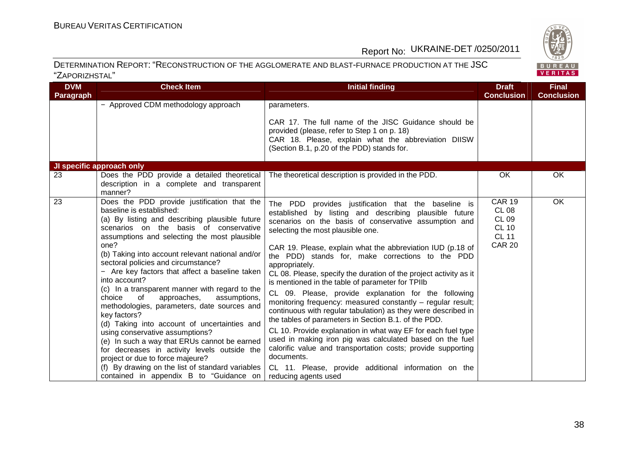

| <b>DVM</b><br><b>Paragraph</b> | <b>Check Item</b>                                                                                                                                                                                                                                                                                                                                                                                                                                                                                                                                                                                                                                                                                                                                                                                                                                                               | <b>Initial finding</b>                                                                                                                                                                                                                                                                                                                                                                                                                                                                                                                                                                                                                                                                                                                                                                                                                                                                                                                                                                                             | <b>Draft</b><br><b>Conclusion</b>                                                       | <b>Final</b><br><b>Conclusion</b> |
|--------------------------------|---------------------------------------------------------------------------------------------------------------------------------------------------------------------------------------------------------------------------------------------------------------------------------------------------------------------------------------------------------------------------------------------------------------------------------------------------------------------------------------------------------------------------------------------------------------------------------------------------------------------------------------------------------------------------------------------------------------------------------------------------------------------------------------------------------------------------------------------------------------------------------|--------------------------------------------------------------------------------------------------------------------------------------------------------------------------------------------------------------------------------------------------------------------------------------------------------------------------------------------------------------------------------------------------------------------------------------------------------------------------------------------------------------------------------------------------------------------------------------------------------------------------------------------------------------------------------------------------------------------------------------------------------------------------------------------------------------------------------------------------------------------------------------------------------------------------------------------------------------------------------------------------------------------|-----------------------------------------------------------------------------------------|-----------------------------------|
|                                | - Approved CDM methodology approach                                                                                                                                                                                                                                                                                                                                                                                                                                                                                                                                                                                                                                                                                                                                                                                                                                             | parameters.<br>CAR 17. The full name of the JISC Guidance should be<br>provided (please, refer to Step 1 on p. 18)<br>CAR 18. Please, explain what the abbreviation DIISW<br>(Section B.1, p.20 of the PDD) stands for.                                                                                                                                                                                                                                                                                                                                                                                                                                                                                                                                                                                                                                                                                                                                                                                            |                                                                                         |                                   |
|                                | JI specific approach only                                                                                                                                                                                                                                                                                                                                                                                                                                                                                                                                                                                                                                                                                                                                                                                                                                                       |                                                                                                                                                                                                                                                                                                                                                                                                                                                                                                                                                                                                                                                                                                                                                                                                                                                                                                                                                                                                                    |                                                                                         |                                   |
| 23                             | Does the PDD provide a detailed theoretical<br>description in a complete and transparent<br>manner?                                                                                                                                                                                                                                                                                                                                                                                                                                                                                                                                                                                                                                                                                                                                                                             | The theoretical description is provided in the PDD.                                                                                                                                                                                                                                                                                                                                                                                                                                                                                                                                                                                                                                                                                                                                                                                                                                                                                                                                                                | OK                                                                                      | OK                                |
| 23                             | Does the PDD provide justification that the<br>baseline is established:<br>(a) By listing and describing plausible future<br>scenarios on the basis of conservative<br>assumptions and selecting the most plausible<br>one?<br>(b) Taking into account relevant national and/or<br>sectoral policies and circumstance?<br>- Are key factors that affect a baseline taken<br>into account?<br>(c) In a transparent manner with regard to the<br>choice<br>of<br>approaches,<br>assumptions,<br>methodologies, parameters, date sources and<br>key factors?<br>(d) Taking into account of uncertainties and<br>using conservative assumptions?<br>(e) In such a way that ERUs cannot be earned<br>for decreases in activity levels outside the<br>project or due to force majeure?<br>(f) By drawing on the list of standard variables<br>contained in appendix B to "Guidance on | The PDD provides justification that the baseline is<br>established by listing and describing plausible future<br>scenarios on the basis of conservative assumption and<br>selecting the most plausible one.<br>CAR 19. Please, explain what the abbreviation IUD (p.18 of<br>the PDD) stands for, make corrections to the PDD<br>appropriately.<br>CL 08. Please, specify the duration of the project activity as it<br>is mentioned in the table of parameter for TPIIb<br>CL 09. Please, provide explanation for the following<br>monitoring frequency: measured constantly - regular result;<br>continuous with regular tabulation) as they were described in<br>the tables of parameters in Section B.1. of the PDD.<br>CL 10. Provide explanation in what way EF for each fuel type<br>used in making iron pig was calculated based on the fuel<br>calorific value and transportation costs; provide supporting<br>documents.<br>CL 11. Please, provide additional information on the<br>reducing agents used | <b>CAR 19</b><br>CL 08<br><b>CL 09</b><br><b>CL 10</b><br><b>CL 11</b><br><b>CAR 20</b> | OK                                |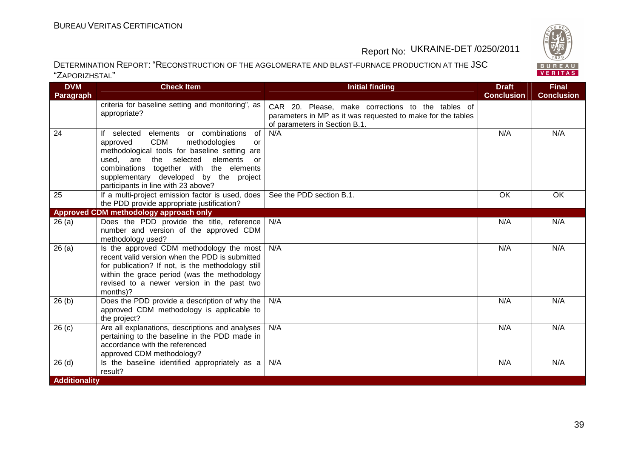

| <b>DVM</b>        | <b>Check Item</b>                                                                                                                                                                                                                                                                                                          | <b>Initial finding</b>                                                                                                                            | <b>Draft</b>      | <b>Final</b>      |
|-------------------|----------------------------------------------------------------------------------------------------------------------------------------------------------------------------------------------------------------------------------------------------------------------------------------------------------------------------|---------------------------------------------------------------------------------------------------------------------------------------------------|-------------------|-------------------|
| Paragraph         |                                                                                                                                                                                                                                                                                                                            |                                                                                                                                                   | <b>Conclusion</b> | <b>Conclusion</b> |
|                   | criteria for baseline setting and monitoring", as<br>appropriate?                                                                                                                                                                                                                                                          | CAR 20. Please, make corrections to the tables of<br>parameters in MP as it was requested to make for the tables<br>of parameters in Section B.1. |                   |                   |
| $\overline{24}$   | elements or combinations of<br>If selected<br><b>CDM</b><br>methodologies<br>approved<br>or<br>methodological tools for baseline setting are<br>used,<br>are<br>the selected<br>elements<br>or<br>combinations together with the elements<br>supplementary developed by the project<br>participants in line with 23 above? | N/A                                                                                                                                               | N/A               | N/A               |
| 25                | If a multi-project emission factor is used, does<br>the PDD provide appropriate justification?                                                                                                                                                                                                                             | See the PDD section B.1.                                                                                                                          | OK                | OK                |
|                   | Approved CDM methodology approach only                                                                                                                                                                                                                                                                                     |                                                                                                                                                   |                   |                   |
| 26(a)             | Does the PDD provide the title, reference<br>number and version of the approved CDM<br>methodology used?                                                                                                                                                                                                                   | N/A                                                                                                                                               | N/A               | N/A               |
| 26(a)             | Is the approved CDM methodology the most<br>recent valid version when the PDD is submitted<br>for publication? If not, is the methodology still<br>within the grace period (was the methodology<br>revised to a newer version in the past two<br>months)?                                                                  | N/A                                                                                                                                               | N/A               | N/A               |
| 26(b)             | Does the PDD provide a description of why the $ $<br>approved CDM methodology is applicable to<br>the project?                                                                                                                                                                                                             | N/A                                                                                                                                               | N/A               | N/A               |
| 26 <sub>(c)</sub> | Are all explanations, descriptions and analyses<br>pertaining to the baseline in the PDD made in<br>accordance with the referenced<br>approved CDM methodology?                                                                                                                                                            | N/A                                                                                                                                               | N/A               | N/A               |
| 26(d)             | Is the baseline identified appropriately as a<br>result?                                                                                                                                                                                                                                                                   | N/A                                                                                                                                               | N/A               | N/A               |
| Additionality     |                                                                                                                                                                                                                                                                                                                            |                                                                                                                                                   |                   |                   |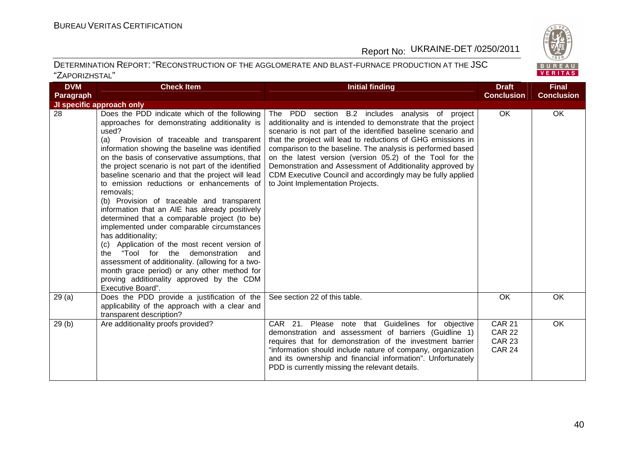

| <b>DVM</b> | <b>Check Item</b>                                                                                                                                                                                                                                                                                                                                                                                                                                                                                                                                                                                                                                                                                                                                                                                                                                                                                                  | <b>Initial finding</b>                                                                                                                                                                                                                                                                                                                                                                                                                                                                                                                       | <b>Draft</b>                                                     | <b>Final</b>      |
|------------|--------------------------------------------------------------------------------------------------------------------------------------------------------------------------------------------------------------------------------------------------------------------------------------------------------------------------------------------------------------------------------------------------------------------------------------------------------------------------------------------------------------------------------------------------------------------------------------------------------------------------------------------------------------------------------------------------------------------------------------------------------------------------------------------------------------------------------------------------------------------------------------------------------------------|----------------------------------------------------------------------------------------------------------------------------------------------------------------------------------------------------------------------------------------------------------------------------------------------------------------------------------------------------------------------------------------------------------------------------------------------------------------------------------------------------------------------------------------------|------------------------------------------------------------------|-------------------|
| Paragraph  |                                                                                                                                                                                                                                                                                                                                                                                                                                                                                                                                                                                                                                                                                                                                                                                                                                                                                                                    |                                                                                                                                                                                                                                                                                                                                                                                                                                                                                                                                              | <b>Conclusion</b>                                                | <b>Conclusion</b> |
|            | JI specific approach only                                                                                                                                                                                                                                                                                                                                                                                                                                                                                                                                                                                                                                                                                                                                                                                                                                                                                          |                                                                                                                                                                                                                                                                                                                                                                                                                                                                                                                                              |                                                                  |                   |
| 28         | Does the PDD indicate which of the following<br>approaches for demonstrating additionality is<br>used?<br>Provision of traceable and transparent<br>(a)<br>information showing the baseline was identified<br>on the basis of conservative assumptions, that<br>the project scenario is not part of the identified<br>baseline scenario and that the project will lead<br>to emission reductions or enhancements of<br>removals:<br>(b) Provision of traceable and transparent<br>information that an AIE has already positively<br>determined that a comparable project (to be)<br>implemented under comparable circumstances<br>has additionality;<br>(c) Application of the most recent version of<br>the "Tool for the demonstration and<br>assessment of additionality. (allowing for a two-<br>month grace period) or any other method for<br>proving additionality approved by the CDM<br>Executive Board". | The PDD section B.2 includes analysis of project<br>additionality and is intended to demonstrate that the project<br>scenario is not part of the identified baseline scenario and<br>that the project will lead to reductions of GHG emissions in<br>comparison to the baseline. The analysis is performed based<br>on the latest version (version 05.2) of the Tool for the<br>Demonstration and Assessment of Additionality approved by<br>CDM Executive Council and accordingly may be fully applied<br>to Joint Implementation Projects. | OK                                                               | OK                |
| 29(a)      | Does the PDD provide a justification of the<br>applicability of the approach with a clear and<br>transparent description?                                                                                                                                                                                                                                                                                                                                                                                                                                                                                                                                                                                                                                                                                                                                                                                          | See section 22 of this table.                                                                                                                                                                                                                                                                                                                                                                                                                                                                                                                | OK                                                               | OK                |
| 29(b)      | Are additionality proofs provided?                                                                                                                                                                                                                                                                                                                                                                                                                                                                                                                                                                                                                                                                                                                                                                                                                                                                                 | CAR 21. Please note that Guidelines for objective<br>demonstration and assessment of barriers (Guidline 1)<br>requires that for demonstration of the investment barrier<br>"information should include nature of company, organization<br>and its ownership and financial information". Unfortunately<br>PDD is currently missing the relevant details.                                                                                                                                                                                      | <b>CAR 21</b><br><b>CAR 22</b><br><b>CAR 23</b><br><b>CAR 24</b> | OK                |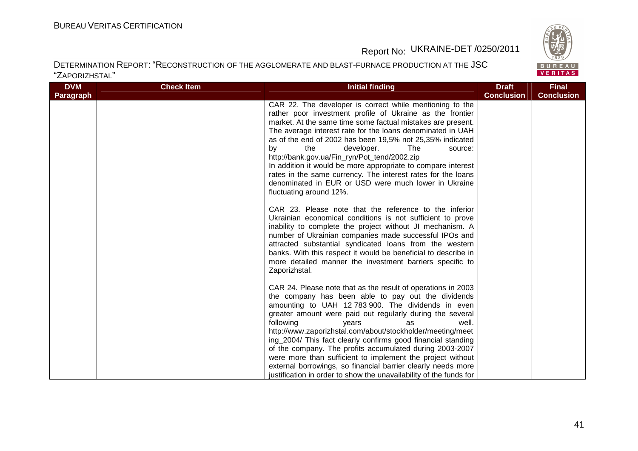BUREAU<br>VERITAS

### Report No: UKRAINE-DET /0250/2011

| <b>DVM</b>       | <b>Check Item</b> | <b>Initial finding</b>                                                                                                                                                                                                                                                                                                                                                                                                                                                                                                                                                                                                                                                   | <b>Draft</b>      | <b>Final</b>      |
|------------------|-------------------|--------------------------------------------------------------------------------------------------------------------------------------------------------------------------------------------------------------------------------------------------------------------------------------------------------------------------------------------------------------------------------------------------------------------------------------------------------------------------------------------------------------------------------------------------------------------------------------------------------------------------------------------------------------------------|-------------------|-------------------|
| <b>Paragraph</b> |                   |                                                                                                                                                                                                                                                                                                                                                                                                                                                                                                                                                                                                                                                                          | <b>Conclusion</b> | <b>Conclusion</b> |
|                  |                   | CAR 22. The developer is correct while mentioning to the<br>rather poor investment profile of Ukraine as the frontier<br>market. At the same time some factual mistakes are present.<br>The average interest rate for the loans denominated in UAH<br>as of the end of 2002 has been 19,5% not 25,35% indicated<br>by<br>the<br>developer.<br>The<br>source:<br>http://bank.gov.ua/Fin_ryn/Pot_tend/2002.zip<br>In addition it would be more appropriate to compare interest<br>rates in the same currency. The interest rates for the loans<br>denominated in EUR or USD were much lower in Ukraine<br>fluctuating around 12%.                                          |                   |                   |
|                  |                   | CAR 23. Please note that the reference to the inferior<br>Ukrainian economical conditions is not sufficient to prove<br>inability to complete the project without JI mechanism. A<br>number of Ukrainian companies made successful IPOs and<br>attracted substantial syndicated loans from the western<br>banks. With this respect it would be beneficial to describe in<br>more detailed manner the investment barriers specific to<br>Zaporizhstal.                                                                                                                                                                                                                    |                   |                   |
|                  |                   | CAR 24. Please note that as the result of operations in 2003<br>the company has been able to pay out the dividends<br>amounting to UAH 12 783 900. The dividends in even<br>greater amount were paid out regularly during the several<br>following<br>years<br>well.<br>as<br>http://www.zaporizhstal.com/about/stockholder/meeting/meet<br>ing_2004/ This fact clearly confirms good financial standing<br>of the company. The profits accumulated during 2003-2007<br>were more than sufficient to implement the project without<br>external borrowings, so financial barrier clearly needs more<br>justification in order to show the unavailability of the funds for |                   |                   |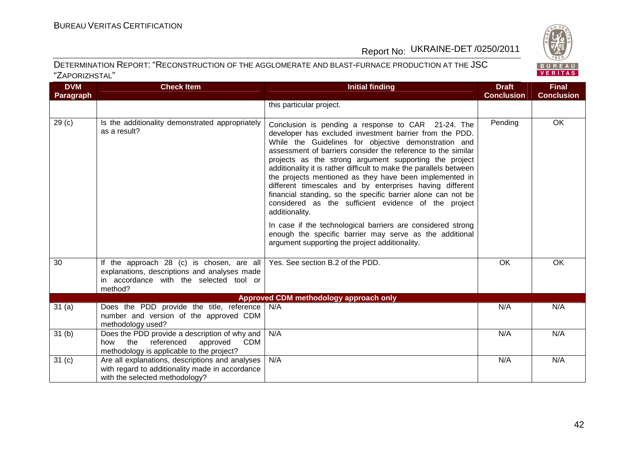

| <b>DVM</b>        | <b>Check Item</b>                                                                                                                               | <b>Initial finding</b>                                                                                                                                                                                                                                                                                                                                                                                                                                                                                                                                                                                                                                                                                                                                                                                             | <b>Draft</b>      | <b>Final</b>      |
|-------------------|-------------------------------------------------------------------------------------------------------------------------------------------------|--------------------------------------------------------------------------------------------------------------------------------------------------------------------------------------------------------------------------------------------------------------------------------------------------------------------------------------------------------------------------------------------------------------------------------------------------------------------------------------------------------------------------------------------------------------------------------------------------------------------------------------------------------------------------------------------------------------------------------------------------------------------------------------------------------------------|-------------------|-------------------|
| Paragraph         |                                                                                                                                                 |                                                                                                                                                                                                                                                                                                                                                                                                                                                                                                                                                                                                                                                                                                                                                                                                                    | <b>Conclusion</b> | <b>Conclusion</b> |
|                   |                                                                                                                                                 | this particular project.                                                                                                                                                                                                                                                                                                                                                                                                                                                                                                                                                                                                                                                                                                                                                                                           |                   |                   |
| 29 <sub>(c)</sub> | Is the additionality demonstrated appropriately<br>as a result?                                                                                 | Conclusion is pending a response to CAR 21-24. The<br>developer has excluded investment barrier from the PDD.<br>While the Guidelines for objective demonstration and<br>assessment of barriers consider the reference to the similar<br>projects as the strong argument supporting the project<br>additionality it is rather difficult to make the parallels between<br>the projects mentioned as they have been implemented in<br>different timescales and by enterprises having different<br>financial standing, so the specific barrier alone can not be<br>considered as the sufficient evidence of the project<br>additionality.<br>In case if the technological barriers are considered strong<br>enough the specific barrier may serve as the additional<br>argument supporting the project additionality. | Pending           | OK                |
| 30                | If the approach 28 (c) is chosen, are all<br>explanations, descriptions and analyses made<br>in accordance with the selected tool or<br>method? | Yes. See section B.2 of the PDD.                                                                                                                                                                                                                                                                                                                                                                                                                                                                                                                                                                                                                                                                                                                                                                                   | OK                | OK                |
|                   |                                                                                                                                                 | <b>Approved CDM methodology approach only</b>                                                                                                                                                                                                                                                                                                                                                                                                                                                                                                                                                                                                                                                                                                                                                                      |                   |                   |
| 31(a)             | Does the PDD provide the title, reference<br>number and version of the approved CDM<br>methodology used?                                        | N/A                                                                                                                                                                                                                                                                                                                                                                                                                                                                                                                                                                                                                                                                                                                                                                                                                | N/A               | N/A               |
| 31 <sub>(b)</sub> | Does the PDD provide a description of why and<br>the referenced<br>approved<br>CDM<br>how<br>methodology is applicable to the project?          | N/A                                                                                                                                                                                                                                                                                                                                                                                                                                                                                                                                                                                                                                                                                                                                                                                                                | N/A               | N/A               |
| 31 <sub>(c)</sub> | Are all explanations, descriptions and analyses<br>with regard to additionality made in accordance<br>with the selected methodology?            | N/A                                                                                                                                                                                                                                                                                                                                                                                                                                                                                                                                                                                                                                                                                                                                                                                                                | N/A               | N/A               |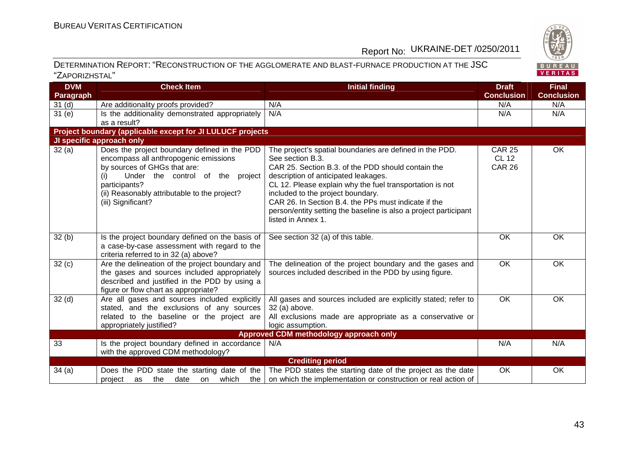

| <b>Conclusion</b><br><b>Conclusion</b><br>Paragraph<br>Are additionality proofs provided?<br>N/A<br>N/A<br>N/A<br>31 <sub>(d)</sub><br>N/A<br>31(e)<br>Is the additionality demonstrated appropriately<br>N/A<br>N/A<br>as a result?<br>Project boundary (applicable except for JI LULUCF projects<br>JI specific approach only<br>Does the project boundary defined in the PDD<br>OK<br>32(a)<br><b>CAR 25</b><br>The project's spatial boundaries are defined in the PDD.<br>See section B.3.<br><b>CL 12</b><br>encompass all anthropogenic emissions<br>by sources of GHGs that are:<br>CAR 25. Section B.3. of the PDD should contain the<br><b>CAR 26</b><br>Under the control of the project<br>description of anticipated leakages.<br>(i)<br>CL 12. Please explain why the fuel transportation is not<br>participants?<br>(ii) Reasonably attributable to the project?<br>included to the project boundary.<br>CAR 26. In Section B.4. the PPs must indicate if the<br>(iii) Significant?<br>person/entity setting the baseline is also a project participant<br>listed in Annex 1.<br>32(b)<br>Is the project boundary defined on the basis of<br>See section 32 (a) of this table.<br>OK<br><b>OK</b><br>a case-by-case assessment with regard to the<br>criteria referred to in 32 (a) above?<br>OK<br>32(c)<br>Are the delineation of the project boundary and<br>OK<br>The delineation of the project boundary and the gases and<br>the gases and sources included appropriately<br>sources included described in the PDD by using figure.<br>described and justified in the PDD by using a<br>figure or flow chart as appropriate?<br>32 <sub>(d)</sub><br>Are all gases and sources included explicitly<br>OK<br>OK<br>All gases and sources included are explicitly stated; refer to<br>stated, and the exclusions of any sources<br>32 (a) above.<br>related to the baseline or the project are<br>All exclusions made are appropriate as a conservative or<br>logic assumption.<br>appropriately justified?<br>Approved CDM methodology approach only<br>Is the project boundary defined in accordance<br>33<br>N/A<br>N/A<br>N/A<br>with the approved CDM methodology? | <b>DVM</b> | <b>Check Item</b> | <b>Initial finding</b> | <b>Draft</b> | <b>Final</b> |
|--------------------------------------------------------------------------------------------------------------------------------------------------------------------------------------------------------------------------------------------------------------------------------------------------------------------------------------------------------------------------------------------------------------------------------------------------------------------------------------------------------------------------------------------------------------------------------------------------------------------------------------------------------------------------------------------------------------------------------------------------------------------------------------------------------------------------------------------------------------------------------------------------------------------------------------------------------------------------------------------------------------------------------------------------------------------------------------------------------------------------------------------------------------------------------------------------------------------------------------------------------------------------------------------------------------------------------------------------------------------------------------------------------------------------------------------------------------------------------------------------------------------------------------------------------------------------------------------------------------------------------------------------------------------------------------------------------------------------------------------------------------------------------------------------------------------------------------------------------------------------------------------------------------------------------------------------------------------------------------------------------------------------------------------------------------------------------------------------------------------------------------------------------------------------------------------|------------|-------------------|------------------------|--------------|--------------|
|                                                                                                                                                                                                                                                                                                                                                                                                                                                                                                                                                                                                                                                                                                                                                                                                                                                                                                                                                                                                                                                                                                                                                                                                                                                                                                                                                                                                                                                                                                                                                                                                                                                                                                                                                                                                                                                                                                                                                                                                                                                                                                                                                                                            |            |                   |                        |              |              |
|                                                                                                                                                                                                                                                                                                                                                                                                                                                                                                                                                                                                                                                                                                                                                                                                                                                                                                                                                                                                                                                                                                                                                                                                                                                                                                                                                                                                                                                                                                                                                                                                                                                                                                                                                                                                                                                                                                                                                                                                                                                                                                                                                                                            |            |                   |                        |              |              |
|                                                                                                                                                                                                                                                                                                                                                                                                                                                                                                                                                                                                                                                                                                                                                                                                                                                                                                                                                                                                                                                                                                                                                                                                                                                                                                                                                                                                                                                                                                                                                                                                                                                                                                                                                                                                                                                                                                                                                                                                                                                                                                                                                                                            |            |                   |                        |              |              |
|                                                                                                                                                                                                                                                                                                                                                                                                                                                                                                                                                                                                                                                                                                                                                                                                                                                                                                                                                                                                                                                                                                                                                                                                                                                                                                                                                                                                                                                                                                                                                                                                                                                                                                                                                                                                                                                                                                                                                                                                                                                                                                                                                                                            |            |                   |                        |              |              |
|                                                                                                                                                                                                                                                                                                                                                                                                                                                                                                                                                                                                                                                                                                                                                                                                                                                                                                                                                                                                                                                                                                                                                                                                                                                                                                                                                                                                                                                                                                                                                                                                                                                                                                                                                                                                                                                                                                                                                                                                                                                                                                                                                                                            |            |                   |                        |              |              |
|                                                                                                                                                                                                                                                                                                                                                                                                                                                                                                                                                                                                                                                                                                                                                                                                                                                                                                                                                                                                                                                                                                                                                                                                                                                                                                                                                                                                                                                                                                                                                                                                                                                                                                                                                                                                                                                                                                                                                                                                                                                                                                                                                                                            |            |                   |                        |              |              |
|                                                                                                                                                                                                                                                                                                                                                                                                                                                                                                                                                                                                                                                                                                                                                                                                                                                                                                                                                                                                                                                                                                                                                                                                                                                                                                                                                                                                                                                                                                                                                                                                                                                                                                                                                                                                                                                                                                                                                                                                                                                                                                                                                                                            |            |                   |                        |              |              |
|                                                                                                                                                                                                                                                                                                                                                                                                                                                                                                                                                                                                                                                                                                                                                                                                                                                                                                                                                                                                                                                                                                                                                                                                                                                                                                                                                                                                                                                                                                                                                                                                                                                                                                                                                                                                                                                                                                                                                                                                                                                                                                                                                                                            |            |                   |                        |              |              |
|                                                                                                                                                                                                                                                                                                                                                                                                                                                                                                                                                                                                                                                                                                                                                                                                                                                                                                                                                                                                                                                                                                                                                                                                                                                                                                                                                                                                                                                                                                                                                                                                                                                                                                                                                                                                                                                                                                                                                                                                                                                                                                                                                                                            |            |                   |                        |              |              |
|                                                                                                                                                                                                                                                                                                                                                                                                                                                                                                                                                                                                                                                                                                                                                                                                                                                                                                                                                                                                                                                                                                                                                                                                                                                                                                                                                                                                                                                                                                                                                                                                                                                                                                                                                                                                                                                                                                                                                                                                                                                                                                                                                                                            |            |                   |                        |              |              |
|                                                                                                                                                                                                                                                                                                                                                                                                                                                                                                                                                                                                                                                                                                                                                                                                                                                                                                                                                                                                                                                                                                                                                                                                                                                                                                                                                                                                                                                                                                                                                                                                                                                                                                                                                                                                                                                                                                                                                                                                                                                                                                                                                                                            |            |                   |                        |              |              |
|                                                                                                                                                                                                                                                                                                                                                                                                                                                                                                                                                                                                                                                                                                                                                                                                                                                                                                                                                                                                                                                                                                                                                                                                                                                                                                                                                                                                                                                                                                                                                                                                                                                                                                                                                                                                                                                                                                                                                                                                                                                                                                                                                                                            |            |                   |                        |              |              |
|                                                                                                                                                                                                                                                                                                                                                                                                                                                                                                                                                                                                                                                                                                                                                                                                                                                                                                                                                                                                                                                                                                                                                                                                                                                                                                                                                                                                                                                                                                                                                                                                                                                                                                                                                                                                                                                                                                                                                                                                                                                                                                                                                                                            |            |                   |                        |              |              |
|                                                                                                                                                                                                                                                                                                                                                                                                                                                                                                                                                                                                                                                                                                                                                                                                                                                                                                                                                                                                                                                                                                                                                                                                                                                                                                                                                                                                                                                                                                                                                                                                                                                                                                                                                                                                                                                                                                                                                                                                                                                                                                                                                                                            |            |                   |                        |              |              |
|                                                                                                                                                                                                                                                                                                                                                                                                                                                                                                                                                                                                                                                                                                                                                                                                                                                                                                                                                                                                                                                                                                                                                                                                                                                                                                                                                                                                                                                                                                                                                                                                                                                                                                                                                                                                                                                                                                                                                                                                                                                                                                                                                                                            |            |                   |                        |              |              |
|                                                                                                                                                                                                                                                                                                                                                                                                                                                                                                                                                                                                                                                                                                                                                                                                                                                                                                                                                                                                                                                                                                                                                                                                                                                                                                                                                                                                                                                                                                                                                                                                                                                                                                                                                                                                                                                                                                                                                                                                                                                                                                                                                                                            |            |                   |                        |              |              |
|                                                                                                                                                                                                                                                                                                                                                                                                                                                                                                                                                                                                                                                                                                                                                                                                                                                                                                                                                                                                                                                                                                                                                                                                                                                                                                                                                                                                                                                                                                                                                                                                                                                                                                                                                                                                                                                                                                                                                                                                                                                                                                                                                                                            |            |                   |                        |              |              |
|                                                                                                                                                                                                                                                                                                                                                                                                                                                                                                                                                                                                                                                                                                                                                                                                                                                                                                                                                                                                                                                                                                                                                                                                                                                                                                                                                                                                                                                                                                                                                                                                                                                                                                                                                                                                                                                                                                                                                                                                                                                                                                                                                                                            |            |                   |                        |              |              |
|                                                                                                                                                                                                                                                                                                                                                                                                                                                                                                                                                                                                                                                                                                                                                                                                                                                                                                                                                                                                                                                                                                                                                                                                                                                                                                                                                                                                                                                                                                                                                                                                                                                                                                                                                                                                                                                                                                                                                                                                                                                                                                                                                                                            |            |                   |                        |              |              |
|                                                                                                                                                                                                                                                                                                                                                                                                                                                                                                                                                                                                                                                                                                                                                                                                                                                                                                                                                                                                                                                                                                                                                                                                                                                                                                                                                                                                                                                                                                                                                                                                                                                                                                                                                                                                                                                                                                                                                                                                                                                                                                                                                                                            |            |                   |                        |              |              |
|                                                                                                                                                                                                                                                                                                                                                                                                                                                                                                                                                                                                                                                                                                                                                                                                                                                                                                                                                                                                                                                                                                                                                                                                                                                                                                                                                                                                                                                                                                                                                                                                                                                                                                                                                                                                                                                                                                                                                                                                                                                                                                                                                                                            |            |                   |                        |              |              |
|                                                                                                                                                                                                                                                                                                                                                                                                                                                                                                                                                                                                                                                                                                                                                                                                                                                                                                                                                                                                                                                                                                                                                                                                                                                                                                                                                                                                                                                                                                                                                                                                                                                                                                                                                                                                                                                                                                                                                                                                                                                                                                                                                                                            |            |                   |                        |              |              |
|                                                                                                                                                                                                                                                                                                                                                                                                                                                                                                                                                                                                                                                                                                                                                                                                                                                                                                                                                                                                                                                                                                                                                                                                                                                                                                                                                                                                                                                                                                                                                                                                                                                                                                                                                                                                                                                                                                                                                                                                                                                                                                                                                                                            |            |                   |                        |              |              |
|                                                                                                                                                                                                                                                                                                                                                                                                                                                                                                                                                                                                                                                                                                                                                                                                                                                                                                                                                                                                                                                                                                                                                                                                                                                                                                                                                                                                                                                                                                                                                                                                                                                                                                                                                                                                                                                                                                                                                                                                                                                                                                                                                                                            |            |                   |                        |              |              |
|                                                                                                                                                                                                                                                                                                                                                                                                                                                                                                                                                                                                                                                                                                                                                                                                                                                                                                                                                                                                                                                                                                                                                                                                                                                                                                                                                                                                                                                                                                                                                                                                                                                                                                                                                                                                                                                                                                                                                                                                                                                                                                                                                                                            |            |                   |                        |              |              |
|                                                                                                                                                                                                                                                                                                                                                                                                                                                                                                                                                                                                                                                                                                                                                                                                                                                                                                                                                                                                                                                                                                                                                                                                                                                                                                                                                                                                                                                                                                                                                                                                                                                                                                                                                                                                                                                                                                                                                                                                                                                                                                                                                                                            |            |                   |                        |              |              |
|                                                                                                                                                                                                                                                                                                                                                                                                                                                                                                                                                                                                                                                                                                                                                                                                                                                                                                                                                                                                                                                                                                                                                                                                                                                                                                                                                                                                                                                                                                                                                                                                                                                                                                                                                                                                                                                                                                                                                                                                                                                                                                                                                                                            |            |                   |                        |              |              |
|                                                                                                                                                                                                                                                                                                                                                                                                                                                                                                                                                                                                                                                                                                                                                                                                                                                                                                                                                                                                                                                                                                                                                                                                                                                                                                                                                                                                                                                                                                                                                                                                                                                                                                                                                                                                                                                                                                                                                                                                                                                                                                                                                                                            |            |                   |                        |              |              |
|                                                                                                                                                                                                                                                                                                                                                                                                                                                                                                                                                                                                                                                                                                                                                                                                                                                                                                                                                                                                                                                                                                                                                                                                                                                                                                                                                                                                                                                                                                                                                                                                                                                                                                                                                                                                                                                                                                                                                                                                                                                                                                                                                                                            |            |                   |                        |              |              |
| <b>Crediting period</b>                                                                                                                                                                                                                                                                                                                                                                                                                                                                                                                                                                                                                                                                                                                                                                                                                                                                                                                                                                                                                                                                                                                                                                                                                                                                                                                                                                                                                                                                                                                                                                                                                                                                                                                                                                                                                                                                                                                                                                                                                                                                                                                                                                    |            |                   |                        |              |              |
| Does the PDD state the starting date of the<br>The PDD states the starting date of the project as the date<br>OK<br>OK<br>34(a)                                                                                                                                                                                                                                                                                                                                                                                                                                                                                                                                                                                                                                                                                                                                                                                                                                                                                                                                                                                                                                                                                                                                                                                                                                                                                                                                                                                                                                                                                                                                                                                                                                                                                                                                                                                                                                                                                                                                                                                                                                                            |            |                   |                        |              |              |
| on which the implementation or construction or real action of<br>the<br>date<br>which<br>the<br>project<br>as<br>on                                                                                                                                                                                                                                                                                                                                                                                                                                                                                                                                                                                                                                                                                                                                                                                                                                                                                                                                                                                                                                                                                                                                                                                                                                                                                                                                                                                                                                                                                                                                                                                                                                                                                                                                                                                                                                                                                                                                                                                                                                                                        |            |                   |                        |              |              |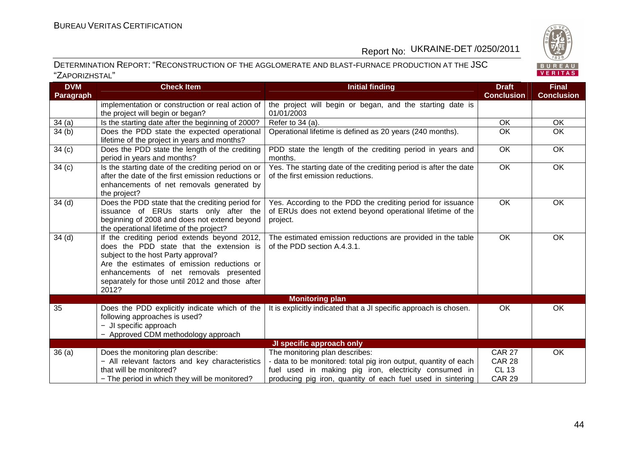

| <b>DVM</b>        | <b>Check Item</b>                                                                        | <b>Initial finding</b>                                                                     | <b>Draft</b>      | <b>Final</b>      |
|-------------------|------------------------------------------------------------------------------------------|--------------------------------------------------------------------------------------------|-------------------|-------------------|
| Paragraph         |                                                                                          |                                                                                            | <b>Conclusion</b> | <b>Conclusion</b> |
|                   | implementation or construction or real action of                                         | the project will begin or began, and the starting date is                                  |                   |                   |
|                   | the project will begin or began?                                                         | 01/01/2003                                                                                 |                   |                   |
| 34(a)             | Is the starting date after the beginning of 2000?                                        | Refer to 34 (a).                                                                           | OK                | OK                |
| 34(b)             | Does the PDD state the expected operational                                              | Operational lifetime is defined as 20 years (240 months).                                  | OK                | OK                |
|                   | lifetime of the project in years and months?                                             |                                                                                            |                   |                   |
| 34(c)             | Does the PDD state the length of the crediting                                           | PDD state the length of the crediting period in years and                                  | OK                | OK                |
|                   | period in years and months?                                                              | months.                                                                                    |                   |                   |
| 34 <sub>(c)</sub> | Is the starting date of the crediting period on or                                       | Yes. The starting date of the crediting period is after the date                           | <b>OK</b>         | OK                |
|                   | after the date of the first emission reductions or                                       | of the first emission reductions.                                                          |                   |                   |
|                   | enhancements of net removals generated by                                                |                                                                                            |                   |                   |
|                   | the project?                                                                             |                                                                                            |                   |                   |
| 34 <sub>(d)</sub> | Does the PDD state that the crediting period for                                         | Yes. According to the PDD the crediting period for issuance                                | OK                | OK                |
|                   | issuance of ERUs starts only after the                                                   | of ERUs does not extend beyond operational lifetime of the                                 |                   |                   |
|                   | beginning of 2008 and does not extend beyond                                             | project.                                                                                   |                   |                   |
|                   | the operational lifetime of the project?                                                 |                                                                                            |                   |                   |
| 34 <sub>(d)</sub> | If the crediting period extends beyond 2012,<br>does the PDD state that the extension is | The estimated emission reductions are provided in the table<br>of the PDD section A.4.3.1. | OK                | OK                |
|                   | subject to the host Party approval?                                                      |                                                                                            |                   |                   |
|                   | Are the estimates of emission reductions or                                              |                                                                                            |                   |                   |
|                   | enhancements of net removals presented                                                   |                                                                                            |                   |                   |
|                   | separately for those until 2012 and those after                                          |                                                                                            |                   |                   |
|                   | 2012?                                                                                    |                                                                                            |                   |                   |
|                   |                                                                                          | <b>Monitoring plan</b>                                                                     |                   |                   |
| 35                | Does the PDD explicitly indicate which of the                                            | It is explicitly indicated that a JI specific approach is chosen.                          | <b>OK</b>         | OK                |
|                   | following approaches is used?                                                            |                                                                                            |                   |                   |
|                   | - JI specific approach                                                                   |                                                                                            |                   |                   |
|                   | - Approved CDM methodology approach                                                      |                                                                                            |                   |                   |
|                   |                                                                                          | JI specific approach only                                                                  |                   |                   |
| 36(a)             | Does the monitoring plan describe:                                                       | The monitoring plan describes:                                                             | <b>CAR 27</b>     | OK                |
|                   | - All relevant factors and key characteristics                                           | - data to be monitored: total pig iron output, quantity of each                            | <b>CAR 28</b>     |                   |
|                   | that will be monitored?                                                                  | fuel used in making pig iron, electricity consumed in                                      | <b>CL 13</b>      |                   |
|                   | - The period in which they will be monitored?                                            | producing pig iron, quantity of each fuel used in sintering                                | <b>CAR 29</b>     |                   |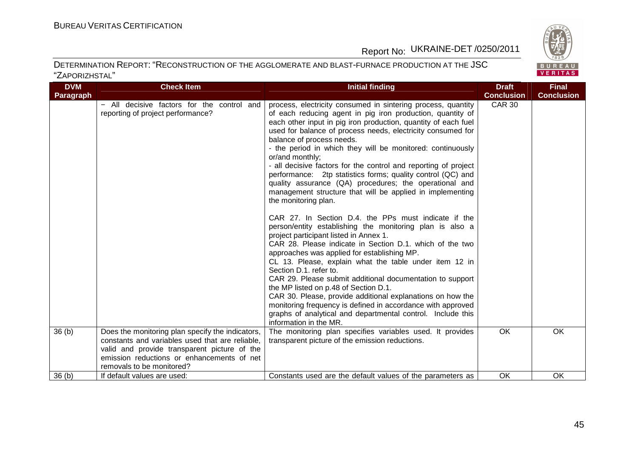

| <b>DVM</b><br>Paragraph | <b>Check Item</b>                                                                                                                                                                                                              | <b>Initial finding</b>                                                                                                                                                                                                                                                                                                                                                                                                                                                                                                                                                                                                                                                                                                                                                                                                                                                                                                                                                                                                                                                                                                                                                                                                                                                                                                                              | <b>Draft</b><br><b>Conclusion</b> | <b>Final</b><br><b>Conclusion</b> |
|-------------------------|--------------------------------------------------------------------------------------------------------------------------------------------------------------------------------------------------------------------------------|-----------------------------------------------------------------------------------------------------------------------------------------------------------------------------------------------------------------------------------------------------------------------------------------------------------------------------------------------------------------------------------------------------------------------------------------------------------------------------------------------------------------------------------------------------------------------------------------------------------------------------------------------------------------------------------------------------------------------------------------------------------------------------------------------------------------------------------------------------------------------------------------------------------------------------------------------------------------------------------------------------------------------------------------------------------------------------------------------------------------------------------------------------------------------------------------------------------------------------------------------------------------------------------------------------------------------------------------------------|-----------------------------------|-----------------------------------|
|                         | - All decisive factors for the control and<br>reporting of project performance?                                                                                                                                                | process, electricity consumed in sintering process, quantity<br>of each reducing agent in pig iron production, quantity of<br>each other input in pig iron production, quantity of each fuel<br>used for balance of process needs, electricity consumed for<br>balance of process needs.<br>- the period in which they will be monitored: continuously<br>or/and monthly;<br>- all decisive factors for the control and reporting of project<br>performance: 2tp statistics forms; quality control (QC) and<br>quality assurance (QA) procedures; the operational and<br>management structure that will be applied in implementing<br>the monitoring plan.<br>CAR 27. In Section D.4. the PPs must indicate if the<br>person/entity establishing the monitoring plan is also a<br>project participant listed in Annex 1.<br>CAR 28. Please indicate in Section D.1. which of the two<br>approaches was applied for establishing MP.<br>CL 13. Please, explain what the table under item 12 in<br>Section D.1. refer to.<br>CAR 29. Please submit additional documentation to support<br>the MP listed on p.48 of Section D.1.<br>CAR 30. Please, provide additional explanations on how the<br>monitoring frequency is defined in accordance with approved<br>graphs of analytical and departmental control. Include this<br>information in the MR. | <b>CAR 30</b>                     |                                   |
| 36 <sub>(b)</sub>       | Does the monitoring plan specify the indicators,<br>constants and variables used that are reliable,<br>valid and provide transparent picture of the<br>emission reductions or enhancements of net<br>removals to be monitored? | The monitoring plan specifies variables used. It provides<br>transparent picture of the emission reductions.                                                                                                                                                                                                                                                                                                                                                                                                                                                                                                                                                                                                                                                                                                                                                                                                                                                                                                                                                                                                                                                                                                                                                                                                                                        | <b>OK</b>                         | <b>OK</b>                         |
| 36(h)                   | If default values are used:                                                                                                                                                                                                    | Constants used are the default values of the parameters as                                                                                                                                                                                                                                                                                                                                                                                                                                                                                                                                                                                                                                                                                                                                                                                                                                                                                                                                                                                                                                                                                                                                                                                                                                                                                          | OK                                | <b>OK</b>                         |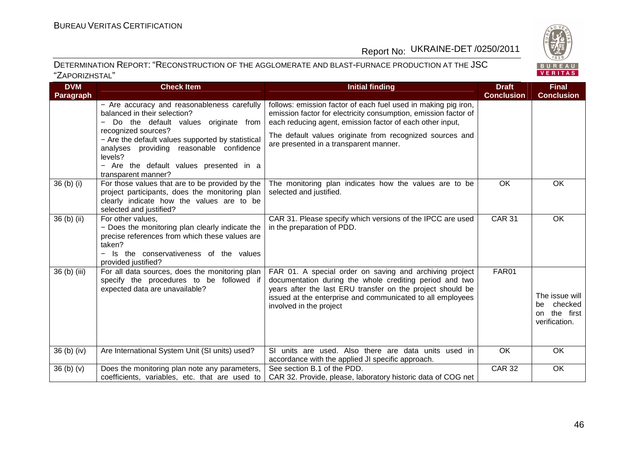

| <b>DVM</b>                       | <b>Check Item</b>                                                                                                                                                                                 | <b>Initial finding</b>                                                                                                                                                                                                                                                    | <b>Draft</b>      | <b>Final</b>                                                          |
|----------------------------------|---------------------------------------------------------------------------------------------------------------------------------------------------------------------------------------------------|---------------------------------------------------------------------------------------------------------------------------------------------------------------------------------------------------------------------------------------------------------------------------|-------------------|-----------------------------------------------------------------------|
| Paragraph                        |                                                                                                                                                                                                   |                                                                                                                                                                                                                                                                           | <b>Conclusion</b> | <b>Conclusion</b>                                                     |
|                                  | - Are accuracy and reasonableness carefully<br>balanced in their selection?<br>Do the default values originate from                                                                               | follows: emission factor of each fuel used in making pig iron,<br>emission factor for electricity consumption, emission factor of<br>each reducing agent, emission factor of each other input,                                                                            |                   |                                                                       |
|                                  | recognized sources?<br>- Are the default values supported by statistical<br>analyses providing reasonable confidence<br>levels?<br>- Are the default values presented in a<br>transparent manner? | The default values originate from recognized sources and<br>are presented in a transparent manner.                                                                                                                                                                        |                   |                                                                       |
| $36(b)$ (i)                      | For those values that are to be provided by the<br>project participants, does the monitoring plan<br>clearly indicate how the values are to be<br>selected and justified?                         | The monitoring plan indicates how the values are to be<br>selected and justified.                                                                                                                                                                                         | OK                | OK                                                                    |
| 36 (b) (ii)                      | For other values,<br>- Does the monitoring plan clearly indicate the<br>precise references from which these values are<br>taken?<br>Is the conservativeness of the values<br>provided justified?  | CAR 31. Please specify which versions of the IPCC are used<br>in the preparation of PDD.                                                                                                                                                                                  | <b>CAR 31</b>     | <b>OK</b>                                                             |
| 36 (b) (iii)                     | For all data sources, does the monitoring plan<br>specify the procedures to be followed if<br>expected data are unavailable?                                                                      | FAR 01. A special order on saving and archiving project<br>documentation during the whole crediting period and two<br>years after the last ERU transfer on the project should be<br>issued at the enterprise and communicated to all employees<br>involved in the project | FAR01             | The issue will<br>checked<br>be.<br>the first<br>on.<br>verification. |
| $36(b)$ (iv)                     | Are International System Unit (SI units) used?                                                                                                                                                    | SI units are used. Also there are data units used in<br>accordance with the applied JI specific approach.                                                                                                                                                                 | <b>OK</b>         | OK                                                                    |
| 36 <sub>(b)</sub> <sub>(v)</sub> | Does the monitoring plan note any parameters,<br>coefficients, variables, etc. that are used to                                                                                                   | See section B.1 of the PDD.<br>CAR 32. Provide, please, laboratory historic data of COG net                                                                                                                                                                               | <b>CAR 32</b>     | OK                                                                    |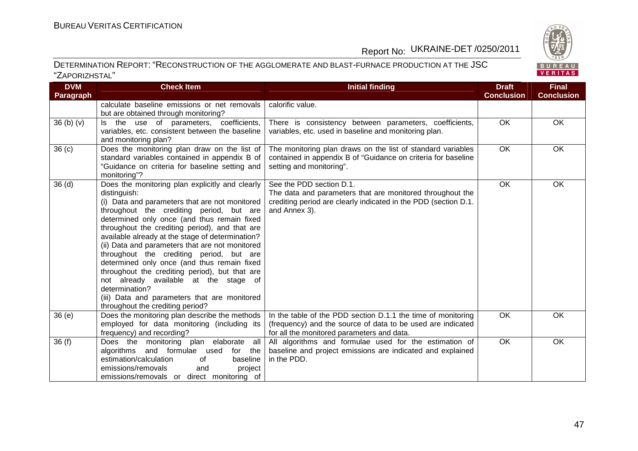

| <b>DVM</b>        | <b>Check Item</b>                                                                                                                                                                                                                                                                                                                                                                                                                                                                                                                                                                                                                                                 | <b>Initial finding</b>                                                                                                                                                    | <b>Draft</b>      | <b>Final</b>      |
|-------------------|-------------------------------------------------------------------------------------------------------------------------------------------------------------------------------------------------------------------------------------------------------------------------------------------------------------------------------------------------------------------------------------------------------------------------------------------------------------------------------------------------------------------------------------------------------------------------------------------------------------------------------------------------------------------|---------------------------------------------------------------------------------------------------------------------------------------------------------------------------|-------------------|-------------------|
| Paragraph         |                                                                                                                                                                                                                                                                                                                                                                                                                                                                                                                                                                                                                                                                   |                                                                                                                                                                           | <b>Conclusion</b> | <b>Conclusion</b> |
|                   | calculate baseline emissions or net removals<br>but are obtained through monitoring?                                                                                                                                                                                                                                                                                                                                                                                                                                                                                                                                                                              | calorific value.                                                                                                                                                          |                   |                   |
| 36(b)(v)          | Is the use of parameters, coefficients,<br>variables, etc. consistent between the baseline<br>and monitoring plan?                                                                                                                                                                                                                                                                                                                                                                                                                                                                                                                                                | There is consistency between parameters, coefficients,<br>variables, etc. used in baseline and monitoring plan.                                                           | $\overline{OK}$   | OK                |
| 36 <sub>(c)</sub> | Does the monitoring plan draw on the list of<br>standard variables contained in appendix B of<br>"Guidance on criteria for baseline setting and<br>monitoring"?                                                                                                                                                                                                                                                                                                                                                                                                                                                                                                   | The monitoring plan draws on the list of standard variables<br>contained in appendix B of "Guidance on criteria for baseline<br>setting and monitoring".                  | <b>OK</b>         | <b>OK</b>         |
| 36(d)             | Does the monitoring plan explicitly and clearly<br>distinguish:<br>(i) Data and parameters that are not monitored<br>throughout the crediting period, but are<br>determined only once (and thus remain fixed<br>throughout the crediting period), and that are<br>available already at the stage of determination?<br>(ii) Data and parameters that are not monitored<br>throughout the crediting period, but are<br>determined only once (and thus remain fixed<br>throughout the crediting period), but that are<br>not already available at the stage of<br>determination?<br>(iii) Data and parameters that are monitored<br>throughout the crediting period? | See the PDD section D.1.<br>The data and parameters that are monitored throughout the<br>crediting period are clearly indicated in the PDD (section D.1.<br>and Annex 3). | <b>OK</b>         | OK                |
| 36(e)             | Does the monitoring plan describe the methods<br>employed for data monitoring (including its<br>frequency) and recording?                                                                                                                                                                                                                                                                                                                                                                                                                                                                                                                                         | In the table of the PDD section D.1.1 the time of monitoring<br>(frequency) and the source of data to be used are indicated<br>for all the monitored parameters and data. | $\overline{OK}$   | <b>OK</b>         |
| 36(f)             | Does the monitoring plan elaborate all<br>algorithms and formulae used<br>for the<br>estimation/calculation<br>baseline<br>of<br>emissions/removals<br>and<br>project<br>emissions/removals or direct monitoring of                                                                                                                                                                                                                                                                                                                                                                                                                                               | All algorithms and formulae used for the estimation of<br>baseline and project emissions are indicated and explained<br>in the PDD.                                       | OK                | OK                |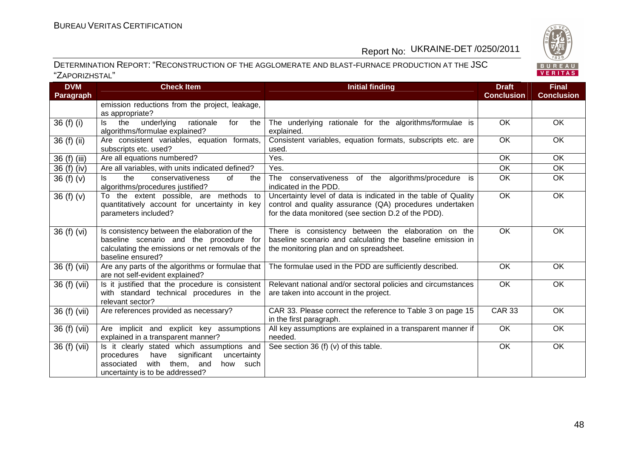

| <b>DVM</b>       | <b>Check Item</b>                                                                                                                                                             | <b>Initial finding</b>                                                                                                                                                             | <b>Draft</b>      | <b>Final</b>      |
|------------------|-------------------------------------------------------------------------------------------------------------------------------------------------------------------------------|------------------------------------------------------------------------------------------------------------------------------------------------------------------------------------|-------------------|-------------------|
| <b>Paragraph</b> |                                                                                                                                                                               |                                                                                                                                                                                    | <b>Conclusion</b> | <b>Conclusion</b> |
|                  | emission reductions from the project, leakage,<br>as appropriate?                                                                                                             |                                                                                                                                                                                    |                   |                   |
| 36 (f) (i)       | the<br>rationale<br>ls.<br>underlying<br>for<br>the<br>algorithms/formulae explained?                                                                                         | The underlying rationale for the algorithms/formulae is<br>explained.                                                                                                              | OK                | OK                |
| $36(f)$ (ii)     | Are consistent variables, equation formats,<br>subscripts etc. used?                                                                                                          | Consistent variables, equation formats, subscripts etc. are<br>used.                                                                                                               | $\overline{OK}$   | OK                |
| 36 (f) (iii)     | Are all equations numbered?                                                                                                                                                   | Yes.                                                                                                                                                                               | OK                | OK                |
| 36 (f) (iv)      | Are all variables, with units indicated defined?                                                                                                                              | Yes.                                                                                                                                                                               | OK                | OK                |
| 36 $(f)(v)$      | the<br>conservativeness<br>of<br>ls.<br>the<br>algorithms/procedures justified?                                                                                               | The<br>conservativeness of the algorithms/procedure is<br>indicated in the PDD.                                                                                                    | OK                | OK                |
| 36(f)(v)         | To the extent possible, are methods to<br>quantitatively account for uncertainty in key<br>parameters included?                                                               | Uncertainty level of data is indicated in the table of Quality<br>control and quality assurance (QA) procedures undertaken<br>for the data monitored (see section D.2 of the PDD). | $\overline{OK}$   | OK                |
| 36 (f) (vi)      | Is consistency between the elaboration of the<br>baseline scenario and the procedure for<br>calculating the emissions or net removals of the<br>baseline ensured?             | There is consistency between the elaboration on the<br>baseline scenario and calculating the baseline emission in<br>the monitoring plan and on spreadsheet.                       | OK                | OK                |
| 36 (f) (vii)     | Are any parts of the algorithms or formulae that<br>are not self-evident explained?                                                                                           | The formulae used in the PDD are sufficiently described.                                                                                                                           | <b>OK</b>         | <b>OK</b>         |
| 36 (f) (vii)     | Is it justified that the procedure is consistent<br>with standard technical procedures in the<br>relevant sector?                                                             | Relevant national and/or sectoral policies and circumstances<br>are taken into account in the project.                                                                             | $\overline{OK}$   | OK                |
| 36 (f) (vii)     | Are references provided as necessary?                                                                                                                                         | CAR 33. Please correct the reference to Table 3 on page 15<br>in the first paragraph.                                                                                              | <b>CAR 33</b>     | OK                |
| 36 (f) (vii)     | Are implicit and explicit key assumptions<br>explained in a transparent manner?                                                                                               | All key assumptions are explained in a transparent manner if<br>needed.                                                                                                            | OK                | OK                |
| 36 (f) (vii)     | Is it clearly stated which assumptions and<br>significant<br>procedures<br>have<br>uncertainty<br>with them, and<br>associated<br>how such<br>uncertainty is to be addressed? | See section 36 (f) (v) of this table.                                                                                                                                              | OK                | OK                |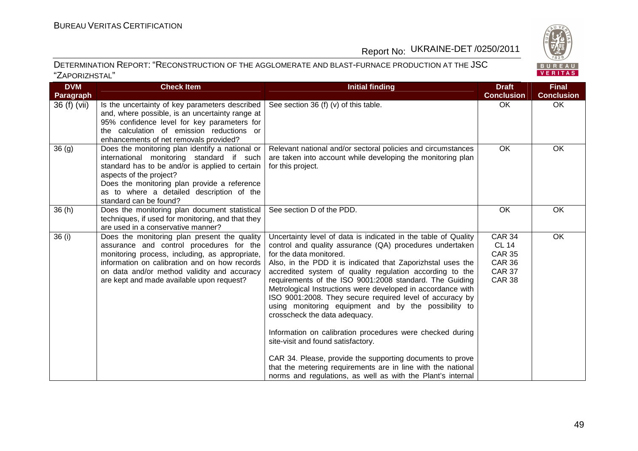

| 828     |  |
|---------|--|
| BUREAU  |  |
| VERITAS |  |

| <b>DVM</b><br>Paragraph | <b>Check Item</b>                                                                                                                                                                                                                                                                                 | <b>Initial finding</b>                                                                                                                                                                                                                                                                                                                                                                                                                                                                                                                                                                                                                                                                                                                                                                                                                                         | <b>Draft</b><br><b>Conclusion</b>                                                                 | <b>Final</b><br><b>Conclusion</b> |
|-------------------------|---------------------------------------------------------------------------------------------------------------------------------------------------------------------------------------------------------------------------------------------------------------------------------------------------|----------------------------------------------------------------------------------------------------------------------------------------------------------------------------------------------------------------------------------------------------------------------------------------------------------------------------------------------------------------------------------------------------------------------------------------------------------------------------------------------------------------------------------------------------------------------------------------------------------------------------------------------------------------------------------------------------------------------------------------------------------------------------------------------------------------------------------------------------------------|---------------------------------------------------------------------------------------------------|-----------------------------------|
| 36 (f) (vii)            | Is the uncertainty of key parameters described<br>and, where possible, is an uncertainty range at<br>95% confidence level for key parameters for<br>the calculation of emission reductions or<br>enhancements of net removals provided?                                                           | See section 36 (f) (v) of this table.                                                                                                                                                                                                                                                                                                                                                                                                                                                                                                                                                                                                                                                                                                                                                                                                                          | OK                                                                                                | OK                                |
| 36(9)                   | Does the monitoring plan identify a national or<br>international monitoring standard if such<br>standard has to be and/or is applied to certain<br>aspects of the project?<br>Does the monitoring plan provide a reference<br>as to where a detailed description of the<br>standard can be found? | Relevant national and/or sectoral policies and circumstances<br>are taken into account while developing the monitoring plan<br>for this project.                                                                                                                                                                                                                                                                                                                                                                                                                                                                                                                                                                                                                                                                                                               | OK                                                                                                | OK                                |
| 36(h)                   | Does the monitoring plan document statistical<br>techniques, if used for monitoring, and that they<br>are used in a conservative manner?                                                                                                                                                          | See section D of the PDD.                                                                                                                                                                                                                                                                                                                                                                                                                                                                                                                                                                                                                                                                                                                                                                                                                                      | OK                                                                                                | OK                                |
| 36 (i)                  | Does the monitoring plan present the quality<br>assurance and control procedures for the<br>monitoring process, including, as appropriate,<br>information on calibration and on how records<br>on data and/or method validity and accuracy<br>are kept and made available upon request?           | Uncertainty level of data is indicated in the table of Quality<br>control and quality assurance (QA) procedures undertaken<br>for the data monitored.<br>Also, in the PDD it is indicated that Zaporizhstal uses the<br>accredited system of quality regulation according to the<br>requirements of the ISO 9001:2008 standard. The Guiding<br>Metrological Instructions were developed in accordance with<br>ISO 9001:2008. They secure required level of accuracy by<br>using monitoring equipment and by the possibility to<br>crosscheck the data adequacy.<br>Information on calibration procedures were checked during<br>site-visit and found satisfactory.<br>CAR 34. Please, provide the supporting documents to prove<br>that the metering requirements are in line with the national<br>norms and regulations, as well as with the Plant's internal | <b>CAR 34</b><br><b>CL 14</b><br><b>CAR 35</b><br><b>CAR 36</b><br><b>CAR 37</b><br><b>CAR 38</b> | OK                                |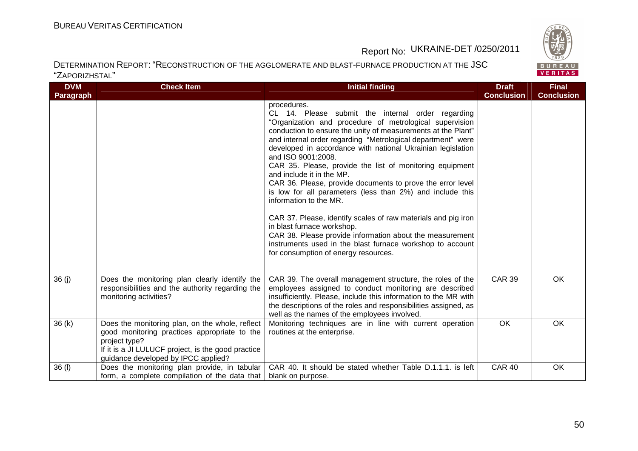

| <b>DVM</b>       | <b>Check Item</b>                                                                                                                                                                                             | <b>Initial finding</b>                                                                                                                                                                                                                                                                                                                                                                                                                                                                                                                                                                                                                                                                                                                                                                                                                                        | <b>Draft</b>      | <b>Final</b>      |
|------------------|---------------------------------------------------------------------------------------------------------------------------------------------------------------------------------------------------------------|---------------------------------------------------------------------------------------------------------------------------------------------------------------------------------------------------------------------------------------------------------------------------------------------------------------------------------------------------------------------------------------------------------------------------------------------------------------------------------------------------------------------------------------------------------------------------------------------------------------------------------------------------------------------------------------------------------------------------------------------------------------------------------------------------------------------------------------------------------------|-------------------|-------------------|
| <b>Paragraph</b> |                                                                                                                                                                                                               |                                                                                                                                                                                                                                                                                                                                                                                                                                                                                                                                                                                                                                                                                                                                                                                                                                                               | <b>Conclusion</b> | <b>Conclusion</b> |
|                  |                                                                                                                                                                                                               | procedures.<br>CL 14. Please submit the internal order regarding<br>"Organization and procedure of metrological supervision<br>conduction to ensure the unity of measurements at the Plant"<br>and internal order regarding "Metrological department" were<br>developed in accordance with national Ukrainian legislation<br>and ISO 9001:2008.<br>CAR 35. Please, provide the list of monitoring equipment<br>and include it in the MP.<br>CAR 36. Please, provide documents to prove the error level<br>is low for all parameters (less than 2%) and include this<br>information to the MR.<br>CAR 37. Please, identify scales of raw materials and pig iron<br>in blast furnace workshop.<br>CAR 38. Please provide information about the measurement<br>instruments used in the blast furnace workshop to account<br>for consumption of energy resources. |                   |                   |
| 36(j)            | Does the monitoring plan clearly identify the<br>responsibilities and the authority regarding the<br>monitoring activities?                                                                                   | CAR 39. The overall management structure, the roles of the<br>employees assigned to conduct monitoring are described<br>insufficiently. Please, include this information to the MR with<br>the descriptions of the roles and responsibilities assigned, as<br>well as the names of the employees involved.                                                                                                                                                                                                                                                                                                                                                                                                                                                                                                                                                    | <b>CAR 39</b>     | OK                |
| 36(k)            | Does the monitoring plan, on the whole, reflect<br>good monitoring practices appropriate to the<br>project type?<br>If it is a JI LULUCF project, is the good practice<br>guidance developed by IPCC applied? | Monitoring techniques are in line with current operation<br>routines at the enterprise.                                                                                                                                                                                                                                                                                                                                                                                                                                                                                                                                                                                                                                                                                                                                                                       | <b>OK</b>         | OK                |
| 36 (I)           | Does the monitoring plan provide, in tabular<br>form, a complete compilation of the data that                                                                                                                 | CAR 40. It should be stated whether Table D.1.1.1. is left<br>blank on purpose.                                                                                                                                                                                                                                                                                                                                                                                                                                                                                                                                                                                                                                                                                                                                                                               | <b>CAR 40</b>     | OK                |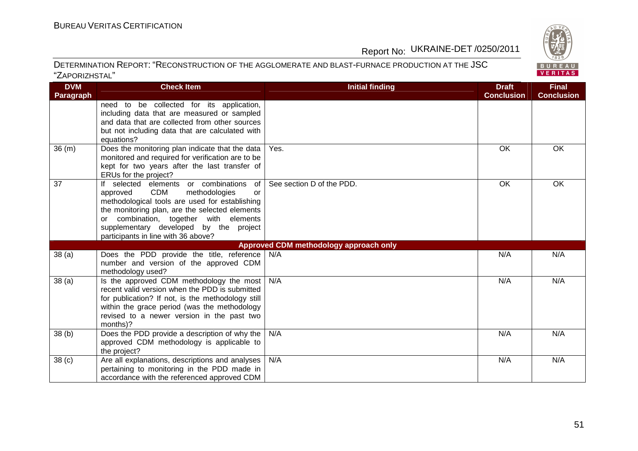

| <b>DVM</b>        | <b>Check Item</b>                                                                                                                                                                                                                                                                                                        | <b>Initial finding</b>                 | <b>Draft</b>      | <b>Final</b>      |
|-------------------|--------------------------------------------------------------------------------------------------------------------------------------------------------------------------------------------------------------------------------------------------------------------------------------------------------------------------|----------------------------------------|-------------------|-------------------|
| <b>Paragraph</b>  |                                                                                                                                                                                                                                                                                                                          |                                        | <b>Conclusion</b> | <b>Conclusion</b> |
|                   | need to be collected for its application,<br>including data that are measured or sampled<br>and data that are collected from other sources<br>but not including data that are calculated with                                                                                                                            |                                        |                   |                   |
| 36(m)             | equations?<br>Does the monitoring plan indicate that the data<br>monitored and required for verification are to be<br>kept for two years after the last transfer of<br>ERUs for the project?                                                                                                                             | Yes.                                   | OK                | OK                |
| 37                | If selected elements or combinations<br>of l<br>CDM<br>methodologies<br>approved<br>or<br>methodological tools are used for establishing<br>the monitoring plan, are the selected elements<br>combination, together with elements<br>or<br>supplementary developed by the project<br>participants in line with 36 above? | See section D of the PDD.              | OK                | OK                |
|                   |                                                                                                                                                                                                                                                                                                                          | Approved CDM methodology approach only |                   |                   |
| 38(a)             | Does the PDD provide the title, reference<br>number and version of the approved CDM<br>methodology used?                                                                                                                                                                                                                 | N/A                                    | N/A               | N/A               |
| 38(a)             | Is the approved CDM methodology the most<br>recent valid version when the PDD is submitted<br>for publication? If not, is the methodology still<br>within the grace period (was the methodology<br>revised to a newer version in the past two<br>months)?                                                                | N/A                                    | N/A               | N/A               |
| 38(b)             | Does the PDD provide a description of why the<br>approved CDM methodology is applicable to<br>the project?                                                                                                                                                                                                               | N/A                                    | N/A               | N/A               |
| 38 <sub>(c)</sub> | Are all explanations, descriptions and analyses<br>pertaining to monitoring in the PDD made in<br>accordance with the referenced approved CDM                                                                                                                                                                            | N/A                                    | N/A               | N/A               |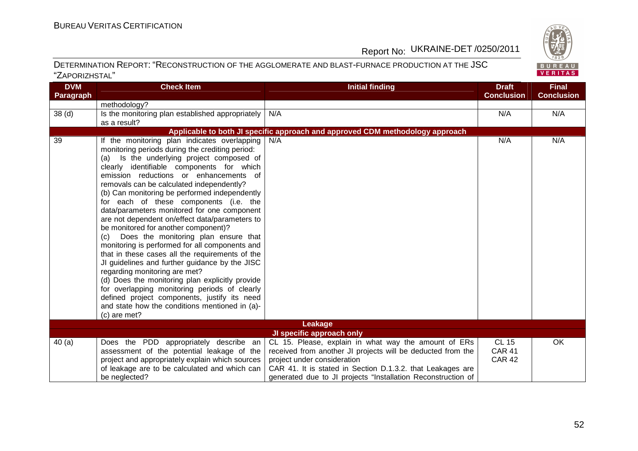

| <b>DVM</b><br><b>Paragraph</b> | <b>Check Item</b>                                                                                                                                                                                                                                                                                                                                                                                                                                                                                                                                                                                                                                                                                                                                                                                                                                               | Initial finding                                                                                                                                                                                                  | <b>Draft</b><br><b>Conclusion</b>              | <b>Final</b><br><b>Conclusion</b> |
|--------------------------------|-----------------------------------------------------------------------------------------------------------------------------------------------------------------------------------------------------------------------------------------------------------------------------------------------------------------------------------------------------------------------------------------------------------------------------------------------------------------------------------------------------------------------------------------------------------------------------------------------------------------------------------------------------------------------------------------------------------------------------------------------------------------------------------------------------------------------------------------------------------------|------------------------------------------------------------------------------------------------------------------------------------------------------------------------------------------------------------------|------------------------------------------------|-----------------------------------|
|                                | methodology?                                                                                                                                                                                                                                                                                                                                                                                                                                                                                                                                                                                                                                                                                                                                                                                                                                                    |                                                                                                                                                                                                                  |                                                |                                   |
| 38 <sub>(d)</sub>              | Is the monitoring plan established appropriately                                                                                                                                                                                                                                                                                                                                                                                                                                                                                                                                                                                                                                                                                                                                                                                                                | N/A                                                                                                                                                                                                              | N/A                                            | N/A                               |
|                                | as a result?                                                                                                                                                                                                                                                                                                                                                                                                                                                                                                                                                                                                                                                                                                                                                                                                                                                    |                                                                                                                                                                                                                  |                                                |                                   |
|                                |                                                                                                                                                                                                                                                                                                                                                                                                                                                                                                                                                                                                                                                                                                                                                                                                                                                                 | Applicable to both JI specific approach and approved CDM methodology approach                                                                                                                                    |                                                |                                   |
| 39                             | If the monitoring plan indicates overlapping<br>monitoring periods during the crediting period:<br>(a) Is the underlying project composed of<br>clearly identifiable components for which<br>emission reductions or enhancements of<br>removals can be calculated independently?<br>(b) Can monitoring be performed independently<br>for each of these components (i.e. the<br>data/parameters monitored for one component<br>are not dependent on/effect data/parameters to<br>be monitored for another component)?<br>Does the monitoring plan ensure that<br>(c)<br>monitoring is performed for all components and<br>that in these cases all the requirements of the<br>JI guidelines and further guidance by the JISC<br>regarding monitoring are met?<br>(d) Does the monitoring plan explicitly provide<br>for overlapping monitoring periods of clearly | N/A                                                                                                                                                                                                              | N/A                                            | N/A                               |
|                                | defined project components, justify its need<br>and state how the conditions mentioned in (a)-<br>(c) are met?                                                                                                                                                                                                                                                                                                                                                                                                                                                                                                                                                                                                                                                                                                                                                  |                                                                                                                                                                                                                  |                                                |                                   |
|                                |                                                                                                                                                                                                                                                                                                                                                                                                                                                                                                                                                                                                                                                                                                                                                                                                                                                                 | Leakage                                                                                                                                                                                                          |                                                |                                   |
|                                |                                                                                                                                                                                                                                                                                                                                                                                                                                                                                                                                                                                                                                                                                                                                                                                                                                                                 | JI specific approach only                                                                                                                                                                                        |                                                |                                   |
| 40(a)                          | Does the PDD appropriately describe an<br>assessment of the potential leakage of the<br>project and appropriately explain which sources<br>of leakage are to be calculated and which can                                                                                                                                                                                                                                                                                                                                                                                                                                                                                                                                                                                                                                                                        | CL 15. Please, explain in what way the amount of ERs<br>received from another JI projects will be deducted from the<br>project under consideration<br>CAR 41. It is stated in Section D.1.3.2. that Leakages are | <b>CL 15</b><br><b>CAR 41</b><br><b>CAR 42</b> | OK                                |
|                                | be neglected?                                                                                                                                                                                                                                                                                                                                                                                                                                                                                                                                                                                                                                                                                                                                                                                                                                                   | generated due to JI projects "Installation Reconstruction of                                                                                                                                                     |                                                |                                   |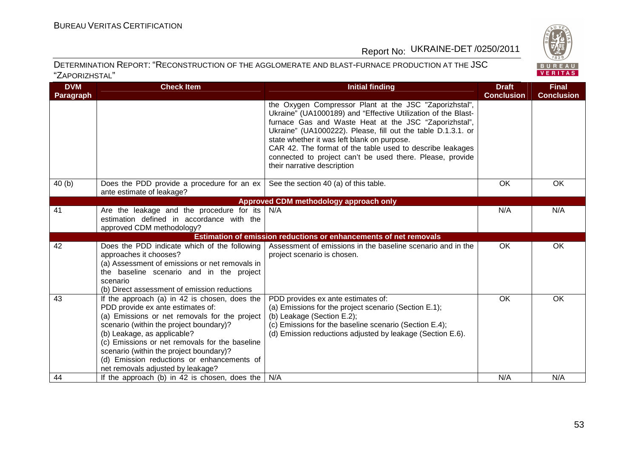**DVM** 



# Report No: UKRAINE-DET /0250/2011

| <b>DVM</b><br>Paragraph | <b>Check Item</b>                                                                                                                                                                                                                                                                                                                                                                             | <b>Initial finding</b>                                                                                                                                                                                                                                                                                                                                                                                                                                   | <b>Draft</b><br><b>Conclusion</b> | <b>Final</b><br><b>Conclusion</b> |
|-------------------------|-----------------------------------------------------------------------------------------------------------------------------------------------------------------------------------------------------------------------------------------------------------------------------------------------------------------------------------------------------------------------------------------------|----------------------------------------------------------------------------------------------------------------------------------------------------------------------------------------------------------------------------------------------------------------------------------------------------------------------------------------------------------------------------------------------------------------------------------------------------------|-----------------------------------|-----------------------------------|
|                         |                                                                                                                                                                                                                                                                                                                                                                                               | the Oxygen Compressor Plant at the JSC "Zaporizhstal",<br>Ukraine" (UA1000189) and "Effective Utilization of the Blast-<br>furnace Gas and Waste Heat at the JSC "Zaporizhstal",<br>Ukraine" (UA1000222). Please, fill out the table D.1.3.1. or<br>state whether it was left blank on purpose.<br>CAR 42. The format of the table used to describe leakages<br>connected to project can't be used there. Please, provide<br>their narrative description |                                   |                                   |
| 40(b)                   | Does the PDD provide a procedure for an $ex$<br>ante estimate of leakage?                                                                                                                                                                                                                                                                                                                     | See the section 40 (a) of this table.                                                                                                                                                                                                                                                                                                                                                                                                                    | <b>OK</b>                         | OK                                |
|                         |                                                                                                                                                                                                                                                                                                                                                                                               | Approved CDM methodology approach only                                                                                                                                                                                                                                                                                                                                                                                                                   |                                   |                                   |
| 41                      | Are the leakage and the procedure for its<br>estimation defined in accordance with the<br>approved CDM methodology?                                                                                                                                                                                                                                                                           | N/A                                                                                                                                                                                                                                                                                                                                                                                                                                                      | N/A                               | N/A                               |
|                         |                                                                                                                                                                                                                                                                                                                                                                                               | Estimation of emission reductions or enhancements of net removals                                                                                                                                                                                                                                                                                                                                                                                        |                                   |                                   |
| 42                      | Does the PDD indicate which of the following<br>approaches it chooses?<br>(a) Assessment of emissions or net removals in<br>the baseline scenario and in the project<br>scenario<br>(b) Direct assessment of emission reductions                                                                                                                                                              | Assessment of emissions in the baseline scenario and in the<br>project scenario is chosen.                                                                                                                                                                                                                                                                                                                                                               | <b>OK</b>                         | OK                                |
| 43                      | If the approach (a) in 42 is chosen, does the<br>PDD provide ex ante estimates of:<br>(a) Emissions or net removals for the project<br>scenario (within the project boundary)?<br>(b) Leakage, as applicable?<br>(c) Emissions or net removals for the baseline<br>scenario (within the project boundary)?<br>(d) Emission reductions or enhancements of<br>net removals adjusted by leakage? | PDD provides ex ante estimates of:<br>(a) Emissions for the project scenario (Section E.1);<br>(b) Leakage (Section E.2);<br>(c) Emissions for the baseline scenario (Section E.4);<br>(d) Emission reductions adjusted by leakage (Section E.6).                                                                                                                                                                                                        | OK                                | OK                                |
| 44                      | If the approach (b) in 42 is chosen, does the                                                                                                                                                                                                                                                                                                                                                 | N/A                                                                                                                                                                                                                                                                                                                                                                                                                                                      | N/A                               | N/A                               |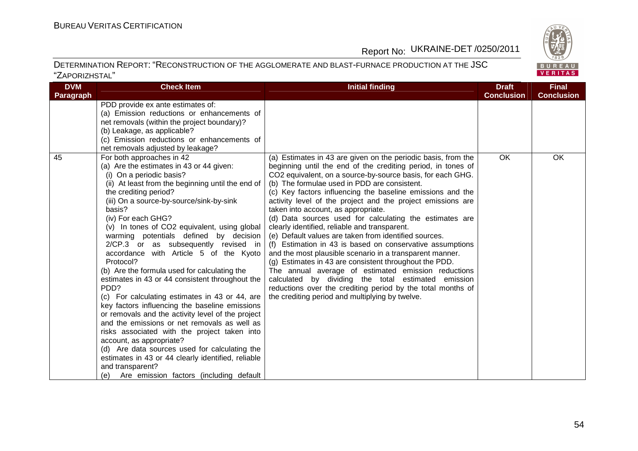BUREAU<br>VERITAS

### Report No: UKRAINE-DET /0250/2011

| <b>DVM</b> | <b>Check Item</b>                                                                                                                                                                                                                                                                                                                                                                                                                                                                                                                                                                                                                                                                                                                                                                                                                                                                                                                                                                                                                 | <b>Initial finding</b>                                                                                                                                                                                                                                                                                                                                                                                                                                                                                                                                                                                                                                                                                                                                                                                                                                                                                                                                                                                  | <b>Draft</b>      | <b>Final</b>      |
|------------|-----------------------------------------------------------------------------------------------------------------------------------------------------------------------------------------------------------------------------------------------------------------------------------------------------------------------------------------------------------------------------------------------------------------------------------------------------------------------------------------------------------------------------------------------------------------------------------------------------------------------------------------------------------------------------------------------------------------------------------------------------------------------------------------------------------------------------------------------------------------------------------------------------------------------------------------------------------------------------------------------------------------------------------|---------------------------------------------------------------------------------------------------------------------------------------------------------------------------------------------------------------------------------------------------------------------------------------------------------------------------------------------------------------------------------------------------------------------------------------------------------------------------------------------------------------------------------------------------------------------------------------------------------------------------------------------------------------------------------------------------------------------------------------------------------------------------------------------------------------------------------------------------------------------------------------------------------------------------------------------------------------------------------------------------------|-------------------|-------------------|
| Paragraph  |                                                                                                                                                                                                                                                                                                                                                                                                                                                                                                                                                                                                                                                                                                                                                                                                                                                                                                                                                                                                                                   |                                                                                                                                                                                                                                                                                                                                                                                                                                                                                                                                                                                                                                                                                                                                                                                                                                                                                                                                                                                                         | <b>Conclusion</b> | <b>Conclusion</b> |
|            | PDD provide ex ante estimates of:<br>(a) Emission reductions or enhancements of<br>net removals (within the project boundary)?<br>(b) Leakage, as applicable?<br>(c) Emission reductions or enhancements of<br>net removals adjusted by leakage?                                                                                                                                                                                                                                                                                                                                                                                                                                                                                                                                                                                                                                                                                                                                                                                  |                                                                                                                                                                                                                                                                                                                                                                                                                                                                                                                                                                                                                                                                                                                                                                                                                                                                                                                                                                                                         |                   |                   |
| 45         | For both approaches in 42<br>(a) Are the estimates in 43 or 44 given:<br>(i) On a periodic basis?<br>(ii) At least from the beginning until the end of<br>the crediting period?<br>(iii) On a source-by-source/sink-by-sink<br>basis?<br>(iv) For each GHG?<br>(v) In tones of CO2 equivalent, using global<br>warming potentials defined by decision<br>2/CP.3 or as subsequently revised in<br>accordance with Article 5 of the Kyoto<br>Protocol?<br>(b) Are the formula used for calculating the<br>estimates in 43 or 44 consistent throughout the<br>PDD?<br>(c) For calculating estimates in 43 or 44, are<br>key factors influencing the baseline emissions<br>or removals and the activity level of the project<br>and the emissions or net removals as well as<br>risks associated with the project taken into<br>account, as appropriate?<br>(d) Are data sources used for calculating the<br>estimates in 43 or 44 clearly identified, reliable<br>and transparent?<br>Are emission factors (including default<br>(e) | (a) Estimates in 43 are given on the periodic basis, from the<br>beginning until the end of the crediting period, in tones of<br>CO2 equivalent, on a source-by-source basis, for each GHG.<br>(b) The formulae used in PDD are consistent.<br>(c) Key factors influencing the baseline emissions and the<br>activity level of the project and the project emissions are<br>taken into account, as appropriate.<br>(d) Data sources used for calculating the estimates are<br>clearly identified, reliable and transparent.<br>(e) Default values are taken from identified sources.<br>(f) Estimation in 43 is based on conservative assumptions<br>and the most plausible scenario in a transparent manner.<br>(g) Estimates in 43 are consistent throughout the PDD.<br>The annual average of estimated emission reductions<br>calculated by dividing the total estimated emission<br>reductions over the crediting period by the total months of<br>the crediting period and multiplying by twelve. | OK                | OK                |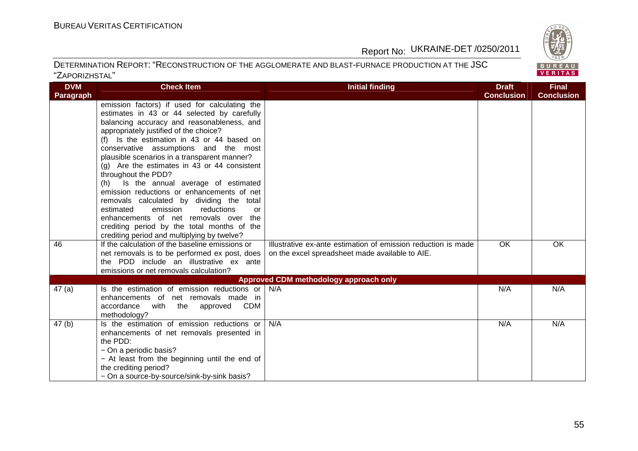

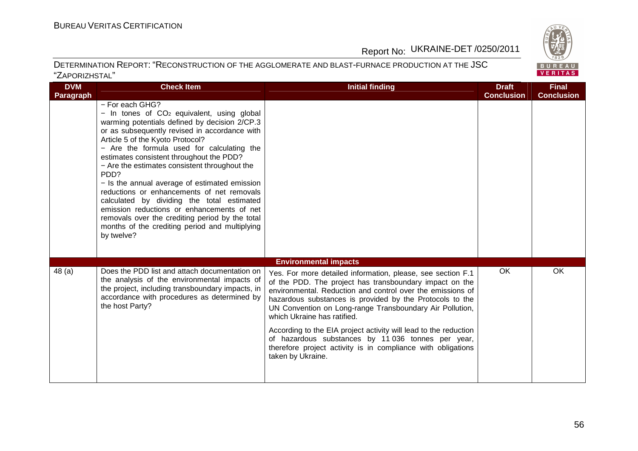BUREAU<br>VERITAS

## Report No: UKRAINE-DET /0250/2011

| <b>DVM</b>       | <b>Check Item</b>                                                                                                                                                                                                                                                                                                                                                                                                                                                                                                                                                                                                                                                                  | <b>Initial finding</b>                                                                                                                                                                                                                                                                                                                                                                                                                                                                                                                | <b>Draft</b>      | <b>Final</b>      |
|------------------|------------------------------------------------------------------------------------------------------------------------------------------------------------------------------------------------------------------------------------------------------------------------------------------------------------------------------------------------------------------------------------------------------------------------------------------------------------------------------------------------------------------------------------------------------------------------------------------------------------------------------------------------------------------------------------|---------------------------------------------------------------------------------------------------------------------------------------------------------------------------------------------------------------------------------------------------------------------------------------------------------------------------------------------------------------------------------------------------------------------------------------------------------------------------------------------------------------------------------------|-------------------|-------------------|
| <b>Paragraph</b> |                                                                                                                                                                                                                                                                                                                                                                                                                                                                                                                                                                                                                                                                                    |                                                                                                                                                                                                                                                                                                                                                                                                                                                                                                                                       | <b>Conclusion</b> | <b>Conclusion</b> |
|                  | - For each GHG?<br>$-$ In tones of CO <sub>2</sub> equivalent, using global<br>warming potentials defined by decision 2/CP.3<br>or as subsequently revised in accordance with<br>Article 5 of the Kyoto Protocol?<br>- Are the formula used for calculating the<br>estimates consistent throughout the PDD?<br>- Are the estimates consistent throughout the<br>PDD?<br>- Is the annual average of estimated emission<br>reductions or enhancements of net removals<br>calculated by dividing the total estimated<br>emission reductions or enhancements of net<br>removals over the crediting period by the total<br>months of the crediting period and multiplying<br>by twelve? |                                                                                                                                                                                                                                                                                                                                                                                                                                                                                                                                       |                   |                   |
|                  |                                                                                                                                                                                                                                                                                                                                                                                                                                                                                                                                                                                                                                                                                    | <b>Environmental impacts</b>                                                                                                                                                                                                                                                                                                                                                                                                                                                                                                          |                   |                   |
| 48(a)            | Does the PDD list and attach documentation on<br>the analysis of the environmental impacts of<br>the project, including transboundary impacts, in<br>accordance with procedures as determined by<br>the host Party?                                                                                                                                                                                                                                                                                                                                                                                                                                                                | Yes. For more detailed information, please, see section F.1<br>of the PDD. The project has transboundary impact on the<br>environmental. Reduction and control over the emissions of<br>hazardous substances is provided by the Protocols to the<br>UN Convention on Long-range Transboundary Air Pollution,<br>which Ukraine has ratified.<br>According to the EIA project activity will lead to the reduction<br>of hazardous substances by 11 036 tonnes per year,<br>therefore project activity is in compliance with obligations | OK                | OK                |
|                  |                                                                                                                                                                                                                                                                                                                                                                                                                                                                                                                                                                                                                                                                                    | taken by Ukraine.                                                                                                                                                                                                                                                                                                                                                                                                                                                                                                                     |                   |                   |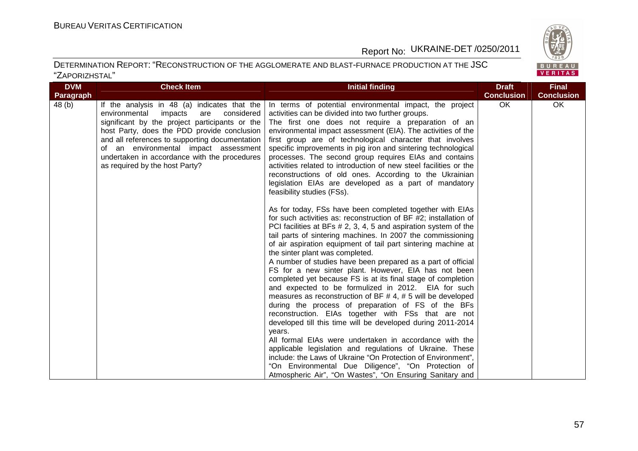

| <b>DVM</b><br>Paragraph | <b>Check Item</b>                                                                                                                                                                                                                                                                                                                                                           | Initial finding                                                                                                                                                                                                                                                                                                                                                                                                                                                                                                                                                                                                                                                                                                                                                                                                                                                                                                                                                                                                                                                                                                                                                                                                                                                                                                                                                                                                                                                                                                                                                                                                                                                                                                       | <b>Draft</b><br><b>Conclusion</b> | <b>Final</b><br><b>Conclusion</b> |
|-------------------------|-----------------------------------------------------------------------------------------------------------------------------------------------------------------------------------------------------------------------------------------------------------------------------------------------------------------------------------------------------------------------------|-----------------------------------------------------------------------------------------------------------------------------------------------------------------------------------------------------------------------------------------------------------------------------------------------------------------------------------------------------------------------------------------------------------------------------------------------------------------------------------------------------------------------------------------------------------------------------------------------------------------------------------------------------------------------------------------------------------------------------------------------------------------------------------------------------------------------------------------------------------------------------------------------------------------------------------------------------------------------------------------------------------------------------------------------------------------------------------------------------------------------------------------------------------------------------------------------------------------------------------------------------------------------------------------------------------------------------------------------------------------------------------------------------------------------------------------------------------------------------------------------------------------------------------------------------------------------------------------------------------------------------------------------------------------------------------------------------------------------|-----------------------------------|-----------------------------------|
| 48 (b)                  | If the analysis in 48 (a) indicates that the<br>environmental<br>impacts<br>considered<br>are<br>significant by the project participants or the<br>host Party, does the PDD provide conclusion<br>and all references to supporting documentation<br>of an environmental impact assessment<br>undertaken in accordance with the procedures<br>as required by the host Party? | In terms of potential environmental impact, the project<br>activities can be divided into two further groups.<br>The first one does not require a preparation of an<br>environmental impact assessment (EIA). The activities of the<br>first group are of technological character that involves<br>specific improvements in pig iron and sintering technological<br>processes. The second group requires EIAs and contains<br>activities related to introduction of new steel facilities or the<br>reconstructions of old ones. According to the Ukrainian<br>legislation EIAs are developed as a part of mandatory<br>feasibility studies (FSs).<br>As for today, FSs have been completed together with EIAs<br>for such activities as: reconstruction of BF #2; installation of<br>PCI facilities at BFs # 2, 3, 4, 5 and aspiration system of the<br>tail parts of sintering machines. In 2007 the commissioning<br>of air aspiration equipment of tail part sintering machine at<br>the sinter plant was completed.<br>A number of studies have been prepared as a part of official<br>FS for a new sinter plant. However, EIA has not been<br>completed yet because FS is at its final stage of completion<br>and expected to be formulized in 2012. EIA for such<br>measures as reconstruction of BF $#$ 4, $#$ 5 will be developed<br>during the process of preparation of FS of the BFs<br>reconstruction. EIAs together with FSs that are not<br>developed till this time will be developed during 2011-2014<br>vears.<br>All formal EIAs were undertaken in accordance with the<br>applicable legislation and regulations of Ukraine. These<br>include: the Laws of Ukraine "On Protection of Environment", | OK                                | OK                                |
|                         |                                                                                                                                                                                                                                                                                                                                                                             | "On Environmental Due Diligence", "On Protection of<br>Atmospheric Air", "On Wastes", "On Ensuring Sanitary and                                                                                                                                                                                                                                                                                                                                                                                                                                                                                                                                                                                                                                                                                                                                                                                                                                                                                                                                                                                                                                                                                                                                                                                                                                                                                                                                                                                                                                                                                                                                                                                                       |                                   |                                   |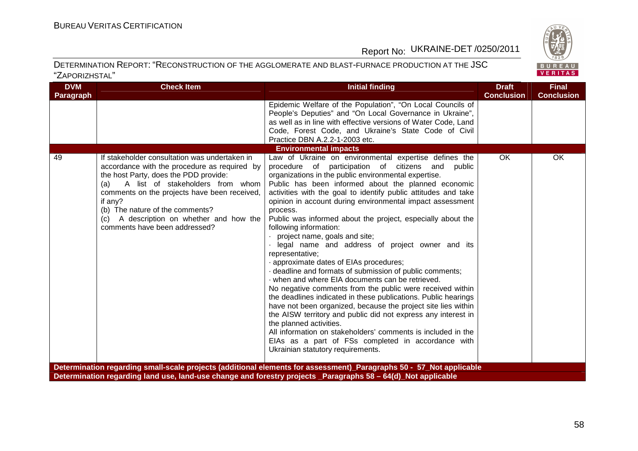

| <b>DVM</b> | <b>Check Item</b>                                                                                                                                                                                                                                                                                              | <b>Initial finding</b>                                                                                                                                                                                                                                                                                                                                                                                                                                                                                                                                                                                                                                                                                                                                                                                                                                                                                                                                                                                                                                                                                                       | <b>Draft</b>      | <b>Final</b>      |
|------------|----------------------------------------------------------------------------------------------------------------------------------------------------------------------------------------------------------------------------------------------------------------------------------------------------------------|------------------------------------------------------------------------------------------------------------------------------------------------------------------------------------------------------------------------------------------------------------------------------------------------------------------------------------------------------------------------------------------------------------------------------------------------------------------------------------------------------------------------------------------------------------------------------------------------------------------------------------------------------------------------------------------------------------------------------------------------------------------------------------------------------------------------------------------------------------------------------------------------------------------------------------------------------------------------------------------------------------------------------------------------------------------------------------------------------------------------------|-------------------|-------------------|
| Paragraph  |                                                                                                                                                                                                                                                                                                                |                                                                                                                                                                                                                                                                                                                                                                                                                                                                                                                                                                                                                                                                                                                                                                                                                                                                                                                                                                                                                                                                                                                              | <b>Conclusion</b> | <b>Conclusion</b> |
|            |                                                                                                                                                                                                                                                                                                                | Epidemic Welfare of the Population", "On Local Councils of<br>People's Deputies" and "On Local Governance in Ukraine",<br>as well as in line with effective versions of Water Code, Land<br>Code, Forest Code, and Ukraine's State Code of Civil<br>Practice DBN A.2.2-1-2003 etc.<br><b>Environmental impacts</b>                                                                                                                                                                                                                                                                                                                                                                                                                                                                                                                                                                                                                                                                                                                                                                                                           |                   |                   |
| 49         | If stakeholder consultation was undertaken in                                                                                                                                                                                                                                                                  | Law of Ukraine on environmental expertise defines the                                                                                                                                                                                                                                                                                                                                                                                                                                                                                                                                                                                                                                                                                                                                                                                                                                                                                                                                                                                                                                                                        | OK                | OK                |
|            | accordance with the procedure as required by<br>the host Party, does the PDD provide:<br>A list of stakeholders from whom<br>(a)<br>comments on the projects have been received,<br>if any?<br>(b) The nature of the comments?<br>A description on whether and how the<br>(C)<br>comments have been addressed? | procedure of participation of citizens and<br>public<br>organizations in the public environmental expertise.<br>Public has been informed about the planned economic<br>activities with the goal to identify public attitudes and take<br>opinion in account during environmental impact assessment<br>process.<br>Public was informed about the project, especially about the<br>following information:<br>project name, goals and site;<br>legal name and address of project owner and its<br>representative;<br>approximate dates of EIAs procedures;<br>- deadline and formats of submission of public comments;<br>when and where EIA documents can be retrieved.<br>No negative comments from the public were received within<br>the deadlines indicated in these publications. Public hearings<br>have not been organized, because the project site lies within<br>the AISW territory and public did not express any interest in<br>the planned activities.<br>All information on stakeholders' comments is included in the<br>EIAs as a part of FSs completed in accordance with<br>Ukrainian statutory requirements. |                   |                   |
|            |                                                                                                                                                                                                                                                                                                                | Determination regarding small-scale projects (additional elements for assessment)_Paragraphs 50 - 57_Not applicable                                                                                                                                                                                                                                                                                                                                                                                                                                                                                                                                                                                                                                                                                                                                                                                                                                                                                                                                                                                                          |                   |                   |
|            |                                                                                                                                                                                                                                                                                                                | Determination regarding land use, land-use change and forestry projects Paragraphs 58 - 64(d) Not applicable                                                                                                                                                                                                                                                                                                                                                                                                                                                                                                                                                                                                                                                                                                                                                                                                                                                                                                                                                                                                                 |                   |                   |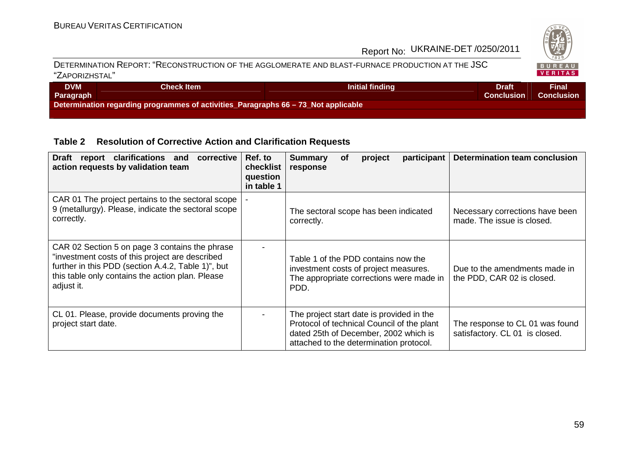

#### DETERMINATION REPORT: "RECONSTRUCTION OF THE AGGLOMERATE AND BLAST-FURNACE PRODUCTION AT THE JSC"ZAPORIZHSTAL"

| <b>DVM</b><br>Paragraph | Check Item \                                                                       | Initial finding | Draft<br><b>Conclusion</b> | Final<br><b>Conclusion</b> |
|-------------------------|------------------------------------------------------------------------------------|-----------------|----------------------------|----------------------------|
|                         | Determination regarding programmes of activities_Paragraphs 66 – 73_Not applicable |                 |                            |                            |

### **Table 2 Resolution of Corrective Action and Clarification Requests**

| Draft report clarifications and<br>corrective<br>action requests by validation team                                                                                                                                       | Ref. to<br>checklist<br>question<br>in table 1 | <b>Summary</b><br>participant<br><b>of</b><br>project<br>response                                                                                                           | Determination team conclusion                                     |
|---------------------------------------------------------------------------------------------------------------------------------------------------------------------------------------------------------------------------|------------------------------------------------|-----------------------------------------------------------------------------------------------------------------------------------------------------------------------------|-------------------------------------------------------------------|
| CAR 01 The project pertains to the sectoral scope<br>9 (metallurgy). Please, indicate the sectoral scope<br>correctly.                                                                                                    |                                                | The sectoral scope has been indicated<br>correctly.                                                                                                                         | Necessary corrections have been<br>made. The issue is closed.     |
| CAR 02 Section 5 on page 3 contains the phrase<br>"investment costs of this project are described<br>further in this PDD (section A.4.2, Table 1)", but<br>this table only contains the action plan. Please<br>adjust it. |                                                | Table 1 of the PDD contains now the<br>investment costs of project measures.<br>The appropriate corrections were made in<br>PDD.                                            | Due to the amendments made in<br>the PDD, CAR 02 is closed.       |
| CL 01. Please, provide documents proving the<br>project start date.                                                                                                                                                       |                                                | The project start date is provided in the<br>Protocol of technical Council of the plant<br>dated 25th of December, 2002 which is<br>attached to the determination protocol. | The response to CL 01 was found<br>satisfactory. CL 01 is closed. |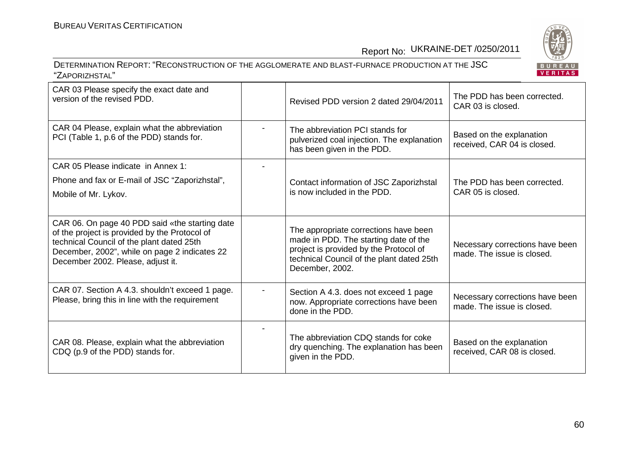BUREAU<br><mark>VERITAS</mark>

### Report No: UKRAINE-DET /0250/2011

| CAR 03 Please specify the exact date and<br>version of the revised PDD.                                                                                                                                                            | Revised PDD version 2 dated 29/04/2011                                                                                                                                                   | The PDD has been corrected.<br>CAR 03 is closed.              |
|------------------------------------------------------------------------------------------------------------------------------------------------------------------------------------------------------------------------------------|------------------------------------------------------------------------------------------------------------------------------------------------------------------------------------------|---------------------------------------------------------------|
| CAR 04 Please, explain what the abbreviation<br>PCI (Table 1, p.6 of the PDD) stands for.                                                                                                                                          | The abbreviation PCI stands for<br>pulverized coal injection. The explanation<br>has been given in the PDD.                                                                              | Based on the explanation<br>received, CAR 04 is closed.       |
| CAR 05 Please indicate in Annex 1:                                                                                                                                                                                                 |                                                                                                                                                                                          |                                                               |
| Phone and fax or E-mail of JSC "Zaporizhstal",                                                                                                                                                                                     | Contact information of JSC Zaporizhstal                                                                                                                                                  | The PDD has been corrected.                                   |
| Mobile of Mr. Lykov.                                                                                                                                                                                                               | is now included in the PDD.                                                                                                                                                              | CAR 05 is closed.                                             |
|                                                                                                                                                                                                                                    |                                                                                                                                                                                          |                                                               |
| CAR 06. On page 40 PDD said «the starting date<br>of the project is provided by the Protocol of<br>technical Council of the plant dated 25th<br>December, 2002", while on page 2 indicates 22<br>December 2002. Please, adjust it. | The appropriate corrections have been<br>made in PDD. The starting date of the<br>project is provided by the Protocol of<br>technical Council of the plant dated 25th<br>December, 2002. | Necessary corrections have been<br>made. The issue is closed. |
| CAR 07. Section A 4.3. shouldn't exceed 1 page.<br>Please, bring this in line with the requirement                                                                                                                                 | Section A 4.3. does not exceed 1 page<br>now. Appropriate corrections have been<br>done in the PDD.                                                                                      | Necessary corrections have been<br>made. The issue is closed. |
| CAR 08. Please, explain what the abbreviation<br>CDQ (p.9 of the PDD) stands for.                                                                                                                                                  | The abbreviation CDQ stands for coke<br>dry quenching. The explanation has been<br>given in the PDD.                                                                                     | Based on the explanation<br>received, CAR 08 is closed.       |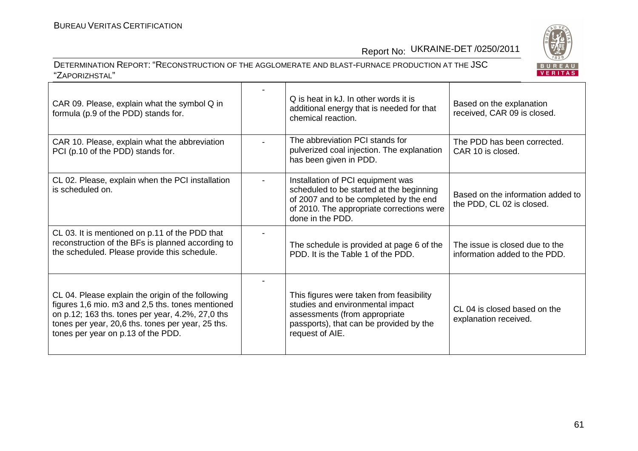BUREAU<br><mark>VERITAS</mark>

### Report No: UKRAINE-DET /0250/2011

| CAR 09. Please, explain what the symbol Q in<br>formula (p.9 of the PDD) stands for.                                                                                                                                                                 | Q is heat in kJ. In other words it is<br>additional energy that is needed for that<br>chemical reaction.                                                                                 | Based on the explanation<br>received, CAR 09 is closed.         |
|------------------------------------------------------------------------------------------------------------------------------------------------------------------------------------------------------------------------------------------------------|------------------------------------------------------------------------------------------------------------------------------------------------------------------------------------------|-----------------------------------------------------------------|
| CAR 10. Please, explain what the abbreviation<br>PCI (p.10 of the PDD) stands for.                                                                                                                                                                   | The abbreviation PCI stands for<br>pulverized coal injection. The explanation<br>has been given in PDD.                                                                                  | The PDD has been corrected.<br>CAR 10 is closed.                |
| CL 02. Please, explain when the PCI installation<br>is scheduled on.                                                                                                                                                                                 | Installation of PCI equipment was<br>scheduled to be started at the beginning<br>of 2007 and to be completed by the end<br>of 2010. The appropriate corrections were<br>done in the PDD. | Based on the information added to<br>the PDD, CL 02 is closed.  |
| CL 03. It is mentioned on p.11 of the PDD that<br>reconstruction of the BFs is planned according to<br>the scheduled. Please provide this schedule.                                                                                                  | The schedule is provided at page 6 of the<br>PDD. It is the Table 1 of the PDD.                                                                                                          | The issue is closed due to the<br>information added to the PDD. |
| CL 04. Please explain the origin of the following<br>figures 1,6 mio. m3 and 2,5 ths. tones mentioned<br>on p.12; 163 ths. tones per year, 4.2%, 27,0 ths<br>tones per year, 20,6 ths. tones per year, 25 ths.<br>tones per year on p.13 of the PDD. | This figures were taken from feasibility<br>studies and environmental impact<br>assessments (from appropriate<br>passports), that can be provided by the<br>request of AIE.              | CL 04 is closed based on the<br>explanation received.           |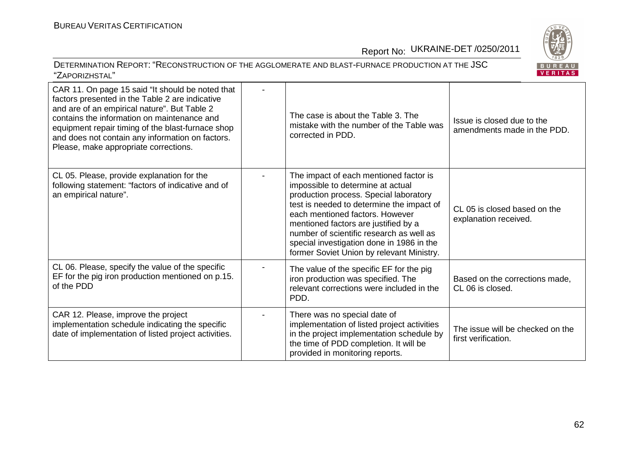

| CAR 11. On page 15 said "It should be noted that<br>factors presented in the Table 2 are indicative<br>and are of an empirical nature". But Table 2<br>contains the information on maintenance and<br>equipment repair timing of the blast-furnace shop<br>and does not contain any information on factors.<br>Please, make appropriate corrections. | The case is about the Table 3. The<br>mistake with the number of the Table was<br>corrected in PDD.                                                                                                                                                                                                                                                                                 | Issue is closed due to the<br>amendments made in the PDD. |
|------------------------------------------------------------------------------------------------------------------------------------------------------------------------------------------------------------------------------------------------------------------------------------------------------------------------------------------------------|-------------------------------------------------------------------------------------------------------------------------------------------------------------------------------------------------------------------------------------------------------------------------------------------------------------------------------------------------------------------------------------|-----------------------------------------------------------|
| CL 05. Please, provide explanation for the<br>following statement: "factors of indicative and of<br>an empirical nature".                                                                                                                                                                                                                            | The impact of each mentioned factor is<br>impossible to determine at actual<br>production process. Special laboratory<br>test is needed to determine the impact of<br>each mentioned factors. However<br>mentioned factors are justified by a<br>number of scientific research as well as<br>special investigation done in 1986 in the<br>former Soviet Union by relevant Ministry. | CL 05 is closed based on the<br>explanation received.     |
| CL 06. Please, specify the value of the specific<br>EF for the pig iron production mentioned on p.15.<br>of the PDD                                                                                                                                                                                                                                  | The value of the specific EF for the pig<br>iron production was specified. The<br>relevant corrections were included in the<br>PDD.                                                                                                                                                                                                                                                 | Based on the corrections made,<br>CL 06 is closed.        |
| CAR 12. Please, improve the project<br>implementation schedule indicating the specific<br>date of implementation of listed project activities.                                                                                                                                                                                                       | There was no special date of<br>implementation of listed project activities<br>in the project implementation schedule by<br>the time of PDD completion. It will be<br>provided in monitoring reports.                                                                                                                                                                               | The issue will be checked on the<br>first verification.   |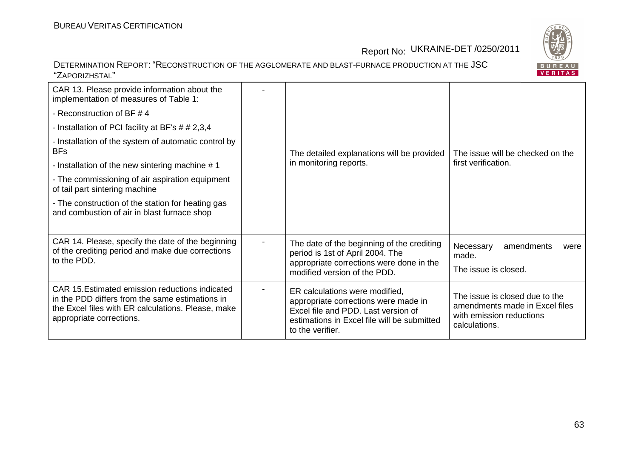BUREAU<br>VERITAS

# Report No: UKRAINE-DET /0250/2011

| CAR 13. Please provide information about the<br>implementation of measures of Table 1:<br>- Reconstruction of BF #4<br>- Installation of PCI facility at BF's $\#$ # 2,3,4<br>- Installation of the system of automatic control by<br><b>BFs</b><br>- Installation of the new sintering machine #1<br>- The commissioning of air aspiration equipment<br>of tail part sintering machine<br>- The construction of the station for heating gas<br>and combustion of air in blast furnace shop | The detailed explanations will be provided<br>in monitoring reports.                                                                                                             | The issue will be checked on the<br>first verification.                                                       |
|---------------------------------------------------------------------------------------------------------------------------------------------------------------------------------------------------------------------------------------------------------------------------------------------------------------------------------------------------------------------------------------------------------------------------------------------------------------------------------------------|----------------------------------------------------------------------------------------------------------------------------------------------------------------------------------|---------------------------------------------------------------------------------------------------------------|
| CAR 14. Please, specify the date of the beginning<br>of the crediting period and make due corrections<br>to the PDD.                                                                                                                                                                                                                                                                                                                                                                        | The date of the beginning of the crediting<br>period is 1st of April 2004. The<br>appropriate corrections were done in the<br>modified version of the PDD.                       | Necessary<br>amendments<br>were<br>made.<br>The issue is closed.                                              |
| CAR 15. Estimated emission reductions indicated<br>in the PDD differs from the same estimations in<br>the Excel files with ER calculations. Please, make<br>appropriate corrections.                                                                                                                                                                                                                                                                                                        | ER calculations were modified,<br>appropriate corrections were made in<br>Excel file and PDD. Last version of<br>estimations in Excel file will be submitted<br>to the verifier. | The issue is closed due to the<br>amendments made in Excel files<br>with emission reductions<br>calculations. |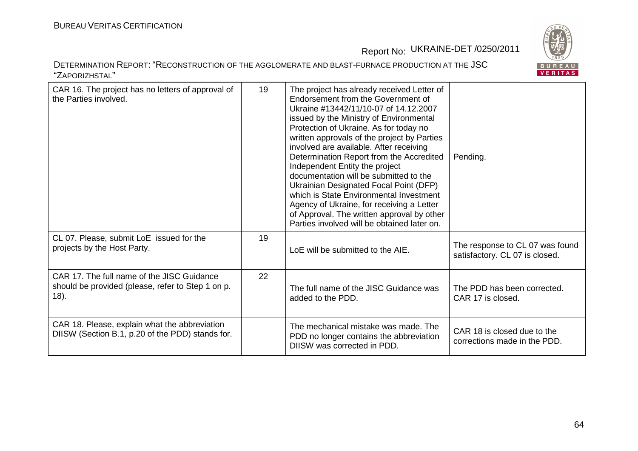

| CAR 16. The project has no letters of approval of<br>the Parties involved.                                  | 19 | The project has already received Letter of<br>Endorsement from the Government of<br>Ukraine #13442/11/10-07 of 14.12.2007<br>issued by the Ministry of Environmental<br>Protection of Ukraine. As for today no<br>written approvals of the project by Parties<br>involved are available. After receiving<br>Determination Report from the Accredited<br>Independent Entity the project<br>documentation will be submitted to the<br>Ukrainian Designated Focal Point (DFP)<br>which is State Environmental Investment<br>Agency of Ukraine, for receiving a Letter<br>of Approval. The written approval by other<br>Parties involved will be obtained later on. | Pending.                                                          |
|-------------------------------------------------------------------------------------------------------------|----|-----------------------------------------------------------------------------------------------------------------------------------------------------------------------------------------------------------------------------------------------------------------------------------------------------------------------------------------------------------------------------------------------------------------------------------------------------------------------------------------------------------------------------------------------------------------------------------------------------------------------------------------------------------------|-------------------------------------------------------------------|
| CL 07. Please, submit LoE issued for the<br>projects by the Host Party.                                     | 19 | LoE will be submitted to the AIE.                                                                                                                                                                                                                                                                                                                                                                                                                                                                                                                                                                                                                               | The response to CL 07 was found<br>satisfactory. CL 07 is closed. |
| CAR 17. The full name of the JISC Guidance<br>should be provided (please, refer to Step 1 on p.<br>$(18)$ . | 22 | The full name of the JISC Guidance was<br>added to the PDD.                                                                                                                                                                                                                                                                                                                                                                                                                                                                                                                                                                                                     | The PDD has been corrected.<br>CAR 17 is closed.                  |
| CAR 18. Please, explain what the abbreviation<br>DIISW (Section B.1, p.20 of the PDD) stands for.           |    | The mechanical mistake was made. The<br>PDD no longer contains the abbreviation<br>DIISW was corrected in PDD.                                                                                                                                                                                                                                                                                                                                                                                                                                                                                                                                                  | CAR 18 is closed due to the<br>corrections made in the PDD.       |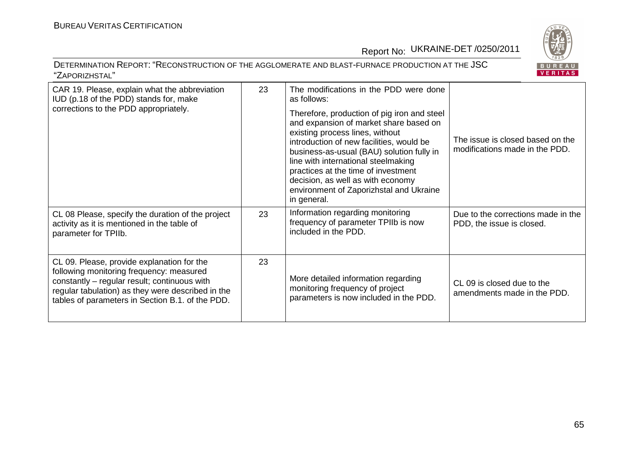



| CAR 19. Please, explain what the abbreviation<br>IUD (p.18 of the PDD) stands for, make<br>corrections to the PDD appropriately.                                                                                                                | 23 | The modifications in the PDD were done<br>as follows:<br>Therefore, production of pig iron and steel<br>and expansion of market share based on<br>existing process lines, without<br>introduction of new facilities, would be<br>business-as-usual (BAU) solution fully in<br>line with international steelmaking<br>practices at the time of investment<br>decision, as well as with economy<br>environment of Zaporizhstal and Ukraine<br>in general. | The issue is closed based on the<br>modifications made in the PDD. |
|-------------------------------------------------------------------------------------------------------------------------------------------------------------------------------------------------------------------------------------------------|----|---------------------------------------------------------------------------------------------------------------------------------------------------------------------------------------------------------------------------------------------------------------------------------------------------------------------------------------------------------------------------------------------------------------------------------------------------------|--------------------------------------------------------------------|
| CL 08 Please, specify the duration of the project<br>activity as it is mentioned in the table of<br>parameter for TPIIb.                                                                                                                        | 23 | Information regarding monitoring<br>frequency of parameter TPIIb is now<br>included in the PDD.                                                                                                                                                                                                                                                                                                                                                         | Due to the corrections made in the<br>PDD, the issue is closed.    |
| CL 09. Please, provide explanation for the<br>following monitoring frequency: measured<br>constantly - regular result; continuous with<br>regular tabulation) as they were described in the<br>tables of parameters in Section B.1. of the PDD. | 23 | More detailed information regarding<br>monitoring frequency of project<br>parameters is now included in the PDD.                                                                                                                                                                                                                                                                                                                                        | CL 09 is closed due to the<br>amendments made in the PDD.          |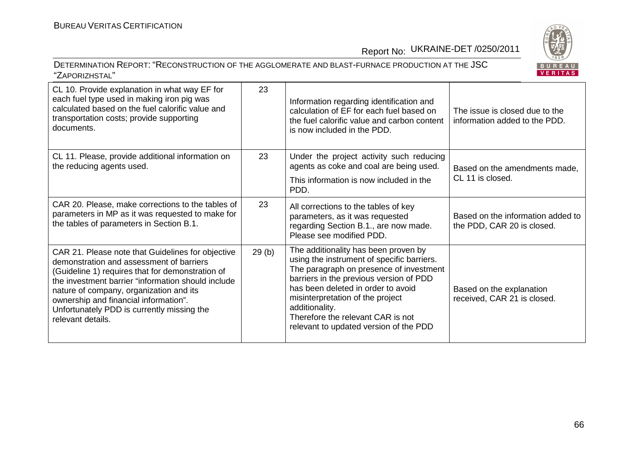|   | $\mathbf{R}$ |  |  |
|---|--------------|--|--|
|   | в            |  |  |
| ۳ |              |  |  |

| CL 10. Provide explanation in what way EF for<br>each fuel type used in making iron pig was<br>calculated based on the fuel calorific value and<br>transportation costs; provide supporting<br>documents.                                                                                                                                                      | 23    | Information regarding identification and<br>calculation of EF for each fuel based on<br>the fuel calorific value and carbon content<br>is now included in the PDD.                                                                                                                                                                                  | The issue is closed due to the<br>information added to the PDD. |
|----------------------------------------------------------------------------------------------------------------------------------------------------------------------------------------------------------------------------------------------------------------------------------------------------------------------------------------------------------------|-------|-----------------------------------------------------------------------------------------------------------------------------------------------------------------------------------------------------------------------------------------------------------------------------------------------------------------------------------------------------|-----------------------------------------------------------------|
| CL 11. Please, provide additional information on<br>the reducing agents used.                                                                                                                                                                                                                                                                                  | 23    | Under the project activity such reducing<br>agents as coke and coal are being used.<br>This information is now included in the<br>PDD.                                                                                                                                                                                                              | Based on the amendments made,<br>CL 11 is closed.               |
| CAR 20. Please, make corrections to the tables of<br>parameters in MP as it was requested to make for<br>the tables of parameters in Section B.1.                                                                                                                                                                                                              | 23    | All corrections to the tables of key<br>parameters, as it was requested<br>regarding Section B.1., are now made.<br>Please see modified PDD.                                                                                                                                                                                                        | Based on the information added to<br>the PDD, CAR 20 is closed. |
| CAR 21. Please note that Guidelines for objective<br>demonstration and assessment of barriers<br>(Guideline 1) requires that for demonstration of<br>the investment barrier "information should include<br>nature of company, organization and its<br>ownership and financial information".<br>Unfortunately PDD is currently missing the<br>relevant details. | 29(b) | The additionality has been proven by<br>using the instrument of specific barriers.<br>The paragraph on presence of investment<br>barriers in the previous version of PDD<br>has been deleted in order to avoid<br>misinterpretation of the project<br>additionality.<br>Therefore the relevant CAR is not<br>relevant to updated version of the PDD | Based on the explanation<br>received, CAR 21 is closed.         |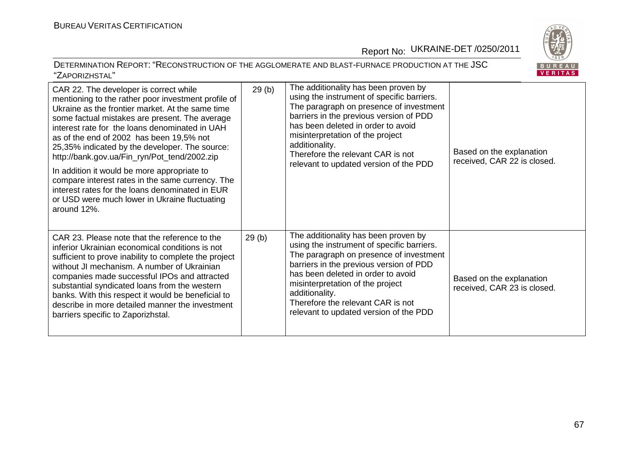



| CAR 22. The developer is correct while<br>mentioning to the rather poor investment profile of<br>Ukraine as the frontier market. At the same time<br>some factual mistakes are present. The average<br>interest rate for the loans denominated in UAH<br>as of the end of 2002 has been 19,5% not<br>25,35% indicated by the developer. The source:<br>http://bank.gov.ua/Fin_ryn/Pot_tend/2002.zip<br>In addition it would be more appropriate to<br>compare interest rates in the same currency. The<br>interest rates for the loans denominated in EUR<br>or USD were much lower in Ukraine fluctuating<br>around 12%. | 29(b) | The additionality has been proven by<br>using the instrument of specific barriers.<br>The paragraph on presence of investment<br>barriers in the previous version of PDD<br>has been deleted in order to avoid<br>misinterpretation of the project<br>additionality.<br>Therefore the relevant CAR is not<br>relevant to updated version of the PDD | Based on the explanation<br>received, CAR 22 is closed. |
|---------------------------------------------------------------------------------------------------------------------------------------------------------------------------------------------------------------------------------------------------------------------------------------------------------------------------------------------------------------------------------------------------------------------------------------------------------------------------------------------------------------------------------------------------------------------------------------------------------------------------|-------|-----------------------------------------------------------------------------------------------------------------------------------------------------------------------------------------------------------------------------------------------------------------------------------------------------------------------------------------------------|---------------------------------------------------------|
| CAR 23. Please note that the reference to the<br>inferior Ukrainian economical conditions is not<br>sufficient to prove inability to complete the project<br>without JI mechanism. A number of Ukrainian<br>companies made successful IPOs and attracted<br>substantial syndicated loans from the western<br>banks. With this respect it would be beneficial to<br>describe in more detailed manner the investment<br>barriers specific to Zaporizhstal.                                                                                                                                                                  | 29(b) | The additionality has been proven by<br>using the instrument of specific barriers.<br>The paragraph on presence of investment<br>barriers in the previous version of PDD<br>has been deleted in order to avoid<br>misinterpretation of the project<br>additionality.<br>Therefore the relevant CAR is not<br>relevant to updated version of the PDD | Based on the explanation<br>received, CAR 23 is closed. |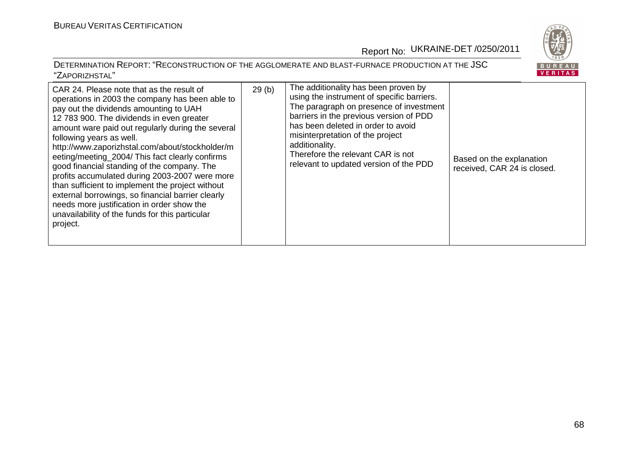

| CAR 24. Please note that as the result of<br>operations in 2003 the company has been able to<br>pay out the dividends amounting to UAH<br>12 783 900. The dividends in even greater<br>amount ware paid out regularly during the several<br>following years as well.<br>http://www.zaporizhstal.com/about/stockholder/m<br>eeting/meeting 2004/ This fact clearly confirms<br>good financial standing of the company. The<br>profits accumulated during 2003-2007 were more<br>than sufficient to implement the project without<br>external borrowings, so financial barrier clearly<br>needs more justification in order show the<br>unavailability of the funds for this particular<br>project. | 29(b) | The additionality has been proven by<br>using the instrument of specific barriers.<br>The paragraph on presence of investment<br>barriers in the previous version of PDD<br>has been deleted in order to avoid<br>misinterpretation of the project<br>additionality.<br>Therefore the relevant CAR is not<br>relevant to updated version of the PDD | Based on the explanation<br>received, CAR 24 is closed. |
|---------------------------------------------------------------------------------------------------------------------------------------------------------------------------------------------------------------------------------------------------------------------------------------------------------------------------------------------------------------------------------------------------------------------------------------------------------------------------------------------------------------------------------------------------------------------------------------------------------------------------------------------------------------------------------------------------|-------|-----------------------------------------------------------------------------------------------------------------------------------------------------------------------------------------------------------------------------------------------------------------------------------------------------------------------------------------------------|---------------------------------------------------------|
|---------------------------------------------------------------------------------------------------------------------------------------------------------------------------------------------------------------------------------------------------------------------------------------------------------------------------------------------------------------------------------------------------------------------------------------------------------------------------------------------------------------------------------------------------------------------------------------------------------------------------------------------------------------------------------------------------|-------|-----------------------------------------------------------------------------------------------------------------------------------------------------------------------------------------------------------------------------------------------------------------------------------------------------------------------------------------------------|---------------------------------------------------------|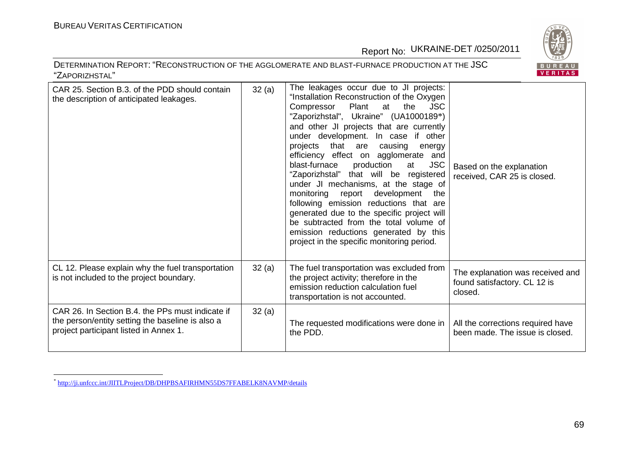BUREAU<br>VERITAS

Report No: UKRAINE-DET /0250/2011

| CAR 25. Section B.3. of the PDD should contain<br>the description of anticipated leakages.                                                     | 32(a) | The leakages occur due to JI projects:<br>"Installation Reconstruction of the Oxygen<br>the<br><b>JSC</b><br>Plant<br>Compressor<br>at<br>"Zaporizhstal", Ukraine" (UA1000189*)<br>and other JI projects that are currently<br>under development. In case if other<br>projects that are causing<br>energy<br>efficiency effect on agglomerate and<br><b>JSC</b><br>blast-furnace<br>production<br>at<br>"Zaporizhstal" that will be registered<br>under JI mechanisms, at the stage of<br>monitoring report development<br>the<br>following emission reductions that are<br>generated due to the specific project will<br>be subtracted from the total volume of<br>emission reductions generated by this<br>project in the specific monitoring period. | Based on the explanation<br>received, CAR 25 is closed.                     |
|------------------------------------------------------------------------------------------------------------------------------------------------|-------|---------------------------------------------------------------------------------------------------------------------------------------------------------------------------------------------------------------------------------------------------------------------------------------------------------------------------------------------------------------------------------------------------------------------------------------------------------------------------------------------------------------------------------------------------------------------------------------------------------------------------------------------------------------------------------------------------------------------------------------------------------|-----------------------------------------------------------------------------|
| CL 12. Please explain why the fuel transportation<br>is not included to the project boundary.                                                  | 32(a) | The fuel transportation was excluded from<br>the project activity; therefore in the<br>emission reduction calculation fuel<br>transportation is not accounted.                                                                                                                                                                                                                                                                                                                                                                                                                                                                                                                                                                                          | The explanation was received and<br>found satisfactory. CL 12 is<br>closed. |
| CAR 26. In Section B.4, the PPs must indicate if<br>the person/entity setting the baseline is also a<br>project participant listed in Annex 1. | 32(a) | The requested modifications were done in<br>the PDD.                                                                                                                                                                                                                                                                                                                                                                                                                                                                                                                                                                                                                                                                                                    | All the corrections required have<br>been made. The issue is closed.        |

<sup>\*</sup> http://ji.unfccc.int/JIITLProject/DB/DHPBSAFIRHMN55DS7FFABELK8NAVMP/details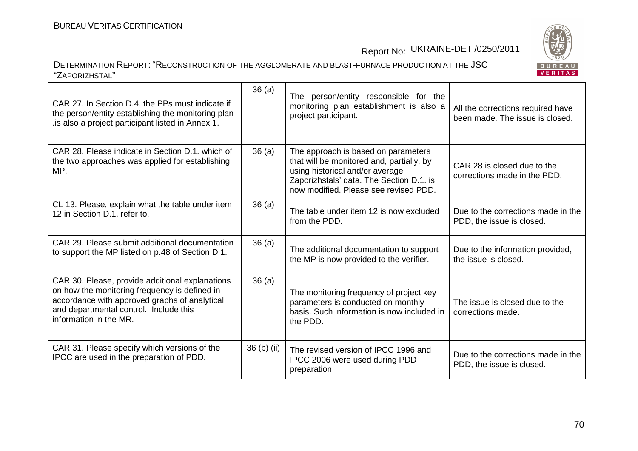

| CAR 27. In Section D.4, the PPs must indicate if<br>the person/entity establishing the monitoring plan<br>. is also a project participant listed in Annex 1.                                                          | 36(a)       | The person/entity responsible for the<br>monitoring plan establishment is also a<br>project participant.                                                                                                 | All the corrections required have<br>been made. The issue is closed. |
|-----------------------------------------------------------------------------------------------------------------------------------------------------------------------------------------------------------------------|-------------|----------------------------------------------------------------------------------------------------------------------------------------------------------------------------------------------------------|----------------------------------------------------------------------|
| CAR 28. Please indicate in Section D.1, which of<br>the two approaches was applied for establishing<br>MP.                                                                                                            | 36(a)       | The approach is based on parameters<br>that will be monitored and, partially, by<br>using historical and/or average<br>Zaporizhstals' data. The Section D.1. is<br>now modified. Please see revised PDD. | CAR 28 is closed due to the<br>corrections made in the PDD.          |
| CL 13. Please, explain what the table under item<br>12 in Section D.1. refer to.                                                                                                                                      | 36(a)       | The table under item 12 is now excluded<br>from the PDD.                                                                                                                                                 | Due to the corrections made in the<br>PDD, the issue is closed.      |
| CAR 29. Please submit additional documentation<br>to support the MP listed on p.48 of Section D.1.                                                                                                                    | 36(a)       | The additional documentation to support<br>the MP is now provided to the verifier.                                                                                                                       | Due to the information provided,<br>the issue is closed.             |
| CAR 30. Please, provide additional explanations<br>on how the monitoring frequency is defined in<br>accordance with approved graphs of analytical<br>and departmental control. Include this<br>information in the MR. | 36(a)       | The monitoring frequency of project key<br>parameters is conducted on monthly<br>basis. Such information is now included in<br>the PDD.                                                                  | The issue is closed due to the<br>corrections made.                  |
| CAR 31. Please specify which versions of the<br>IPCC are used in the preparation of PDD.                                                                                                                              | 36 (b) (ii) | The revised version of IPCC 1996 and<br>IPCC 2006 were used during PDD<br>preparation.                                                                                                                   | Due to the corrections made in the<br>PDD, the issue is closed.      |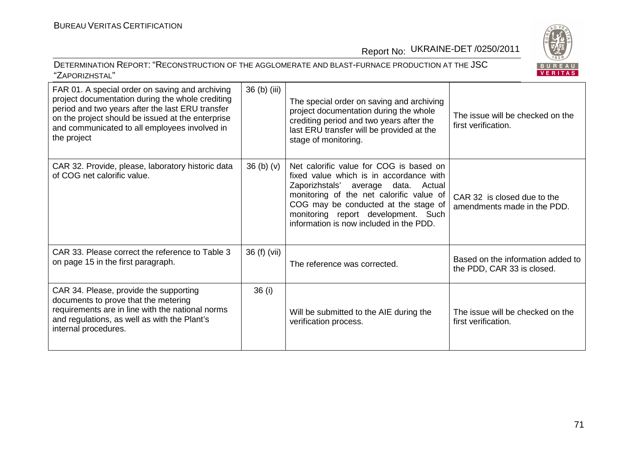BUREAU<br><mark>VERITAS</mark>

### Report No: UKRAINE-DET /0250/2011

| FAR 01. A special order on saving and archiving<br>project documentation during the whole crediting<br>period and two years after the last ERU transfer<br>on the project should be issued at the enterprise<br>and communicated to all employees involved in<br>the project | 36 (b) (iii) | The special order on saving and archiving<br>project documentation during the whole<br>crediting period and two years after the<br>last ERU transfer will be provided at the<br>stage of monitoring.                                                                                               | The issue will be checked on the<br>first verification.         |
|------------------------------------------------------------------------------------------------------------------------------------------------------------------------------------------------------------------------------------------------------------------------------|--------------|----------------------------------------------------------------------------------------------------------------------------------------------------------------------------------------------------------------------------------------------------------------------------------------------------|-----------------------------------------------------------------|
| CAR 32. Provide, please, laboratory historic data<br>of COG net calorific value.                                                                                                                                                                                             | $36$ (b) (v) | Net calorific value for COG is based on<br>fixed value which is in accordance with<br>Zaporizhstals' average data.<br>Actual<br>monitoring of the net calorific value of<br>COG may be conducted at the stage of<br>monitoring report development. Such<br>information is now included in the PDD. | CAR 32 is closed due to the<br>amendments made in the PDD.      |
| CAR 33. Please correct the reference to Table 3<br>on page 15 in the first paragraph.                                                                                                                                                                                        | 36 (f) (vii) | The reference was corrected.                                                                                                                                                                                                                                                                       | Based on the information added to<br>the PDD, CAR 33 is closed. |
| CAR 34. Please, provide the supporting<br>documents to prove that the metering<br>requirements are in line with the national norms<br>and regulations, as well as with the Plant's<br>internal procedures.                                                                   | 36 (i)       | Will be submitted to the AIE during the<br>verification process.                                                                                                                                                                                                                                   | The issue will be checked on the<br>first verification.         |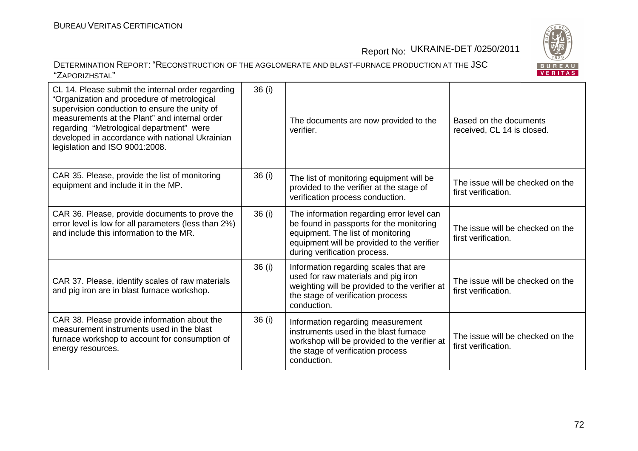BUREAU<br>VERITAS

# Report No: UKRAINE-DET /0250/2011

## DETERMINATION REPORT: "RECONSTRUCTION OF THE AGGLOMERATE AND BLAST-FURNACE PRODUCTION AT THE JSC"ZAPORIZHSTAL"

| CL 14. Please submit the internal order regarding<br>"Organization and procedure of metrological<br>supervision conduction to ensure the unity of<br>measurements at the Plant" and internal order<br>regarding "Metrological department" were<br>developed in accordance with national Ukrainian<br>legislation and ISO 9001:2008. | 36 (i) | The documents are now provided to the<br>verifier                                                                                                                                                        | Based on the documents<br>received, CL 14 is closed.    |
|-------------------------------------------------------------------------------------------------------------------------------------------------------------------------------------------------------------------------------------------------------------------------------------------------------------------------------------|--------|----------------------------------------------------------------------------------------------------------------------------------------------------------------------------------------------------------|---------------------------------------------------------|
| CAR 35. Please, provide the list of monitoring<br>equipment and include it in the MP.                                                                                                                                                                                                                                               | 36(i)  | The list of monitoring equipment will be<br>provided to the verifier at the stage of<br>verification process conduction.                                                                                 | The issue will be checked on the<br>first verification. |
| CAR 36. Please, provide documents to prove the<br>error level is low for all parameters (less than 2%)<br>and include this information to the MR.                                                                                                                                                                                   | 36(i)  | The information regarding error level can<br>be found in passports for the monitoring<br>equipment. The list of monitoring<br>equipment will be provided to the verifier<br>during verification process. | The issue will be checked on the<br>first verification. |
| CAR 37. Please, identify scales of raw materials<br>and pig iron are in blast furnace workshop.                                                                                                                                                                                                                                     | 36(i)  | Information regarding scales that are<br>used for raw materials and pig iron<br>weighting will be provided to the verifier at<br>the stage of verification process<br>conduction.                        | The issue will be checked on the<br>first verification. |
| CAR 38. Please provide information about the<br>measurement instruments used in the blast<br>furnace workshop to account for consumption of<br>energy resources.                                                                                                                                                                    | 36 (i) | Information regarding measurement<br>instruments used in the blast furnace<br>workshop will be provided to the verifier at<br>the stage of verification process<br>conduction.                           | The issue will be checked on the<br>first verification. |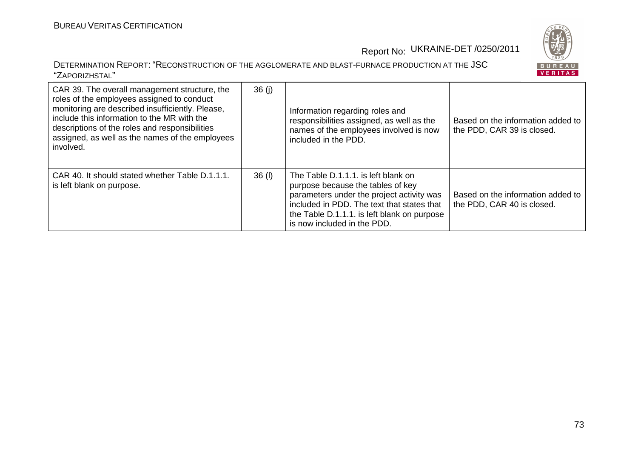

Report No: UKRAINE-DET /0250/2011

#### DETERMINATION REPORT: "RECONSTRUCTION OF THE AGGLOMERATE AND BLAST-FURNACE PRODUCTION AT THE JSC"ZAPORIZHSTAL"

BUREAU<br>VERITAS

| CAR 39. The overall management structure, the<br>roles of the employees assigned to conduct<br>monitoring are described insufficiently. Please,<br>include this information to the MR with the<br>descriptions of the roles and responsibilities<br>assigned, as well as the names of the employees<br>involved. | 36(j)    | Information regarding roles and<br>responsibilities assigned, as well as the<br>names of the employees involved is now<br>included in the PDD.                                                                                                    | Based on the information added to<br>the PDD, CAR 39 is closed. |
|------------------------------------------------------------------------------------------------------------------------------------------------------------------------------------------------------------------------------------------------------------------------------------------------------------------|----------|---------------------------------------------------------------------------------------------------------------------------------------------------------------------------------------------------------------------------------------------------|-----------------------------------------------------------------|
| CAR 40. It should stated whether Table D.1.1.1.<br>is left blank on purpose.                                                                                                                                                                                                                                     | $36$ (I) | The Table D.1.1.1. is left blank on<br>purpose because the tables of key<br>parameters under the project activity was<br>included in PDD. The text that states that<br>the Table D.1.1.1. is left blank on purpose<br>is now included in the PDD. | Based on the information added to<br>the PDD, CAR 40 is closed. |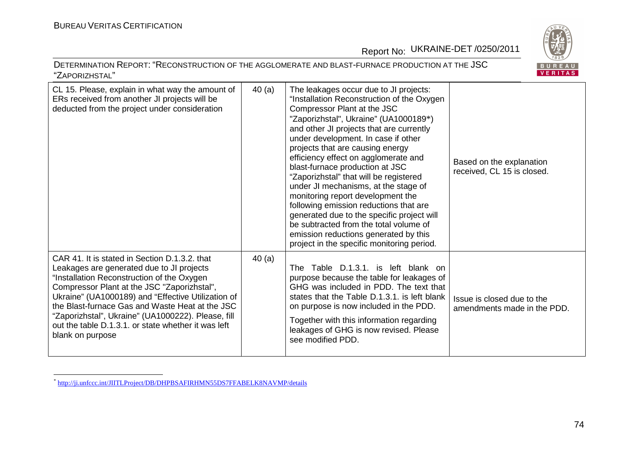## Report No: UKRAINE-DET /0250/2011

### DETERMINATION REPORT: "RECONSTRUCTION OF THE AGGLOMERATE AND BLAST-FURNACE PRODUCTION AT THE JSC"ZAPORIZHSTAL"



| CL 15. Please, explain in what way the amount of<br>ERs received from another JI projects will be<br>deducted from the project under consideration                                                                                                                                                                                                                                                                                | 40(a) | The leakages occur due to JI projects:<br>"Installation Reconstruction of the Oxygen<br>Compressor Plant at the JSC<br>"Zaporizhstal", Ukraine" (UA1000189*)<br>and other JI projects that are currently<br>under development. In case if other<br>projects that are causing energy<br>efficiency effect on agglomerate and<br>blast-furnace production at JSC<br>"Zaporizhstal" that will be registered<br>under JI mechanisms, at the stage of<br>monitoring report development the<br>following emission reductions that are<br>generated due to the specific project will<br>be subtracted from the total volume of<br>emission reductions generated by this<br>project in the specific monitoring period. | Based on the explanation<br>received, CL 15 is closed.    |
|-----------------------------------------------------------------------------------------------------------------------------------------------------------------------------------------------------------------------------------------------------------------------------------------------------------------------------------------------------------------------------------------------------------------------------------|-------|----------------------------------------------------------------------------------------------------------------------------------------------------------------------------------------------------------------------------------------------------------------------------------------------------------------------------------------------------------------------------------------------------------------------------------------------------------------------------------------------------------------------------------------------------------------------------------------------------------------------------------------------------------------------------------------------------------------|-----------------------------------------------------------|
| CAR 41. It is stated in Section D.1.3.2. that<br>Leakages are generated due to JI projects<br>"Installation Reconstruction of the Oxygen<br>Compressor Plant at the JSC "Zaporizhstal",<br>Ukraine" (UA1000189) and "Effective Utilization of<br>the Blast-furnace Gas and Waste Heat at the JSC<br>"Zaporizhstal", Ukraine" (UA1000222). Please, fill<br>out the table D.1.3.1. or state whether it was left<br>blank on purpose | 40(a) | Table D.1.3.1, is left blank on<br><b>The</b><br>purpose because the table for leakages of<br>GHG was included in PDD. The text that<br>states that the Table D.1.3.1, is left blank<br>on purpose is now included in the PDD.<br>Together with this information regarding<br>leakages of GHG is now revised. Please<br>see modified PDD.                                                                                                                                                                                                                                                                                                                                                                      | Issue is closed due to the<br>amendments made in the PDD. |

<sup>\*</sup> http://ji.unfccc.int/JIITLProject/DB/DHPBSAFIRHMN55DS7FFABELK8NAVMP/details